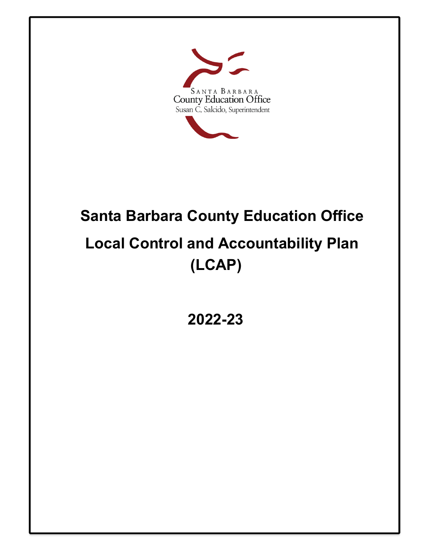

# **Santa Barbara County Education Office Local Control and Accountability Plan (LCAP)**

**2022-23**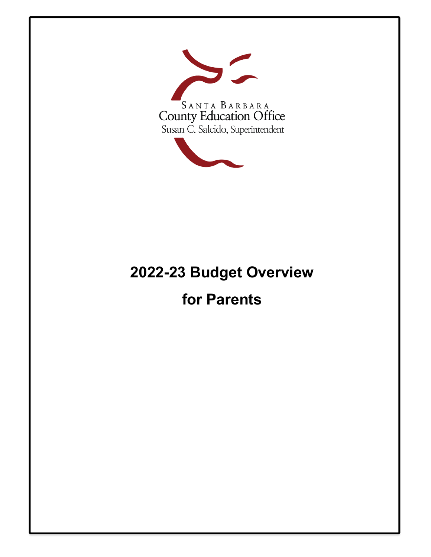



# **for Parents**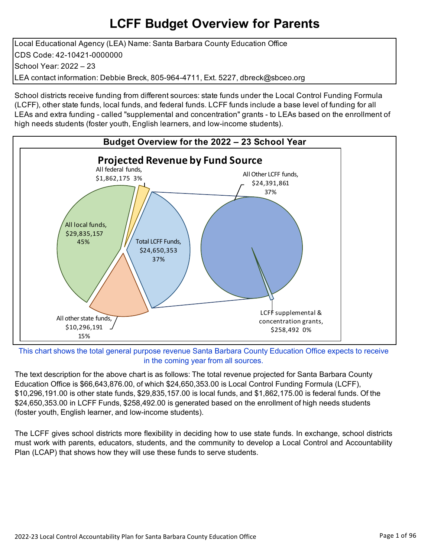## **LCFF Budget Overview for Parents**

Local Educational Agency (LEA) Name: Santa Barbara County Education Office CDS Code: 42-10421-0000000 School Year: 2022 – 23 LEA contact information: Debbie Breck, 805-964-4711, Ext. 5227, dbreck@sbceo.org

School districts receive funding from different sources: state funds under the Local Control Funding Formula (LCFF), other state funds, local funds, and federal funds. LCFF funds include a base level of funding for all LEAs and extra funding - called "supplemental and concentration" grants - to LEAs based on the enrollment of high needs students (foster youth, English learners, and low-income students).



This chart shows the total general purpose revenue Santa Barbara County Education Office expects to receive in the coming year from all sources.

The text description for the above chart is as follows: The total revenue projected for Santa Barbara County Education Office is \$66,643,876.00, of which \$24,650,353.00 is Local Control Funding Formula (LCFF), \$10,296,191.00 is other state funds, \$29,835,157.00 is local funds, and \$1,862,175.00 is federal funds. Of the \$24,650,353.00 in LCFF Funds, \$258,492.00 is generated based on the enrollment of high needs students (foster youth, English learner, and low-income students).

The LCFF gives school districts more flexibility in deciding how to use state funds. In exchange, school districts must work with parents, educators, students, and the community to develop a Local Control and Accountability Plan (LCAP) that shows how they will use these funds to serve students.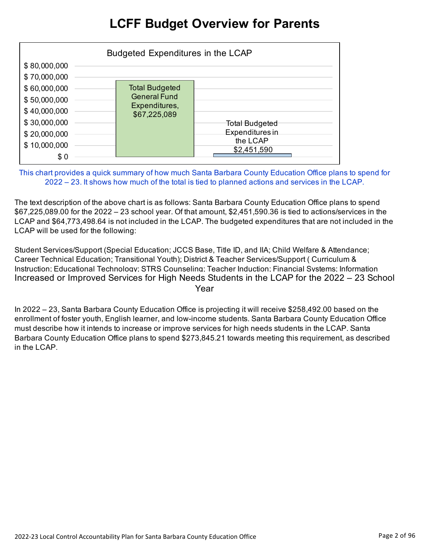### **LCFF Budget Overview for Parents**

|                                                                                                                              | Budgeted Expenditures in the LCAP                                             |                                                                     |
|------------------------------------------------------------------------------------------------------------------------------|-------------------------------------------------------------------------------|---------------------------------------------------------------------|
| \$80,000,000<br>\$70,000,000<br>\$60,000,000<br>\$50,000,000<br>\$40,000,000<br>\$30,000,000<br>\$20,000,000<br>\$10,000,000 | <b>Total Budgeted</b><br><b>General Fund</b><br>Expenditures,<br>\$67,225,089 | <b>Total Budgeted</b><br>Expenditures in<br>the LCAP<br>\$2,451,590 |
| \$0                                                                                                                          |                                                                               |                                                                     |

This chart provides a quick summary of how much Santa Barbara County Education Office plans to spend for 2022 – 23. It shows how much of the total is tied to planned actions and services in the LCAP.

The text description of the above chart is as follows: Santa Barbara County Education Office plans to spend \$67,225,089.00 for the 2022 – 23 school year. Of that amount, \$2,451,590.36 is tied to actions/services in the LCAP and \$64,773,498.64 is not included in the LCAP. The budgeted expenditures that are not included in the LCAP will be used for the following:

Student Services/Support (Special Education; JCCS Base, Title ID, and IIA; Child Welfare & Attendance; Career Technical Education; Transitional Youth); District & Teacher Services/Support ( Curriculum & Instruction; Educational Technology; STRS Counseling; Teacher Induction; Financial Systems; Information Increased or Improved Services for High Needs Students in the LCAP for the 2022 – 23 School Year

In 2022 – 23, Santa Barbara County Education Office is projecting it will receive \$258,492.00 based on the enrollment of foster youth, English learner, and low-income students. Santa Barbara County Education Office must describe how it intends to increase or improve services for high needs students in the LCAP. Santa Barbara County Education Office plans to spend \$273,845.21 towards meeting this requirement, as described in the LCAP.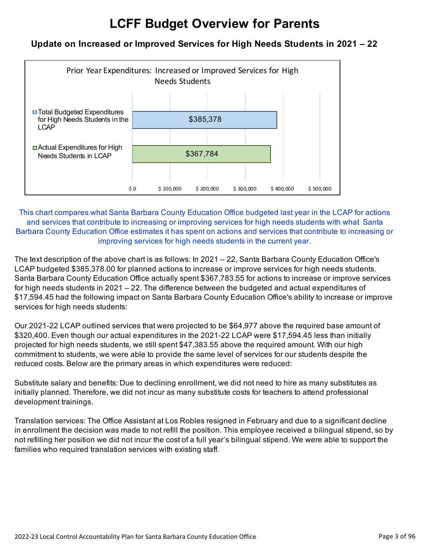## **LCFF Budget Overview for Parents**

#### **Update on Increased or Improved Services for High Needs Students in 2021 – 22**



This chart compares what Santa Barbara County Education Office budgeted last year in the LCAP for actions and services that contribute to increasing or improving services for high needs students with what Santa Barbara County Education Office estimates it has spent on actions and services that contribute to increasing or improving services for high needs students in the current year.

The text description of the above chart is as follows: In 2021 – 22, Santa Barbara County Education Office's LCAP budgeted \$385,378.00 for planned actions to increase or improve services for high needs students. Santa Barbara County Education Office actually spent \$367,783.55 for actions to increase or improve services for high needs students in 2021 – 22. The difference between the budgeted and actual expenditures of \$17,594.45 had the following impact on Santa Barbara County Education Office's ability to increase or improve services for high needs students:

Our 2021-22 LCAP outlined services that were projected to be \$64,977 above the required base amount of \$320,400. Even though our actual expenditures in the 2021-22 LCAP were \$17,594.45 less than initially projected for high needs students, we still spent \$47,383.55 above the required amount. With our high commitment to students, we were able to provide the same level of services for our students despite the reduced costs. Below are the primary areas in which expenditures were reduced:

Substitute salary and benefits: Due to declining enrollment, we did not need to hire as many substitutes as initially planned. Therefore, we did not incur as many substitute costs for teachers to attend professional development trainings.

Translation services: The Office Assistant at Los Robles resigned in February and due to a significant decline in enrollment the decision was made to not refill the position. This employee received a bilingual stipend, so by not refilling her position we did not incur the cost of a full year's bilingual stipend. We were able to support the families who required translation services with existing staff.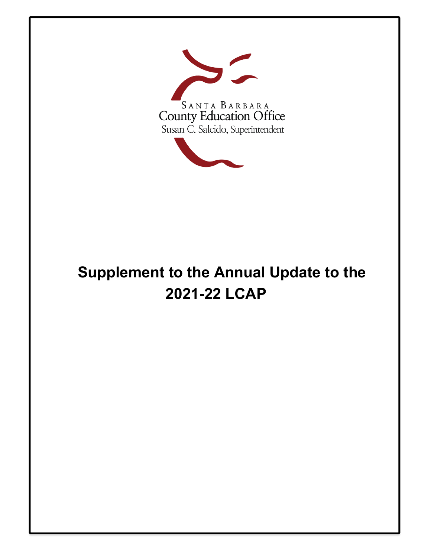

# **Supplement to the Annual Update to the 2021-22 LCAP**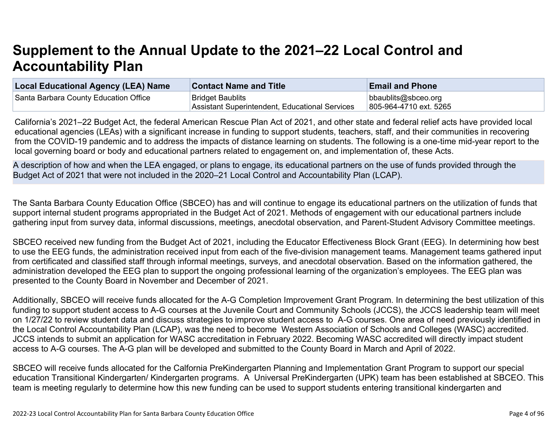# **Supplement to the Annual Update to the 2021–22 Local Control and Accountability Plan**

| <b>Local Educational Agency (LEA) Name</b> | <b>Contact Name and Title</b>                  | <b>Email and Phone</b> |
|--------------------------------------------|------------------------------------------------|------------------------|
| Santa Barbara County Education Office      | <b>Bridget Baublits</b>                        | bbaublits@sbceo.org    |
|                                            | Assistant Superintendent, Educational Services | 805-964-4710 ext. 5265 |

California's 2021–22 Budget Act, the federal American Rescue Plan Act of 2021, and other state and federal relief acts have provided local educational agencies (LEAs) with a significant increase in funding to support students, teachers, staff, and their communities in recovering from the COVID-19 pandemic and to address the impacts of distance learning on students. The following is a one-time mid-year report to the local governing board or body and educational partners related to engagement on, and implementation of, these Acts.

A description of how and when the LEA engaged, or plans to engage, its educational partners on the use of funds provided through the Budget Act of 2021 that were not included in the 2020–21 Local Control and Accountability Plan (LCAP).

The Santa Barbara County Education Office (SBCEO) has and will continue to engage its educational partners on the utilization of funds that support internal student programs appropriated in the Budget Act of 2021. Methods of engagement with our educational partners include gathering input from survey data, informal discussions, meetings, anecdotal observation, and Parent-Student Advisory Committee meetings.

SBCEO received new funding from the Budget Act of 2021, including the Educator Effectiveness Block Grant (EEG). In determining how best to use the EEG funds, the administration received input from each of the five-division management teams. Management teams gathered input from certificated and classified staff through informal meetings, surveys, and anecdotal observation. Based on the information gathered, the administration developed the EEG plan to support the ongoing professional learning of the organization's employees. The EEG plan was presented to the County Board in November and December of 2021.

Additionally, SBCEO will receive funds allocated for the A-G Completion Improvement Grant Program. In determining the best utilization of this funding to support student access to A-G courses at the Juvenile Court and Community Schools (JCCS), the JCCS leadership team will meet on 1/27/22 to review student data and discuss strategies to improve student access to A-G courses. One area of need previously identified in the Local Control Accountability Plan (LCAP), was the need to become Western Association of Schools and Colleges (WASC) accredited. JCCS intends to submit an application for WASC accreditation in February 2022. Becoming WASC accredited will directly impact student access to A-G courses. The A-G plan will be developed and submitted to the County Board in March and April of 2022.

SBCEO will receive funds allocated for the Calfornia PreKindergarten Planning and Implementation Grant Program to support our special education Transitional Kindergarten/ Kindergarten programs. A Universal PreKindergarten (UPK) team has been established at SBCEO. This team is meeting regularly to determine how this new funding can be used to support students entering transitional kindergarten and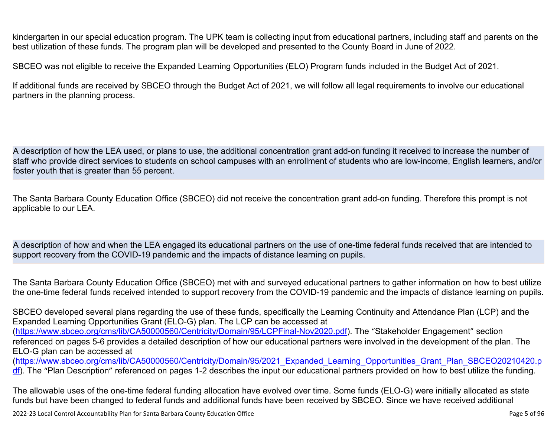kindergarten in our special education program. The UPK team is collecting input from educational partners, including staff and parents on the best utilization of these funds. The program plan will be developed and presented to the County Board in June of 2022.

SBCEO was not eligible to receive the Expanded Learning Opportunities (ELO) Program funds included in the Budget Act of 2021.

If additional funds are received by SBCEO through the Budget Act of 2021, we will follow all legal requirements to involve our educational partners in the planning process.

A description of how the LEA used, or plans to use, the additional concentration grant add-on funding it received to increase the number of staff who provide direct services to students on school campuses with an enrollment of students who are low-income, English learners, and/or foster youth that is greater than 55 percent.

The Santa Barbara County Education Office (SBCEO) did not receive the concentration grant add-on funding. Therefore this prompt is not applicable to our LEA.

A description of how and when the LEA engaged its educational partners on the use of one-time federal funds received that are intended to support recovery from the COVID-19 pandemic and the impacts of distance learning on pupils.

The Santa Barbara County Education Office (SBCEO) met with and surveyed educational partners to gather information on how to best utilize the one-time federal funds received intended to support recovery from the COVID-19 pandemic and the impacts of distance learning on pupils.

SBCEO developed several plans regarding the use of these funds, specifically the Learning Continuity and Attendance Plan (LCP) and the Expanded Learning Opportunities Grant (ELO-G) plan. The LCP can be accessed at ([https://www.sbceo.org/cms/lib/CA50000560/Centricity/Domain/95/LCPFinal-Nov2020.pdf\)](https://www.sbceo.org/cms/lib/CA50000560/Centricity/Domain/95/LCPFinal-Nov2020.pdf). The "Stakeholder Engagement" section referenced on pages 5-6 provides a detailed description of how our educational partners were involved in the development of the plan. The ELO-G plan can be accessed at ([https://www.sbceo.org/cms/lib/CA50000560/Centricity/Domain/95/2021\\_Expanded\\_Learning\\_Opportunities\\_Grant\\_Plan\\_SBCEO20210420.p](https://www.sbceo.org/cms/lib/CA50000560/Centricity/Domain/95/2021_Expanded_Learning_Opportunities_Grant_Plan_SBCEO20210420.pdf)

[df](https://www.sbceo.org/cms/lib/CA50000560/Centricity/Domain/95/2021_Expanded_Learning_Opportunities_Grant_Plan_SBCEO20210420.pdf)). The "Plan Description" referenced on pages 1-2 describes the input our educational partners provided on how to best utilize the funding.

The allowable uses of the one-time federal funding allocation have evolved over time. Some funds (ELO-G) were initially allocated as state funds but have been changed to federal funds and additional funds have been received by SBCEO. Since we have received additional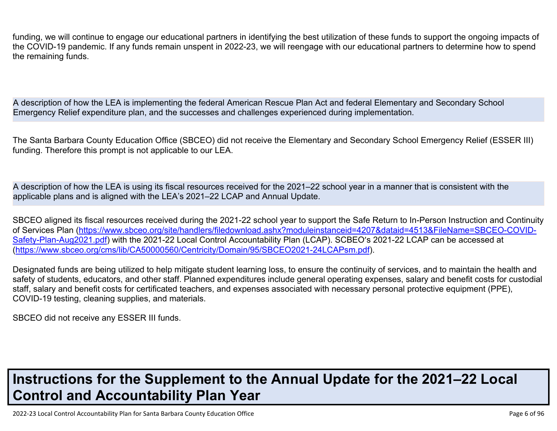funding, we will continue to engage our educational partners in identifying the best utilization of these funds to support the ongoing impacts of the COVID-19 pandemic. If any funds remain unspent in 2022-23, we will reengage with our educational partners to determine how to spend the remaining funds.

A description of how the LEA is implementing the federal American Rescue Plan Act and federal Elementary and Secondary School Emergency Relief expenditure plan, and the successes and challenges experienced during implementation.

The Santa Barbara County Education Office (SBCEO) did not receive the Elementary and Secondary School Emergency Relief (ESSER III) funding. Therefore this prompt is not applicable to our LEA.

A description of how the LEA is using its fiscal resources received for the 2021–22 school year in a manner that is consistent with the applicable plans and is aligned with the LEA's 2021–22 LCAP and Annual Update.

SBCEO aligned its fiscal resources received during the 2021-22 school year to support the Safe Return to In-Person Instruction and Continuity of Services Plan [\(https://www.sbceo.org/site/handlers/filedownload.ashx?moduleinstanceid=4207&dataid=4513&FileName=SBCEO-COVID-](https://www.sbceo.org/site/handlers/filedownload.ashx?moduleinstanceid=4207&dataid=4513&FileName=SBCEO-COVID-Safety-Plan-Aug2021.pdf)[Safety-Plan-Aug2021.pdf](https://www.sbceo.org/site/handlers/filedownload.ashx?moduleinstanceid=4207&dataid=4513&FileName=SBCEO-COVID-Safety-Plan-Aug2021.pdf)) with the 2021-22 Local Control Accountability Plan (LCAP). SCBEO's 2021-22 LCAP can be accessed at ([https://www.sbceo.org/cms/lib/CA50000560/Centricity/Domain/95/SBCEO2021-24LCAPsm.pdf\)](https://www.sbceo.org/cms/lib/CA50000560/Centricity/Domain/95/SBCEO2021-24LCAPsm.pdf).

Designated funds are being utilized to help mitigate student learning loss, to ensure the continuity of services, and to maintain the health and safety of students, educators, and other staff. Planned expenditures include general operating expenses, salary and benefit costs for custodial staff, salary and benefit costs for certificated teachers, and expenses associated with necessary personal protective equipment (PPE), COVID-19 testing, cleaning supplies, and materials.

SBCEO did not receive any ESSER III funds.

# **Instructions for the Supplement to the Annual Update for the 2021–22 Local Control and Accountability Plan Year**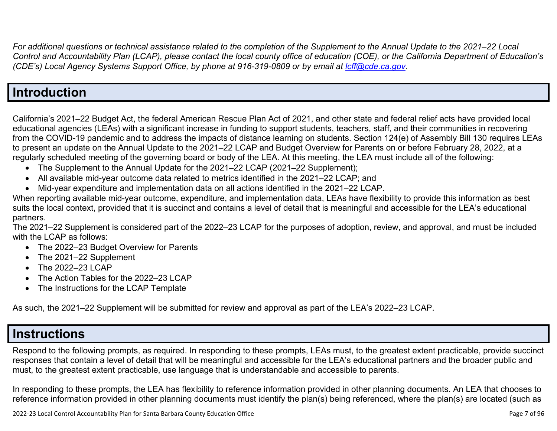*For additional questions or technical assistance related to the completion of the Supplement to the Annual Update to the 2021–22 Local Control and Accountability Plan (LCAP), please contact the local county office of education (COE), or the California Department of Education's (CDE's)* Local Agency Systems Support Office, by phone at 916-319-0809 or by email at *[lcff@cde.ca.gov](mailto:lcff@cde.ca.gov)*.

### **Introduction**

California's 2021–22 Budget Act, the federal American Rescue Plan Act of 2021, and other state and federal relief acts have provided local educational agencies (LEAs) with a significant increase in funding to support students, teachers, staff, and their communities in recovering from the COVID-19 pandemic and to address the impacts of distance learning on students. Section 124(e) of Assembly Bill 130 requires LEAs to present an update on the Annual Update to the 2021–22 LCAP and Budget Overview for Parents on or before February 28, 2022, at a regularly scheduled meeting of the governing board or body of the LEA. At this meeting, the LEA must include all of the following:

- The Supplement to the Annual Update for the 2021–22 LCAP (2021–22 Supplement);
- All available mid-year outcome data related to metrics identified in the 2021–22 LCAP; and
- Mid-year expenditure and implementation data on all actions identified in the 2021–22 LCAP.

When reporting available mid-year outcome, expenditure, and implementation data, LEAs have flexibility to provide this information as best suits the local context, provided that it is succinct and contains a level of detail that is meaningful and accessible for the LEA's educational partners.

The 2021–22 Supplement is considered part of the 2022–23 LCAP for the purposes of adoption, review, and approval, and must be included with the LCAP as follows:

- The 2022–23 Budget Overview for Parents
- The 2021-22 Supplement
- The 2022-23 LCAP
- The Action Tables for the 2022–23 LCAP
- The Instructions for the LCAP Template

As such, the 2021–22 Supplement will be submitted for review and approval as part of the LEA's 2022–23 LCAP.

### **Instructions**

Respond to the following prompts, as required. In responding to these prompts, LEAs must, to the greatest extent practicable, provide succinct responses that contain a level of detail that will be meaningful and accessible for the LEA's educational partners and the broader public and must, to the greatest extent practicable, use language that is understandable and accessible to parents.

In responding to these prompts, the LEA has flexibility to reference information provided in other planning documents. An LEA that chooses to reference information provided in other planning documents must identify the plan(s) being referenced, where the plan(s) are located (such as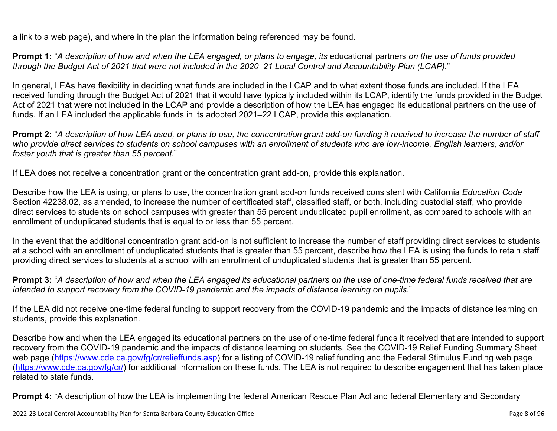a link to a web page), and where in the plan the information being referenced may be found.

**Prompt 1:** "*A description of how and when the LEA engaged, or plans to engage, its* educational partners *on the use of funds provided through the Budget Act of 2021 that were not included in the 2020–21 Local Control and Accountability Plan (LCAP).*"

In general, LEAs have flexibility in deciding what funds are included in the LCAP and to what extent those funds are included. If the LEA received funding through the Budget Act of 2021 that it would have typically included within its LCAP, identify the funds provided in the Budget Act of 2021 that were not included in the LCAP and provide a description of how the LEA has engaged its educational partners on the use of funds. If an LEA included the applicable funds in its adopted 2021–22 LCAP, provide this explanation.

**Prompt 2:** "*A description of how LEA used, or plans to use, the concentration grant add-on funding it received to increase the number of staff who provide direct services to students on school campuses with an enrollment of students who are low-income, English learners, and/or foster youth that is greater than 55 percent.*"

If LEA does not receive a concentration grant or the concentration grant add-on, provide this explanation.

Describe how the LEA is using, or plans to use, the concentration grant add-on funds received consistent with California *Education Code* Section 42238.02, as amended, to increase the number of certificated staff, classified staff, or both, including custodial staff, who provide direct services to students on school campuses with greater than 55 percent unduplicated pupil enrollment, as compared to schools with an enrollment of unduplicated students that is equal to or less than 55 percent.

In the event that the additional concentration grant add-on is not sufficient to increase the number of staff providing direct services to students at a school with an enrollment of unduplicated students that is greater than 55 percent, describe how the LEA is using the funds to retain staff providing direct services to students at a school with an enrollment of unduplicated students that is greater than 55 percent.

**Prompt 3:** "*A description of how and when the LEA engaged its educational partners on the use of one-time federal funds received that are intended to support recovery from the COVID-19 pandemic and the impacts of distance learning on pupils.*"

If the LEA did not receive one-time federal funding to support recovery from the COVID-19 pandemic and the impacts of distance learning on students, provide this explanation.

Describe how and when the LEA engaged its educational partners on the use of one-time federal funds it received that are intended to support recovery from the COVID-19 pandemic and the impacts of distance learning on students. See the COVID-19 Relief Funding Summary Sheet web page [\(https://www.cde.ca.gov/fg/cr/relieffunds.asp\)](https://www.cde.ca.gov/fg/cr/relieffunds.asp) for a listing of COVID-19 relief funding and the Federal Stimulus Funding web page (<https://www.cde.ca.gov/fg/cr/>) for additional information on these funds. The LEA is not required to describe engagement that has taken place related to state funds.

**Prompt 4:** "A description of how the LEA is implementing the federal American Rescue Plan Act and federal Elementary and Secondary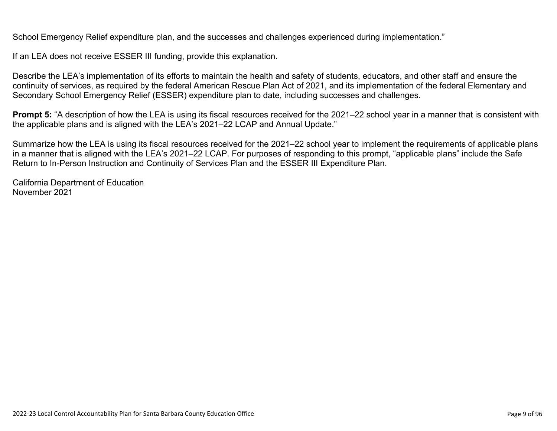School Emergency Relief expenditure plan, and the successes and challenges experienced during implementation."

If an LEA does not receive ESSER III funding, provide this explanation.

Describe the LEA's implementation of its efforts to maintain the health and safety of students, educators, and other staff and ensure the continuity of services, as required by the federal American Rescue Plan Act of 2021, and its implementation of the federal Elementary and Secondary School Emergency Relief (ESSER) expenditure plan to date, including successes and challenges.

**Prompt 5:** "A description of how the LEA is using its fiscal resources received for the 2021–22 school year in a manner that is consistent with the applicable plans and is aligned with the LEA's 2021–22 LCAP and Annual Update."

Summarize how the LEA is using its fiscal resources received for the 2021–22 school year to implement the requirements of applicable plans in a manner that is aligned with the LEA's 2021–22 LCAP. For purposes of responding to this prompt, "applicable plans" include the Safe Return to In-Person Instruction and Continuity of Services Plan and the ESSER III Expenditure Plan.

California Department of Education November 2021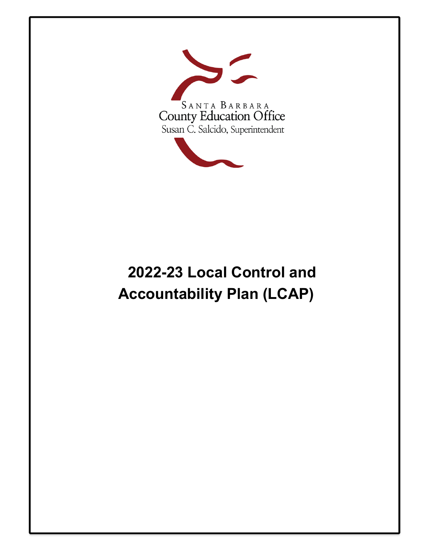

# **2022-23 Local Control and Accountability Plan (LCAP)**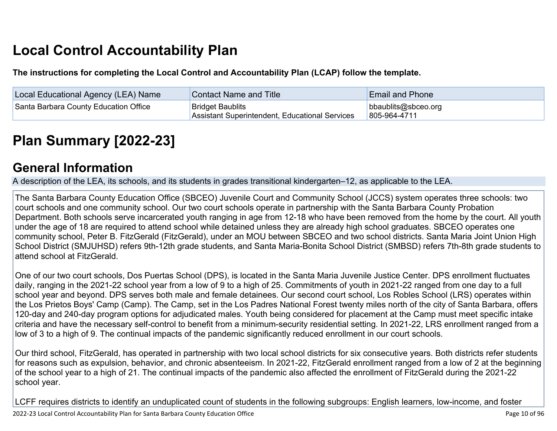# **Local Control Accountability Plan**

**The instructions for completing the Local Control and Accountability Plan (LCAP) follow the template.**

| Local Educational Agency (LEA) Name   | Contact Name and Title                                                    | <b>Email and Phone</b>              |
|---------------------------------------|---------------------------------------------------------------------------|-------------------------------------|
| Santa Barbara County Education Office | <b>Bridget Baublits</b><br>Assistant Superintendent, Educational Services | bbaublits@sbceo.org<br>805-964-4711 |

# **[Plan Summary \[2022-23\]](http://www.doc-tracking.com/screenshots/22LCAP/Instructions/22LCAPInstructions.htm#PlanSummary)**

### **[General Information](http://www.doc-tracking.com/screenshots/22LCAP/Instructions/22LCAPInstructions.htm#generalinformation)**

A description of the LEA, its schools, and its students in grades transitional kindergarten–12, as applicable to the LEA.

The Santa Barbara County Education Office (SBCEO) Juvenile Court and Community School (JCCS) system operates three schools: two court schools and one community school. Our two court schools operate in partnership with the Santa Barbara County Probation Department. Both schools serve incarcerated youth ranging in age from 12-18 who have been removed from the home by the court. All youth under the age of 18 are required to attend school while detained unless they are already high school graduates. SBCEO operates one community school, Peter B. FitzGerald (FitzGerald), under an MOU between SBCEO and two school districts. Santa Maria Joint Union High School District (SMJUHSD) refers 9th-12th grade students, and Santa Maria-Bonita School District (SMBSD) refers 7th-8th grade students to attend school at FitzGerald.

One of our two court schools, Dos Puertas School (DPS), is located in the Santa Maria Juvenile Justice Center. DPS enrollment fluctuates daily, ranging in the 2021-22 school year from a low of 9 to a high of 25. Commitments of youth in 2021-22 ranged from one day to a full school year and beyond. DPS serves both male and female detainees. Our second court school, Los Robles School (LRS) operates within the Los Prietos Boys' Camp (Camp). The Camp, set in the Los Padres National Forest twenty miles north of the city of Santa Barbara, offers 120-day and 240-day program options for adjudicated males. Youth being considered for placement at the Camp must meet specific intake criteria and have the necessary self-control to benefit from a minimum-security residential setting. In 2021-22, LRS enrollment ranged from a low of 3 to a high of 9. The continual impacts of the pandemic significantly reduced enrollment in our court schools.

Our third school, FitzGerald, has operated in partnership with two local school districts for six consecutive years. Both districts refer students for reasons such as expulsion, behavior, and chronic absenteeism. In 2021-22, FitzGerald enrollment ranged from a low of 2 at the beginning of the school year to a high of 21. The continual impacts of the pandemic also affected the enrollment of FitzGerald during the 2021-22 school year.

LCFF requires districts to identify an unduplicated count of students in the following subgroups: English learners, low-income, and foster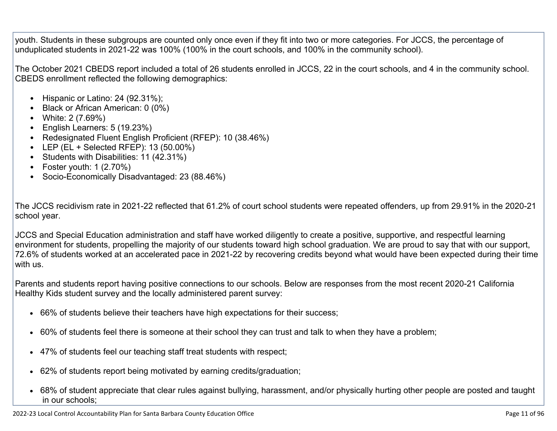youth. Students in these subgroups are counted only once even if they fit into two or more categories. For JCCS, the percentage of unduplicated students in 2021-22 was 100% (100% in the court schools, and 100% in the community school).

The October 2021 CBEDS report included a total of 26 students enrolled in JCCS, 22 in the court schools, and 4 in the community school. CBEDS enrollment reflected the following demographics:

- Hispanic or Latino: 24 (92.31%);
- Black or African American: 0 (0%)
- White: 2 (7.69%)
- English Learners: 5 (19.23%)
- Redesignated Fluent English Proficient (RFEP): 10 (38.46%)
- LEP (EL + Selected RFEP): 13 (50.00%)
- Students with Disabilities: 11 (42.31%)
- Foster youth:  $1(2.70%)$
- Socio-Economically Disadvantaged: 23 (88.46%)

The JCCS recidivism rate in 2021-22 reflected that 61.2% of court school students were repeated offenders, up from 29.91% in the 2020-21 school year.

JCCS and Special Education administration and staff have worked diligently to create a positive, supportive, and respectful learning environment for students, propelling the majority of our students toward high school graduation. We are proud to say that with our support, 72.6% of students worked at an accelerated pace in 2021-22 by recovering credits beyond what would have been expected during their time with us.

Parents and students report having positive connections to our schools. Below are responses from the most recent 2020-21 California Healthy Kids student survey and the locally administered parent survey:

- 66% of students believe their teachers have high expectations for their success;
- 60% of students feel there is someone at their school they can trust and talk to when they have a problem;
- 47% of students feel our teaching staff treat students with respect;
- 62% of students report being motivated by earning credits/graduation;
- 68% of student appreciate that clear rules against bullying, harassment, and/or physically hurting other people are posted and taught in our schools;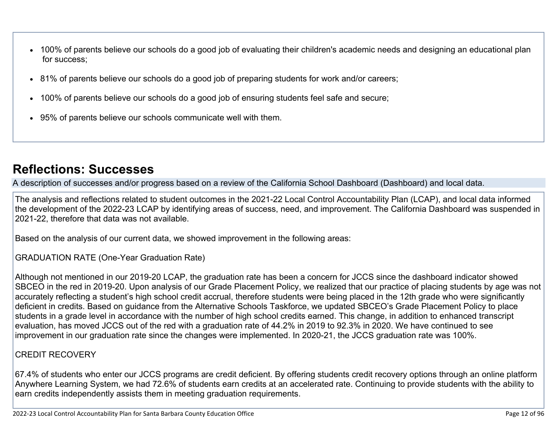- 100% of parents believe our schools do a good job of evaluating their children's academic needs and designing an educational plan for success;
- 81% of parents believe our schools do a good job of preparing students for work and/or careers;
- 100% of parents believe our schools do a good job of ensuring students feel safe and secure;
- 95% of parents believe our schools communicate well with them.

## **[Reflections: Successes](http://www.doc-tracking.com/screenshots/22LCAP/Instructions/22LCAPInstructions.htm#ReflectionsSuccesses)**

A description of successes and/or progress based on a review of the California School Dashboard (Dashboard) and local data.

The analysis and reflections related to student outcomes in the 2021-22 Local Control Accountability Plan (LCAP), and local data informed the development of the 2022-23 LCAP by identifying areas of success, need, and improvement. The California Dashboard was suspended in 2021-22, therefore that data was not available.

Based on the analysis of our current data, we showed improvement in the following areas:

GRADUATION RATE (One-Year Graduation Rate)

Although not mentioned in our 2019-20 LCAP, the graduation rate has been a concern for JCCS since the dashboard indicator showed SBCEO in the red in 2019-20. Upon analysis of our Grade Placement Policy, we realized that our practice of placing students by age was not accurately reflecting a student's high school credit accrual, therefore students were being placed in the 12th grade who were significantly deficient in credits. Based on guidance from the Alternative Schools Taskforce, we updated SBCEO's Grade Placement Policy to place students in a grade level in accordance with the number of high school credits earned. This change, in addition to enhanced transcript evaluation, has moved JCCS out of the red with a graduation rate of 44.2% in 2019 to 92.3% in 2020. We have continued to see improvement in our graduation rate since the changes were implemented. In 2020-21, the JCCS graduation rate was 100%.

#### CREDIT RECOVERY

67.4% of students who enter our JCCS programs are credit deficient. By offering students credit recovery options through an online platform Anywhere Learning System, we had 72.6% of students earn credits at an accelerated rate. Continuing to provide students with the ability to earn credits independently assists them in meeting graduation requirements.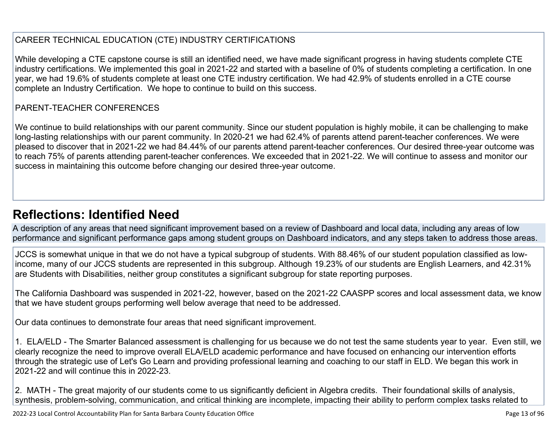#### CAREER TECHNICAL EDUCATION (CTE) INDUSTRY CERTIFICATIONS

While developing a CTE capstone course is still an identified need, we have made significant progress in having students complete CTE industry certifications. We implemented this goal in 2021-22 and started with a baseline of 0% of students completing a certification. In one year, we had 19.6% of students complete at least one CTE industry certification. We had 42.9% of students enrolled in a CTE course complete an Industry Certification. We hope to continue to build on this success.

#### PARENT-TEACHER CONFERENCES

We continue to build relationships with our parent community. Since our student population is highly mobile, it can be challenging to make long-lasting relationships with our parent community. In 2020-21 we had 62.4% of parents attend parent-teacher conferences. We were pleased to discover that in 2021-22 we had 84.44% of our parents attend parent-teacher conferences. Our desired three-year outcome was to reach 75% of parents attending parent-teacher conferences. We exceeded that in 2021-22. We will continue to assess and monitor our success in maintaining this outcome before changing our desired three-year outcome.

### **[Reflections: Identified Need](http://www.doc-tracking.com/screenshots/22LCAP/Instructions/22LCAPInstructions.htm#ReflectionsIdentifiedNeed)**

A description of any areas that need significant improvement based on a review of Dashboard and local data, including any areas of low performance and significant performance gaps among student groups on Dashboard indicators, and any steps taken to address those areas.

JCCS is somewhat unique in that we do not have a typical subgroup of students. With 88.46% of our student population classified as lowincome, many of our JCCS students are represented in this subgroup. Although 19.23% of our students are English Learners, and 42.31% are Students with Disabilities, neither group constitutes a significant subgroup for state reporting purposes.

The California Dashboard was suspended in 2021-22, however, based on the 2021-22 CAASPP scores and local assessment data, we know that we have student groups performing well below average that need to be addressed.

Our data continues to demonstrate four areas that need significant improvement.

1. ELA/ELD - The Smarter Balanced assessment is challenging for us because we do not test the same students year to year. Even still, we clearly recognize the need to improve overall ELA/ELD academic performance and have focused on enhancing our intervention efforts through the strategic use of Let's Go Learn and providing professional learning and coaching to our staff in ELD. We began this work in 2021-22 and will continue this in 2022-23.

2. MATH - The great majority of our students come to us significantly deficient in Algebra credits. Their foundational skills of analysis, synthesis, problem-solving, communication, and critical thinking are incomplete, impacting their ability to perform complex tasks related to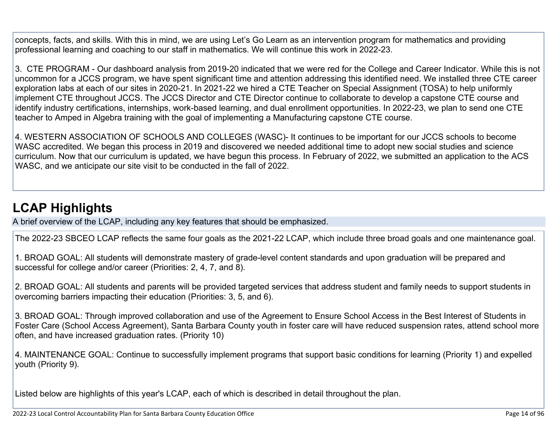concepts, facts, and skills. With this in mind, we are using Let's Go Learn as an intervention program for mathematics and providing professional learning and coaching to our staff in mathematics. We will continue this work in 2022-23.

3. CTE PROGRAM - Our dashboard analysis from 2019-20 indicated that we were red for the College and Career Indicator. While this is not uncommon for a JCCS program, we have spent significant time and attention addressing this identified need. We installed three CTE career exploration labs at each of our sites in 2020-21. In 2021-22 we hired a CTE Teacher on Special Assignment (TOSA) to help uniformly implement CTE throughout JCCS. The JCCS Director and CTE Director continue to collaborate to develop a capstone CTE course and identify industry certifications, internships, work-based learning, and dual enrollment opportunities. In 2022-23, we plan to send one CTE teacher to Amped in Algebra training with the goal of implementing a Manufacturing capstone CTE course.

4. WESTERN ASSOCIATION OF SCHOOLS AND COLLEGES (WASC)- It continues to be important for our JCCS schools to become WASC accredited. We began this process in 2019 and discovered we needed additional time to adopt new social studies and science curriculum. Now that our curriculum is updated, we have begun this process. In February of 2022, we submitted an application to the ACS WASC, and we anticipate our site visit to be conducted in the fall of 2022.

# **[LCAP Highlights](http://www.doc-tracking.com/screenshots/22LCAP/Instructions/22LCAPInstructions.htm#LCAPHighlights)**

A brief overview of the LCAP, including any key features that should be emphasized.

The 2022-23 SBCEO LCAP reflects the same four goals as the 2021-22 LCAP, which include three broad goals and one maintenance goal.

1. BROAD GOAL: All students will demonstrate mastery of grade-level content standards and upon graduation will be prepared and successful for college and/or career (Priorities: 2, 4, 7, and 8).

2. BROAD GOAL: All students and parents will be provided targeted services that address student and family needs to support students in overcoming barriers impacting their education (Priorities: 3, 5, and 6).

3. BROAD GOAL: Through improved collaboration and use of the Agreement to Ensure School Access in the Best Interest of Students in Foster Care (School Access Agreement), Santa Barbara County youth in foster care will have reduced suspension rates, attend school more often, and have increased graduation rates. (Priority 10)

4. MAINTENANCE GOAL: Continue to successfully implement programs that support basic conditions for learning (Priority 1) and expelled youth (Priority 9).

Listed below are highlights of this year's LCAP, each of which is described in detail throughout the plan.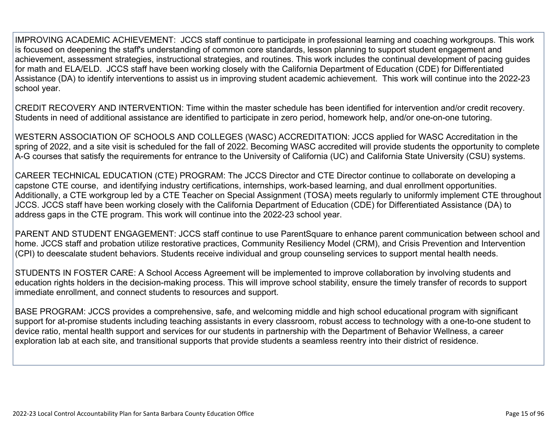IMPROVING ACADEMIC ACHIEVEMENT: JCCS staff continue to participate in professional learning and coaching workgroups. This work is focused on deepening the staff's understanding of common core standards, lesson planning to support student engagement and achievement, assessment strategies, instructional strategies, and routines. This work includes the continual development of pacing guides for math and ELA/ELD. JCCS staff have been working closely with the California Department of Education (CDE) for Differentiated Assistance (DA) to identify interventions to assist us in improving student academic achievement. This work will continue into the 2022-23 school year.

CREDIT RECOVERY AND INTERVENTION: Time within the master schedule has been identified for intervention and/or credit recovery. Students in need of additional assistance are identified to participate in zero period, homework help, and/or one-on-one tutoring.

WESTERN ASSOCIATION OF SCHOOLS AND COLLEGES (WASC) ACCREDITATION: JCCS applied for WASC Accreditation in the spring of 2022, and a site visit is scheduled for the fall of 2022. Becoming WASC accredited will provide students the opportunity to complete A-G courses that satisfy the requirements for entrance to the University of California (UC) and California State University (CSU) systems.

CAREER TECHNICAL EDUCATION (CTE) PROGRAM: The JCCS Director and CTE Director continue to collaborate on developing a capstone CTE course, and identifying industry certifications, internships, work-based learning, and dual enrollment opportunities. Additionally, a CTE workgroup led by a CTE Teacher on Special Assignment (TOSA) meets regularly to uniformly implement CTE throughout JCCS. JCCS staff have been working closely with the California Department of Education (CDE) for Differentiated Assistance (DA) to address gaps in the CTE program. This work will continue into the 2022-23 school year.

PARENT AND STUDENT ENGAGEMENT: JCCS staff continue to use ParentSquare to enhance parent communication between school and home. JCCS staff and probation utilize restorative practices, Community Resiliency Model (CRM), and Crisis Prevention and Intervention (CPI) to deescalate student behaviors. Students receive individual and group counseling services to support mental health needs.

STUDENTS IN FOSTER CARE: A School Access Agreement will be implemented to improve collaboration by involving students and education rights holders in the decision-making process. This will improve school stability, ensure the timely transfer of records to support immediate enrollment, and connect students to resources and support.

BASE PROGRAM: JCCS provides a comprehensive, safe, and welcoming middle and high school educational program with significant support for at-promise students including teaching assistants in every classroom, robust access to technology with a one-to-one student to device ratio, mental health support and services for our students in partnership with the Department of Behavior Wellness, a career exploration lab at each site, and transitional supports that provide students a seamless reentry into their district of residence.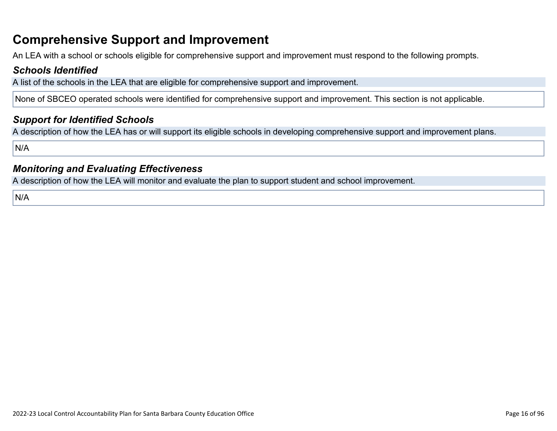### **Comprehensive Support and Improvement**

An LEA with a school or schools eligible for comprehensive support and improvement must respond to the following prompts.

#### *[Schools Identified](http://www.doc-tracking.com/screenshots/22LCAP/Instructions/22LCAPInstructions.htm#SchoolsIdentified)*

A list of the schools in the LEA that are eligible for comprehensive support and improvement.

None of SBCEO operated schools were identified for comprehensive support and improvement. This section is not applicable.

#### *[Support for Identified Schools](http://www.doc-tracking.com/screenshots/22LCAP/Instructions/22LCAPInstructions.htm#SupportforIdentifiedSchools)*

A description of how the LEA has or will support its eligible schools in developing comprehensive support and improvement plans.

N/A

#### *[Monitoring and Evaluating Effectiveness](http://www.doc-tracking.com/screenshots/22LCAP/Instructions/22LCAPInstructions.htm#MonitoringandEvaluatingEffectiveness)*

A description of how the LEA will monitor and evaluate the plan to support student and school improvement.

N/A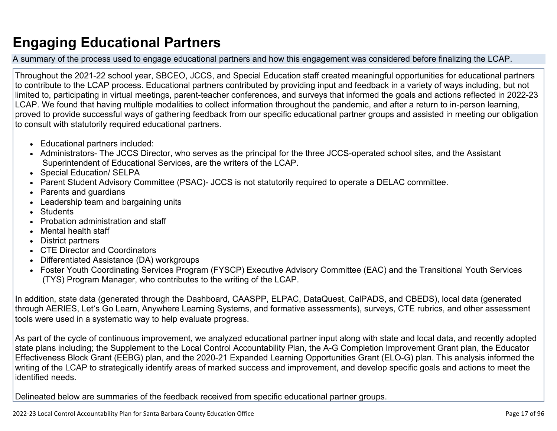# **Engaging Educational Partners**

A summary of the process used to engage educational partners and how this engagement was considered before finalizing the LCAP.

Throughout the 2021-22 school year, SBCEO, JCCS, and Special Education staff created meaningful opportunities for educational partners to contribute to the LCAP process. Educational partners contributed by providing input and feedback in a variety of ways including, but not limited to, participating in virtual meetings, parent-teacher conferences, and surveys that informed the goals and actions reflected in 2022-23 LCAP. We found that having multiple modalities to collect information throughout the pandemic, and after a return to in-person learning, proved to provide successful ways of gathering feedback from our specific educational partner groups and assisted in meeting our obligation to consult with statutorily required educational partners.

- Educational partners included:
- Administrators- The JCCS Director, who serves as the principal for the three JCCS-operated school sites, and the Assistant Superintendent of Educational Services, are the writers of the LCAP.
- Special Education/ SELPA
- Parent Student Advisory Committee (PSAC)- JCCS is not statutorily required to operate a DELAC committee.
- Parents and guardians
- Leadership team and bargaining units
- Students
- Probation administration and staff
- Mental health staff
- District partners
- CTE Director and Coordinators
- Differentiated Assistance (DA) workgroups
- Foster Youth Coordinating Services Program (FYSCP) Executive Advisory Committee (EAC) and the Transitional Youth Services (TYS) Program Manager, who contributes to the writing of the LCAP.

In addition, state data (generated through the Dashboard, CAASPP, ELPAC, DataQuest, CalPADS, and CBEDS), local data (generated through AERIES, Let's Go Learn, Anywhere Learning Systems, and formative assessments), surveys, CTE rubrics, and other assessment tools were used in a systematic way to help evaluate progress.

As part of the cycle of continuous improvement, we analyzed educational partner input along with state and local data, and recently adopted state plans including; the Supplement to the Local Control Accountability Plan, the A-G Completion Improvement Grant plan, the Educator Effectiveness Block Grant (EEBG) plan, and the 2020-21 Expanded Learning Opportunities Grant (ELO-G) plan. This analysis informed the writing of the LCAP to strategically identify areas of marked success and improvement, and develop specific goals and actions to meet the identified needs.

Delineated below are summaries of the feedback received from specific educational partner groups.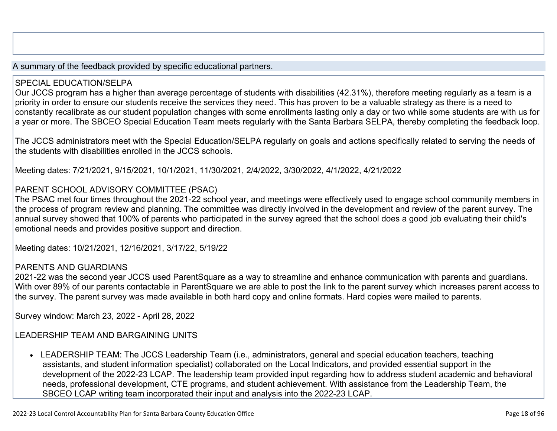A summary of the feedback provided by specific educational partners.

#### SPECIAL EDUCATION/SELPA

Our JCCS program has a higher than average percentage of students with disabilities (42.31%), therefore meeting regularly as a team is a priority in order to ensure our students receive the services they need. This has proven to be a valuable strategy as there is a need to constantly recalibrate as our student population changes with some enrollments lasting only a day or two while some students are with us for a year or more. The SBCEO Special Education Team meets regularly with the Santa Barbara SELPA, thereby completing the feedback loop.

The JCCS administrators meet with the Special Education/SELPA regularly on goals and actions specifically related to serving the needs of the students with disabilities enrolled in the JCCS schools.

Meeting dates: 7/21/2021, 9/15/2021, 10/1/2021, 11/30/2021, 2/4/2022, 3/30/2022, 4/1/2022, 4/21/2022

#### PARENT SCHOOL ADVISORY COMMITTEE (PSAC)

The PSAC met four times throughout the 2021-22 school year, and meetings were effectively used to engage school community members in the process of program review and planning. The committee was directly involved in the development and review of the parent survey. The annual survey showed that 100% of parents who participated in the survey agreed that the school does a good job evaluating their child's emotional needs and provides positive support and direction.

Meeting dates: 10/21/2021, 12/16/2021, 3/17/22, 5/19/22

#### PARENTS AND GUARDIANS

2021-22 was the second year JCCS used ParentSquare as a way to streamline and enhance communication with parents and guardians. With over 89% of our parents contactable in ParentSquare we are able to post the link to the parent survey which increases parent access to the survey. The parent survey was made available in both hard copy and online formats. Hard copies were mailed to parents.

Survey window: March 23, 2022 - April 28, 2022

LEADERSHIP TEAM AND BARGAINING UNITS

• LEADERSHIP TEAM: The JCCS Leadership Team (i.e., administrators, general and special education teachers, teaching assistants, and student information specialist) collaborated on the Local Indicators, and provided essential support in the development of the 2022-23 LCAP. The leadership team provided input regarding how to address student academic and behavioral needs, professional development, CTE programs, and student achievement. With assistance from the Leadership Team, the SBCEO LCAP writing team incorporated their input and analysis into the 2022-23 LCAP.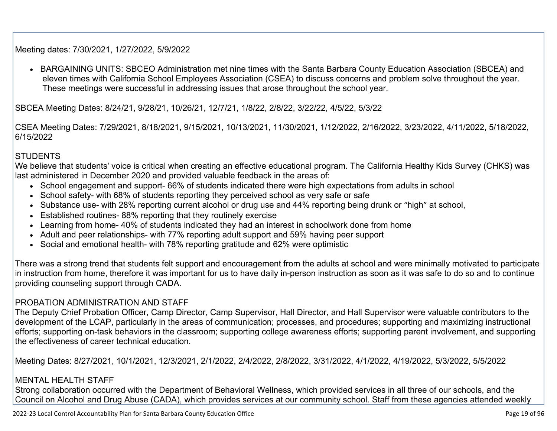Meeting dates: 7/30/2021, 1/27/2022, 5/9/2022

• BARGAINING UNITS: SBCEO Administration met nine times with the Santa Barbara County Education Association (SBCEA) and eleven times with California School Employees Association (CSEA) to discuss concerns and problem solve throughout the year. These meetings were successful in addressing issues that arose throughout the school year.

SBCEA Meeting Dates: 8/24/21, 9/28/21, 10/26/21, 12/7/21, 1/8/22, 2/8/22, 3/22/22, 4/5/22, 5/3/22

CSEA Meeting Dates: 7/29/2021, 8/18/2021, 9/15/2021, 10/13/2021, 11/30/2021, 1/12/2022, 2/16/2022, 3/23/2022, 4/11/2022, 5/18/2022, 6/15/2022

#### **STUDENTS**

We believe that students' voice is critical when creating an effective educational program. The California Healthy Kids Survey (CHKS) was last administered in December 2020 and provided valuable feedback in the areas of:

- School engagement and support- 66% of students indicated there were high expectations from adults in school
- School safety- with 68% of students reporting they perceived school as very safe or safe
- Substance use- with 28% reporting current alcohol or drug use and 44% reporting being drunk or "high" at school,
- Established routines- 88% reporting that they routinely exercise
- Learning from home- 40% of students indicated they had an interest in schoolwork done from home
- Adult and peer relationships- with 77% reporting adult support and 59% having peer support
- Social and emotional health- with 78% reporting gratitude and 62% were optimistic

There was a strong trend that students felt support and encouragement from the adults at school and were minimally motivated to participate in instruction from home, therefore it was important for us to have daily in-person instruction as soon as it was safe to do so and to continue providing counseling support through CADA.

#### PROBATION ADMINISTRATION AND STAFF

The Deputy Chief Probation Officer, Camp Director, Camp Supervisor, Hall Director, and Hall Supervisor were valuable contributors to the development of the LCAP, particularly in the areas of communication; processes, and procedures; supporting and maximizing instructional efforts; supporting on-task behaviors in the classroom; supporting college awareness efforts; supporting parent involvement, and supporting the effectiveness of career technical education.

Meeting Dates: 8/27/2021, 10/1/2021, 12/3/2021, 2/1/2022, 2/4/2022, 2/8/2022, 3/31/2022, 4/1/2022, 4/19/2022, 5/3/2022, 5/5/2022

#### MENTAL HEALTH STAFF

Strong collaboration occurred with the Department of Behavioral Wellness, which provided services in all three of our schools, and the Council on Alcohol and Drug Abuse (CADA), which provides services at our community school. Staff from these agencies attended weekly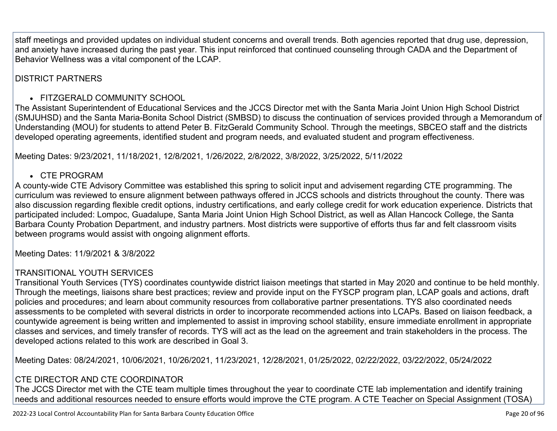staff meetings and provided updates on individual student concerns and overall trends. Both agencies reported that drug use, depression, and anxiety have increased during the past year. This input reinforced that continued counseling through CADA and the Department of Behavior Wellness was a vital component of the LCAP.

#### DISTRICT PARTNERS

#### • FITZGERALD COMMUNITY SCHOOL

The Assistant Superintendent of Educational Services and the JCCS Director met with the Santa Maria Joint Union High School District (SMJUHSD) and the Santa Maria-Bonita School District (SMBSD) to discuss the continuation of services provided through a Memorandum of Understanding (MOU) for students to attend Peter B. FitzGerald Community School. Through the meetings, SBCEO staff and the districts developed operating agreements, identified student and program needs, and evaluated student and program effectiveness.

Meeting Dates: 9/23/2021, 11/18/2021, 12/8/2021, 1/26/2022, 2/8/2022, 3/8/2022, 3/25/2022, 5/11/2022

#### • CTE PROGRAM

A county-wide CTE Advisory Committee was established this spring to solicit input and advisement regarding CTE programming. The curriculum was reviewed to ensure alignment between pathways offered in JCCS schools and districts throughout the county. There was also discussion regarding flexible credit options, industry certifications, and early college credit for work education experience. Districts that participated included: Lompoc, Guadalupe, Santa Maria Joint Union High School District, as well as Allan Hancock College, the Santa Barbara County Probation Department, and industry partners. Most districts were supportive of efforts thus far and felt classroom visits between programs would assist with ongoing alignment efforts.

Meeting Dates: 11/9/2021 & 3/8/2022

#### TRANSITIONAL YOUTH SERVICES

Transitional Youth Services (TYS) coordinates countywide district liaison meetings that started in May 2020 and continue to be held monthly. Through the meetings, liaisons share best practices; review and provide input on the FYSCP program plan, LCAP goals and actions, draft policies and procedures; and learn about community resources from collaborative partner presentations. TYS also coordinated needs assessments to be completed with several districts in order to incorporate recommended actions into LCAPs. Based on liaison feedback, a countywide agreement is being written and implemented to assist in improving school stability, ensure immediate enrollment in appropriate classes and services, and timely transfer of records. TYS will act as the lead on the agreement and train stakeholders in the process. The developed actions related to this work are described in Goal 3.

Meeting Dates: 08/24/2021, 10/06/2021, 10/26/2021, 11/23/2021, 12/28/2021, 01/25/2022, 02/22/2022, 03/22/2022, 05/24/2022

#### CTE DIRECTOR AND CTE COORDINATOR

The JCCS Director met with the CTE team multiple times throughout the year to coordinate CTE lab implementation and identify training needs and additional resources needed to ensure efforts would improve the CTE program. A CTE Teacher on Special Assignment (TOSA)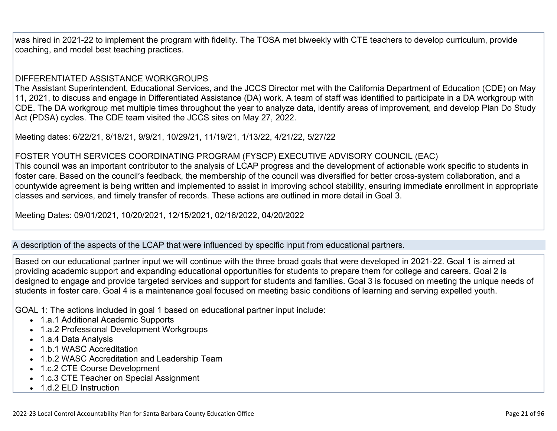was hired in 2021-22 to implement the program with fidelity. The TOSA met biweekly with CTE teachers to develop curriculum, provide coaching, and model best teaching practices.

#### DIFFERENTIATED ASSISTANCE WORKGROUPS

The Assistant Superintendent, Educational Services, and the JCCS Director met with the California Department of Education (CDE) on May 11, 2021, to discuss and engage in Differentiated Assistance (DA) work. A team of staff was identified to participate in a DA workgroup with CDE. The DA workgroup met multiple times throughout the year to analyze data, identify areas of improvement, and develop Plan Do Study Act (PDSA) cycles. The CDE team visited the JCCS sites on May 27, 2022.

Meeting dates: 6/22/21, 8/18/21, 9/9/21, 10/29/21, 11/19/21, 1/13/22, 4/21/22, 5/27/22

#### FOSTER YOUTH SERVICES COORDINATING PROGRAM (FYSCP) EXECUTIVE ADVISORY COUNCIL (EAC)

This council was an important contributor to the analysis of LCAP progress and the development of actionable work specific to students in foster care. Based on the council's feedback, the membership of the council was diversified for better cross-system collaboration, and a countywide agreement is being written and implemented to assist in improving school stability, ensuring immediate enrollment in appropriate classes and services, and timely transfer of records. These actions are outlined in more detail in Goal 3.

Meeting Dates: 09/01/2021, 10/20/2021, 12/15/2021, 02/16/2022, 04/20/2022

#### A description of the aspects of the LCAP that were influenced by specific input from educational partners.

Based on our educational partner input we will continue with the three broad goals that were developed in 2021-22. Goal 1 is aimed at providing academic support and expanding educational opportunities for students to prepare them for college and careers. Goal 2 is designed to engage and provide targeted services and support for students and families. Goal 3 is focused on meeting the unique needs of students in foster care. Goal 4 is a maintenance goal focused on meeting basic conditions of learning and serving expelled youth.

GOAL 1: The actions included in goal 1 based on educational partner input include:

- 1.a.1 Additional Academic Supports
- 1.a.2 Professional Development Workgroups
- 1.a.4 Data Analysis
- 1.b.1 WASC Accreditation
- 1.b.2 WASC Accreditation and Leadership Team
- 1.c.2 CTE Course Development
- 1.c.3 CTE Teacher on Special Assignment
- 1.d.2 FLD Instruction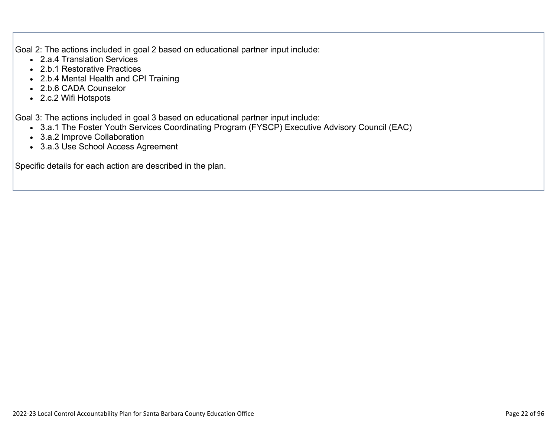Goal 2: The actions included in goal 2 based on educational partner input include:

- 2.a.4 Translation Services
- 2.b.1 Restorative Practices
- 2.b.4 Mental Health and CPI Training
- 2.b.6 CADA Counselor
- 2.c.2 Wifi Hotspots

Goal 3: The actions included in goal 3 based on educational partner input include:

- 3.a.1 The Foster Youth Services Coordinating Program (FYSCP) Executive Advisory Council (EAC)
- 3.a.2 Improve Collaboration
- 3.a.3 Use School Access Agreement

Specific details for each action are described in the plan.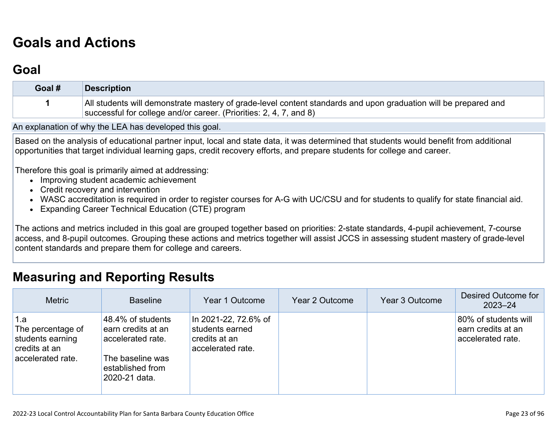# **[Goals and Actions](http://www.doc-tracking.com/screenshots/22LCAP/Instructions/22LCAPInstructions.htm#GoalsandActions)**

### **[Goal](http://www.doc-tracking.com/screenshots/22LCAP/Instructions/22LCAPInstructions.htm#goalDescription)**

| Goal # | Description                                                                                                                                                                           |
|--------|---------------------------------------------------------------------------------------------------------------------------------------------------------------------------------------|
|        | All students will demonstrate mastery of grade-level content standards and upon graduation will be prepared and<br>successful for college and/or career. (Priorities: 2, 4, 7, and 8) |

An explanation of why the LEA has developed this goal.

Based on the analysis of educational partner input, local and state data, it was determined that students would benefit from additional opportunities that target individual learning gaps, credit recovery efforts, and prepare students for college and career.

Therefore this goal is primarily aimed at addressing:

- Improving student academic achievement
- Credit recovery and intervention
- WASC accreditation is required in order to register courses for A-G with UC/CSU and for students to qualify for state financial aid.
- Expanding Career Technical Education (CTE) program

The actions and metrics included in this goal are grouped together based on priorities: 2-state standards, 4-pupil achievement, 7-course access, and 8-pupil outcomes. Grouping these actions and metrics together will assist JCCS in assessing student mastery of grade-level content standards and prepare them for college and careers.

### **[Measuring and Reporting Results](http://www.doc-tracking.com/screenshots/22LCAP/Instructions/22LCAPInstructions.htm#MeasuringandReportingResults)**

| <b>Metric</b>                                                                      | <b>Baseline</b>                                                                                                       | Year 1 Outcome                                                                | Year 2 Outcome | Year 3 Outcome | Desired Outcome for<br>$2023 - 24$                              |
|------------------------------------------------------------------------------------|-----------------------------------------------------------------------------------------------------------------------|-------------------------------------------------------------------------------|----------------|----------------|-----------------------------------------------------------------|
| 1.a<br>The percentage of<br>students earning<br>credits at an<br>accelerated rate. | 48.4% of students<br>earn credits at an<br>accelerated rate.<br>The baseline was<br>established from<br>2020-21 data. | In 2021-22, 72.6% of<br>students earned<br>credits at an<br>accelerated rate. |                |                | 80% of students will<br>earn credits at an<br>accelerated rate. |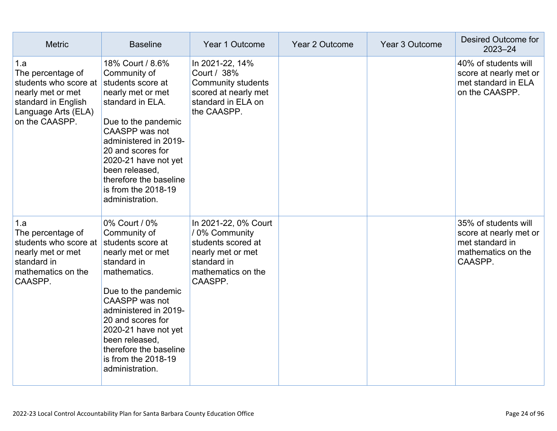| <b>Metric</b>                                                                                                                          | <b>Baseline</b>                                                                                                                                                                                                                                                                                             | Year 1 Outcome                                                                                                                    | Year 2 Outcome | Year 3 Outcome | <b>Desired Outcome for</b><br>$2023 - 24$                                                          |
|----------------------------------------------------------------------------------------------------------------------------------------|-------------------------------------------------------------------------------------------------------------------------------------------------------------------------------------------------------------------------------------------------------------------------------------------------------------|-----------------------------------------------------------------------------------------------------------------------------------|----------------|----------------|----------------------------------------------------------------------------------------------------|
| 1.a<br>The percentage of<br>students who score at<br>nearly met or met<br>standard in English<br>Language Arts (ELA)<br>on the CAASPP. | 18% Court / 8.6%<br>Community of<br>students score at<br>nearly met or met<br>standard in ELA.<br>Due to the pandemic<br>CAASPP was not<br>administered in 2019-<br>20 and scores for<br>2020-21 have not yet<br>been released,<br>therefore the baseline<br>is from the 2018-19<br>administration.         | In 2021-22, 14%<br>Court / 38%<br>Community students<br>scored at nearly met<br>standard in ELA on<br>the CAASPP.                 |                |                | 40% of students will<br>score at nearly met or<br>met standard in ELA<br>on the CAASPP.            |
| 1.a<br>The percentage of<br>students who score at<br>nearly met or met<br>standard in<br>mathematics on the<br>CAASPP.                 | 0% Court / 0%<br>Community of<br>students score at<br>nearly met or met<br>standard in<br>mathematics.<br>Due to the pandemic<br>CAASPP was not<br>administered in 2019-<br>20 and scores for<br>2020-21 have not yet<br>been released,<br>therefore the baseline<br>is from the 2018-19<br>administration. | In 2021-22, 0% Court<br>/ 0% Community<br>students scored at<br>nearly met or met<br>standard in<br>mathematics on the<br>CAASPP. |                |                | 35% of students will<br>score at nearly met or<br>met standard in<br>mathematics on the<br>CAASPP. |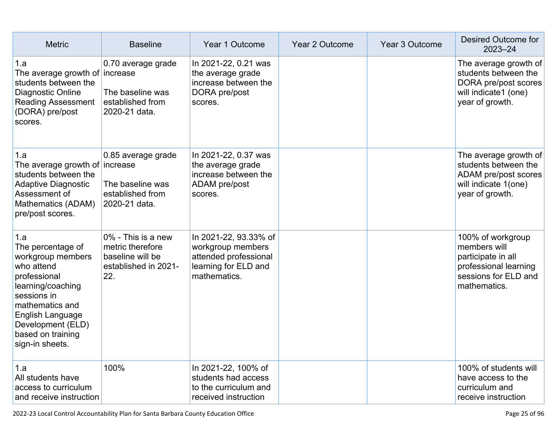| <b>Metric</b>                                                                                                                                                                                                       | <b>Baseline</b>                                                                           | Year 1 Outcome                                                                                              | Year 2 Outcome | Year 3 Outcome | Desired Outcome for<br>$2023 - 24$                                                                                       |
|---------------------------------------------------------------------------------------------------------------------------------------------------------------------------------------------------------------------|-------------------------------------------------------------------------------------------|-------------------------------------------------------------------------------------------------------------|----------------|----------------|--------------------------------------------------------------------------------------------------------------------------|
| 1.a<br>The average growth of increase<br>students between the<br>Diagnostic Online<br><b>Reading Assessment</b><br>(DORA) pre/post<br>scores.                                                                       | 0.70 average grade<br>The baseline was<br>established from<br>2020-21 data.               | In 2021-22, 0.21 was<br>the average grade<br>increase between the<br>DORA pre/post<br>scores.               |                |                | The average growth of<br>students between the<br>DORA pre/post scores<br>will indicate1 (one)<br>year of growth.         |
| 1.a<br>The average growth of increase<br>students between the<br><b>Adaptive Diagnostic</b><br>Assessment of<br>Mathematics (ADAM)<br>pre/post scores.                                                              | 0.85 average grade<br>The baseline was<br>established from<br>2020-21 data.               | In 2021-22, 0.37 was<br>the average grade<br>increase between the<br>ADAM pre/post<br>scores.               |                |                | The average growth of<br>students between the<br>ADAM pre/post scores<br>will indicate 1(one)<br>year of growth.         |
| 1.a<br>The percentage of<br>workgroup members<br>who attend<br>professional<br>learning/coaching<br>sessions in<br>mathematics and<br>English Language<br>Development (ELD)<br>based on training<br>sign-in sheets. | 0% - This is a new<br>metric therefore<br>baseline will be<br>established in 2021-<br>22. | In 2021-22, 93.33% of<br>workgroup members<br>attended professional<br>learning for ELD and<br>mathematics. |                |                | 100% of workgroup<br>members will<br>participate in all<br>professional learning<br>sessions for ELD and<br>mathematics. |
| 1.a<br>All students have<br>access to curriculum<br>and receive instruction                                                                                                                                         | 100%                                                                                      | In 2021-22, 100% of<br>students had access<br>to the curriculum and<br>received instruction                 |                |                | 100% of students will<br>have access to the<br>curriculum and<br>receive instruction                                     |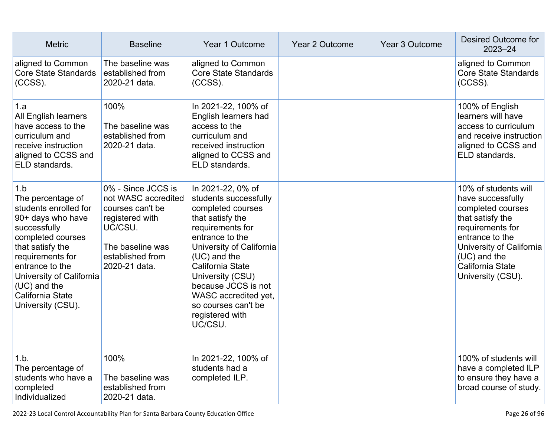| <b>Metric</b>                                                                                                                                                                                                                                                 | <b>Baseline</b>                                                                                                                                      | Year 1 Outcome                                                                                                                                                                                                                                                                                                       | Year 2 Outcome | Year 3 Outcome | Desired Outcome for<br>$2023 - 24$                                                                                                                                                                               |
|---------------------------------------------------------------------------------------------------------------------------------------------------------------------------------------------------------------------------------------------------------------|------------------------------------------------------------------------------------------------------------------------------------------------------|----------------------------------------------------------------------------------------------------------------------------------------------------------------------------------------------------------------------------------------------------------------------------------------------------------------------|----------------|----------------|------------------------------------------------------------------------------------------------------------------------------------------------------------------------------------------------------------------|
| aligned to Common<br><b>Core State Standards</b><br>$(CCSS)$ .                                                                                                                                                                                                | The baseline was<br>established from<br>2020-21 data.                                                                                                | aligned to Common<br><b>Core State Standards</b><br>$(CCSS)$ .                                                                                                                                                                                                                                                       |                |                | aligned to Common<br><b>Core State Standards</b><br>$(CCSS)$ .                                                                                                                                                   |
| 1.a<br>All English learners<br>have access to the<br>curriculum and<br>receive instruction<br>aligned to CCSS and<br>ELD standards.                                                                                                                           | 100%<br>The baseline was<br>established from<br>2020-21 data.                                                                                        | In 2021-22, 100% of<br>English learners had<br>access to the<br>curriculum and<br>received instruction<br>aligned to CCSS and<br>ELD standards.                                                                                                                                                                      |                |                | 100% of English<br>learners will have<br>access to curriculum<br>and receive instruction<br>aligned to CCSS and<br>ELD standards.                                                                                |
| 1.b<br>The percentage of<br>students enrolled for<br>90+ days who have<br>successfully<br>completed courses<br>that satisfy the<br>requirements for<br>entrance to the<br>University of California<br>$(UC)$ and the<br>California State<br>University (CSU). | 0% - Since JCCS is<br>not WASC accredited<br>courses can't be<br>registered with<br>UC/CSU.<br>The baseline was<br>established from<br>2020-21 data. | In 2021-22, 0% of<br>students successfully<br>completed courses<br>that satisfy the<br>requirements for<br>entrance to the<br>University of California<br>$(UC)$ and the<br>California State<br>University (CSU)<br>because JCCS is not<br>WASC accredited yet,<br>so courses can't be<br>registered with<br>UC/CSU. |                |                | 10% of students will<br>have successfully<br>completed courses<br>that satisfy the<br>requirements for<br>entrance to the<br>University of California<br>$(UC)$ and the<br>California State<br>University (CSU). |
| 1.b.<br>The percentage of<br>students who have a<br>completed<br>Individualized                                                                                                                                                                               | 100%<br>The baseline was<br>established from<br>2020-21 data.                                                                                        | In 2021-22, 100% of<br>students had a<br>completed ILP.                                                                                                                                                                                                                                                              |                |                | 100% of students will<br>have a completed ILP<br>to ensure they have a<br>broad course of study.                                                                                                                 |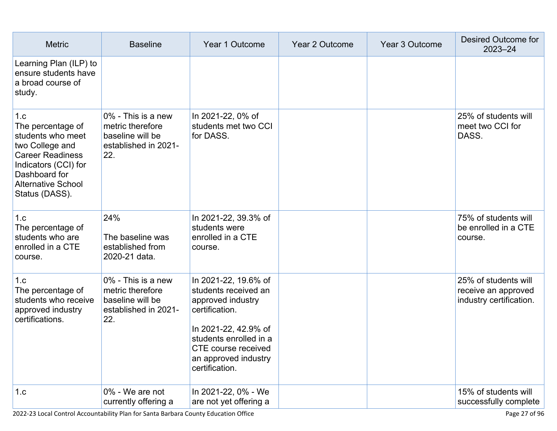| <b>Metric</b>                                                                                                                                                                       | <b>Baseline</b>                                                                           | Year 1 Outcome                                                                                                                                                                                         | Year 2 Outcome | Year 3 Outcome | Desired Outcome for<br>2023-24                                         |
|-------------------------------------------------------------------------------------------------------------------------------------------------------------------------------------|-------------------------------------------------------------------------------------------|--------------------------------------------------------------------------------------------------------------------------------------------------------------------------------------------------------|----------------|----------------|------------------------------------------------------------------------|
| Learning Plan (ILP) to<br>ensure students have<br>a broad course of<br>study.                                                                                                       |                                                                                           |                                                                                                                                                                                                        |                |                |                                                                        |
| 1.c<br>The percentage of<br>students who meet<br>two College and<br><b>Career Readiness</b><br>Indicators (CCI) for<br>Dashboard for<br><b>Alternative School</b><br>Status (DASS). | 0% - This is a new<br>metric therefore<br>baseline will be<br>established in 2021-<br>22. | In 2021-22, 0% of<br>students met two CCI<br>for DASS.                                                                                                                                                 |                |                | 25% of students will<br>meet two CCI for<br>DASS.                      |
| 1.c<br>The percentage of<br>students who are<br>enrolled in a CTE<br>course.                                                                                                        | 24%<br>The baseline was<br>established from<br>2020-21 data.                              | In 2021-22, 39.3% of<br>students were<br>enrolled in a CTE<br>course.                                                                                                                                  |                |                | 75% of students will<br>be enrolled in a CTE<br>course.                |
| 1.c<br>The percentage of<br>students who receive<br>approved industry<br>certifications.                                                                                            | 0% - This is a new<br>metric therefore<br>baseline will be<br>established in 2021-<br>22. | In 2021-22, 19.6% of<br>students received an<br>approved industry<br>certification.<br>In 2021-22, 42.9% of<br>students enrolled in a<br>CTE course received<br>an approved industry<br>certification. |                |                | 25% of students will<br>receive an approved<br>industry certification. |
| 1.c                                                                                                                                                                                 | 0% - We are not<br>currently offering a                                                   | In 2021-22, 0% - We<br>are not yet offering a                                                                                                                                                          |                |                | 15% of students will<br>successfully complete                          |

2022-23 Local Control Accountability Plan for Santa Barbara County Education Office Page 27 of 96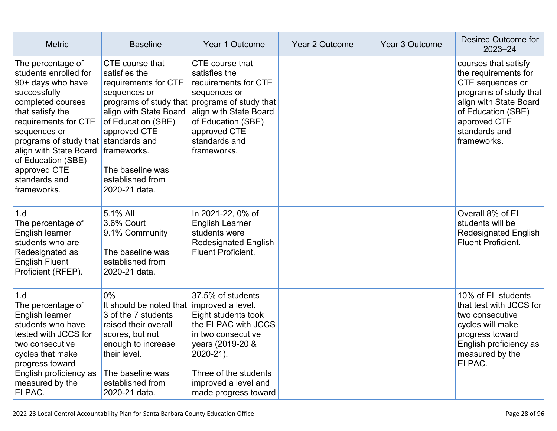| <b>Metric</b>                                                                                                                                                                                                                                                                                            | <b>Baseline</b>                                                                                                                                                                                                     | Year 1 Outcome                                                                                                                                                                                                            | Year 2 Outcome | Year 3 Outcome | Desired Outcome for<br>$2023 - 24$                                                                                                                                                         |
|----------------------------------------------------------------------------------------------------------------------------------------------------------------------------------------------------------------------------------------------------------------------------------------------------------|---------------------------------------------------------------------------------------------------------------------------------------------------------------------------------------------------------------------|---------------------------------------------------------------------------------------------------------------------------------------------------------------------------------------------------------------------------|----------------|----------------|--------------------------------------------------------------------------------------------------------------------------------------------------------------------------------------------|
| The percentage of<br>students enrolled for<br>90+ days who have<br>successfully<br>completed courses<br>that satisfy the<br>requirements for CTE<br>sequences or<br>programs of study that standards and<br>align with State Board<br>of Education (SBE)<br>approved CTE<br>standards and<br>frameworks. | CTE course that<br>satisfies the<br>requirements for CTE<br>sequences or<br>align with State Board<br>of Education (SBE)<br>approved CTE<br>frameworks.<br>The baseline was<br>established from<br>2020-21 data.    | CTE course that<br>satisfies the<br>requirements for CTE<br>sequences or<br>programs of study that programs of study that<br>align with State Board<br>of Education (SBE)<br>approved CTE<br>standards and<br>frameworks. |                |                | courses that satisfy<br>the requirements for<br>CTE sequences or<br>programs of study that<br>align with State Board<br>of Education (SBE)<br>approved CTE<br>standards and<br>frameworks. |
| 1.d<br>The percentage of<br>English learner<br>students who are<br>Redesignated as<br><b>English Fluent</b><br>Proficient (RFEP).                                                                                                                                                                        | 5.1% All<br>3.6% Court<br>9.1% Community<br>The baseline was<br>established from<br>2020-21 data.                                                                                                                   | In 2021-22, 0% of<br><b>English Learner</b><br>students were<br><b>Redesignated English</b><br><b>Fluent Proficient.</b>                                                                                                  |                |                | Overall 8% of EL<br>students will be<br><b>Redesignated English</b><br><b>Fluent Proficient.</b>                                                                                           |
| 1.d<br>The percentage of<br>English learner<br>students who have<br>tested with JCCS for<br>two consecutive<br>cycles that make<br>progress toward<br>English proficiency as<br>measured by the<br>ELPAC.                                                                                                | $0\%$<br>It should be noted that improved a level.<br>3 of the 7 students<br>raised their overall<br>scores, but not<br>enough to increase<br>their level.<br>The baseline was<br>established from<br>2020-21 data. | 37.5% of students<br>Eight students took<br>the ELPAC with JCCS<br>in two consecutive<br>years (2019-20 &<br>2020-21).<br>Three of the students<br>improved a level and<br>made progress toward                           |                |                | 10% of EL students<br>that test with JCCS for<br>two consecutive<br>cycles will make<br>progress toward<br>English proficiency as<br>measured by the<br>ELPAC.                             |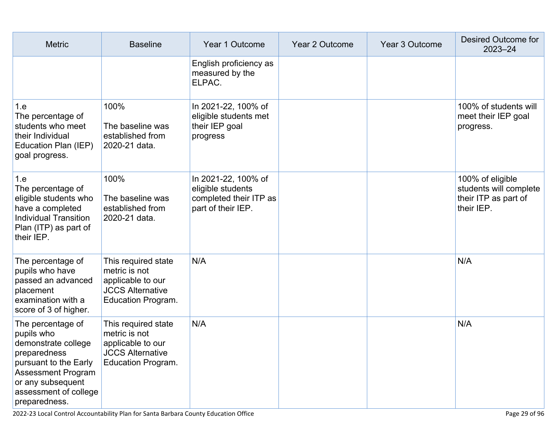| <b>Metric</b>                                                                                                                                                                        | <b>Baseline</b>                                                                                                   | Year 1 Outcome                                                                           | Year 2 Outcome | Year 3 Outcome | Desired Outcome for<br>$2023 - 24$                                               |
|--------------------------------------------------------------------------------------------------------------------------------------------------------------------------------------|-------------------------------------------------------------------------------------------------------------------|------------------------------------------------------------------------------------------|----------------|----------------|----------------------------------------------------------------------------------|
|                                                                                                                                                                                      |                                                                                                                   | English proficiency as<br>measured by the<br>ELPAC.                                      |                |                |                                                                                  |
| 1.e<br>The percentage of<br>students who meet<br>their Individual<br>Education Plan (IEP)<br>goal progress.                                                                          | 100%<br>The baseline was<br>established from<br>2020-21 data.                                                     | In 2021-22, 100% of<br>eligible students met<br>their IEP goal<br>progress               |                |                | 100% of students will<br>meet their IEP goal<br>progress.                        |
| 1.e<br>The percentage of<br>eligible students who<br>have a completed<br><b>Individual Transition</b><br>Plan (ITP) as part of<br>their IEP.                                         | 100%<br>The baseline was<br>established from<br>2020-21 data.                                                     | In 2021-22, 100% of<br>eligible students<br>completed their ITP as<br>part of their IEP. |                |                | 100% of eligible<br>students will complete<br>their ITP as part of<br>their IEP. |
| The percentage of<br>pupils who have<br>passed an advanced<br>placement<br>examination with a<br>score of 3 of higher.                                                               | This required state<br>metric is not<br>applicable to our<br><b>JCCS Alternative</b><br><b>Education Program.</b> | N/A                                                                                      |                |                | N/A                                                                              |
| The percentage of<br>pupils who<br>demonstrate college<br>preparedness<br>pursuant to the Early<br>Assessment Program<br>or any subsequent<br>assessment of college<br>preparedness. | This required state<br>metric is not<br>applicable to our<br><b>JCCS Alternative</b><br><b>Education Program.</b> | N/A                                                                                      |                |                | N/A                                                                              |

2022-23 Local Control Accountability Plan for Santa Barbara County Education Office Page 29 of 96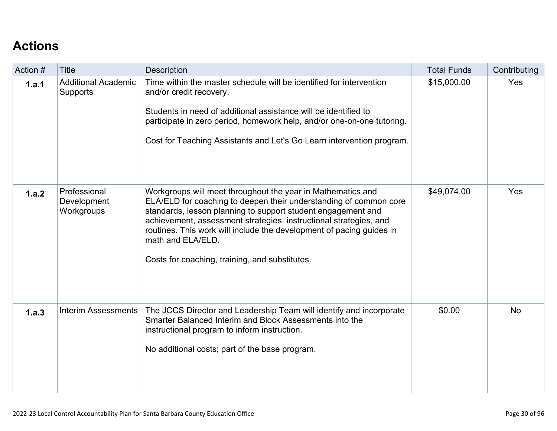# **[Actions](http://www.doc-tracking.com/screenshots/22LCAP/Instructions/22LCAPInstructions.htm#actions)**

| Action # | Title                                         | <b>Description</b>                                                                                                                                                                                                                                                                                                                                                                                                   | <b>Total Funds</b> | Contributing |
|----------|-----------------------------------------------|----------------------------------------------------------------------------------------------------------------------------------------------------------------------------------------------------------------------------------------------------------------------------------------------------------------------------------------------------------------------------------------------------------------------|--------------------|--------------|
| 1.a.1    | <b>Additional Academic</b><br><b>Supports</b> | Time within the master schedule will be identified for intervention<br>and/or credit recovery.<br>Students in need of additional assistance will be identified to<br>participate in zero period, homework help, and/or one-on-one tutoring.<br>Cost for Teaching Assistants and Let's Go Learn intervention program.                                                                                                 | \$15,000.00        | Yes          |
| 1.a.2    | Professional<br>Development<br>Workgroups     | Workgroups will meet throughout the year in Mathematics and<br>ELA/ELD for coaching to deepen their understanding of common core<br>standards, lesson planning to support student engagement and<br>achievement, assessment strategies, instructional strategies, and<br>routines. This work will include the development of pacing guides in<br>math and ELA/ELD.<br>Costs for coaching, training, and substitutes. | \$49,074.00        | Yes          |
| 1.a.3    | <b>Interim Assessments</b>                    | The JCCS Director and Leadership Team will identify and incorporate<br>Smarter Balanced Interim and Block Assessments into the<br>instructional program to inform instruction.<br>No additional costs; part of the base program.                                                                                                                                                                                     | \$0.00             | <b>No</b>    |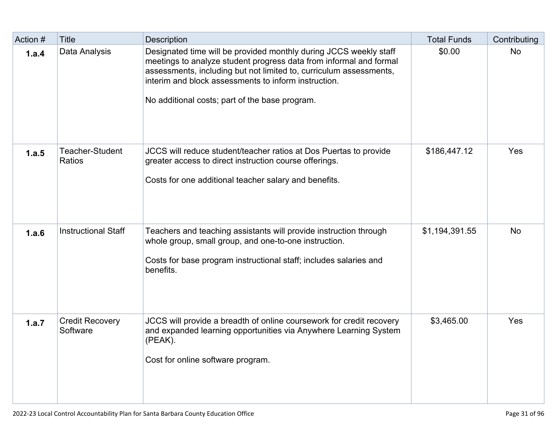| Action # | <b>Title</b>                       | <b>Description</b>                                                                                                                                                                                                                                                                                                      | <b>Total Funds</b> | Contributing |
|----------|------------------------------------|-------------------------------------------------------------------------------------------------------------------------------------------------------------------------------------------------------------------------------------------------------------------------------------------------------------------------|--------------------|--------------|
| 1.a.4    | Data Analysis                      | Designated time will be provided monthly during JCCS weekly staff<br>meetings to analyze student progress data from informal and formal<br>assessments, including but not limited to, curriculum assessments,<br>interim and block assessments to inform instruction.<br>No additional costs; part of the base program. | \$0.00             | <b>No</b>    |
| 1.a.5    | Teacher-Student<br><b>Ratios</b>   | JCCS will reduce student/teacher ratios at Dos Puertas to provide<br>greater access to direct instruction course offerings.<br>Costs for one additional teacher salary and benefits.                                                                                                                                    | \$186,447.12       | Yes          |
| 1.a.6    | <b>Instructional Staff</b>         | Teachers and teaching assistants will provide instruction through<br>whole group, small group, and one-to-one instruction.<br>Costs for base program instructional staff; includes salaries and<br>benefits.                                                                                                            | \$1,194,391.55     | <b>No</b>    |
| 1.a.7    | <b>Credit Recovery</b><br>Software | JCCS will provide a breadth of online coursework for credit recovery<br>and expanded learning opportunities via Anywhere Learning System<br>(PEAK).<br>Cost for online software program.                                                                                                                                | \$3,465.00         | Yes          |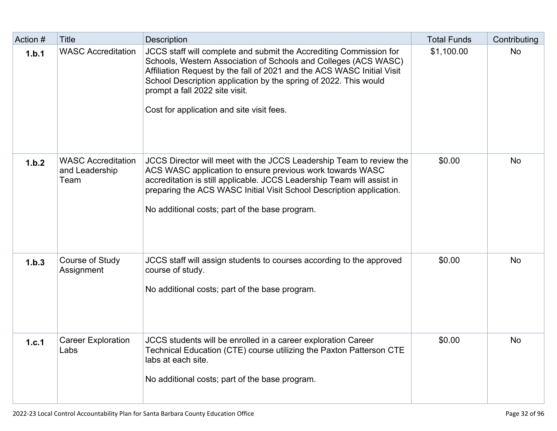| Action # | <b>Title</b>                                        | <b>Description</b>                                                                                                                                                                                                                                                                                                                                                 | <b>Total Funds</b> | Contributing |
|----------|-----------------------------------------------------|--------------------------------------------------------------------------------------------------------------------------------------------------------------------------------------------------------------------------------------------------------------------------------------------------------------------------------------------------------------------|--------------------|--------------|
| 1.b.1    | <b>WASC Accreditation</b>                           | JCCS staff will complete and submit the Accrediting Commission for<br>Schools, Western Association of Schools and Colleges (ACS WASC)<br>Affiliation Request by the fall of 2021 and the ACS WASC Initial Visit<br>School Description application by the spring of 2022. This would<br>prompt a fall 2022 site visit.<br>Cost for application and site visit fees. | \$1,100.00         | <b>No</b>    |
| 1.b.2    | <b>WASC Accreditation</b><br>and Leadership<br>Team | JCCS Director will meet with the JCCS Leadership Team to review the<br>ACS WASC application to ensure previous work towards WASC<br>accreditation is still applicable. JCCS Leadership Team will assist in<br>preparing the ACS WASC Initial Visit School Description application.<br>No additional costs; part of the base program.                               | \$0.00             | <b>No</b>    |
| 1.b.3    | Course of Study<br>Assignment                       | JCCS staff will assign students to courses according to the approved<br>course of study.<br>No additional costs; part of the base program.                                                                                                                                                                                                                         | \$0.00             | <b>No</b>    |
| 1.c.1    | <b>Career Exploration</b><br>Labs                   | JCCS students will be enrolled in a career exploration Career<br>Technical Education (CTE) course utilizing the Paxton Patterson CTE<br>labs at each site.<br>No additional costs; part of the base program.                                                                                                                                                       | \$0.00             | <b>No</b>    |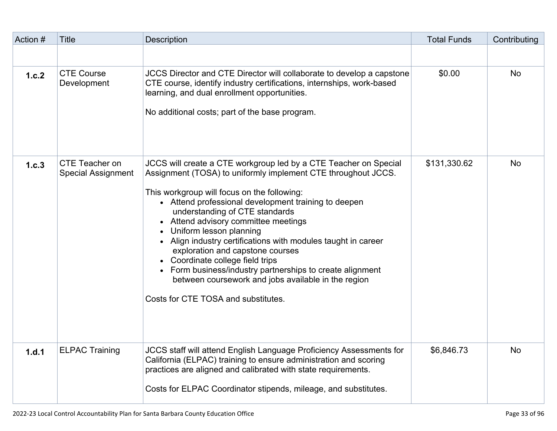| Action # | <b>Title</b>                                | <b>Description</b>                                                                                                                                                                                                                                                                                                                                                                                                                                                                                                                                                                                                                                | <b>Total Funds</b> | Contributing |
|----------|---------------------------------------------|---------------------------------------------------------------------------------------------------------------------------------------------------------------------------------------------------------------------------------------------------------------------------------------------------------------------------------------------------------------------------------------------------------------------------------------------------------------------------------------------------------------------------------------------------------------------------------------------------------------------------------------------------|--------------------|--------------|
|          |                                             |                                                                                                                                                                                                                                                                                                                                                                                                                                                                                                                                                                                                                                                   |                    |              |
| 1.c.2    | <b>CTE Course</b><br>Development            | JCCS Director and CTE Director will collaborate to develop a capstone<br>CTE course, identify industry certifications, internships, work-based<br>learning, and dual enrollment opportunities.<br>No additional costs; part of the base program.                                                                                                                                                                                                                                                                                                                                                                                                  | \$0.00             | <b>No</b>    |
| 1.c.3    | CTE Teacher on<br><b>Special Assignment</b> | JCCS will create a CTE workgroup led by a CTE Teacher on Special<br>Assignment (TOSA) to uniformly implement CTE throughout JCCS.<br>This workgroup will focus on the following:<br>• Attend professional development training to deepen<br>understanding of CTE standards<br>• Attend advisory committee meetings<br>Uniform lesson planning<br>• Align industry certifications with modules taught in career<br>exploration and capstone courses<br>• Coordinate college field trips<br>• Form business/industry partnerships to create alignment<br>between coursework and jobs available in the region<br>Costs for CTE TOSA and substitutes. | \$131,330.62       | <b>No</b>    |
| 1.d.1    | <b>ELPAC Training</b>                       | <b>JCCS staff will attend English Language Proficiency Assessments for</b><br>California (ELPAC) training to ensure administration and scoring<br>practices are aligned and calibrated with state requirements.<br>Costs for ELPAC Coordinator stipends, mileage, and substitutes.                                                                                                                                                                                                                                                                                                                                                                | \$6,846.73         | No           |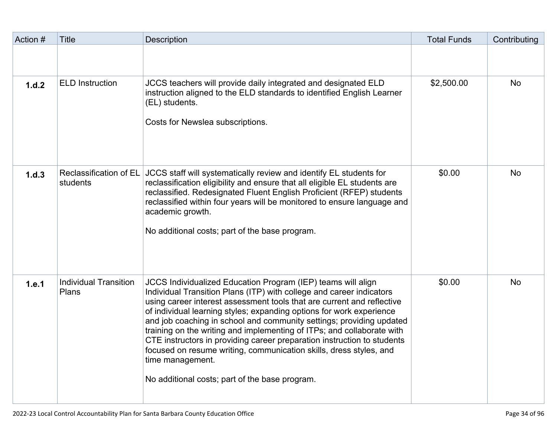| Action # | <b>Title</b>                          | <b>Description</b>                                                                                                                                                                                                                                                                                                                                                                                                                                                                                                                                                                                                                                              | <b>Total Funds</b> | Contributing |
|----------|---------------------------------------|-----------------------------------------------------------------------------------------------------------------------------------------------------------------------------------------------------------------------------------------------------------------------------------------------------------------------------------------------------------------------------------------------------------------------------------------------------------------------------------------------------------------------------------------------------------------------------------------------------------------------------------------------------------------|--------------------|--------------|
|          |                                       |                                                                                                                                                                                                                                                                                                                                                                                                                                                                                                                                                                                                                                                                 |                    |              |
| 1.d.2    | <b>ELD Instruction</b>                | JCCS teachers will provide daily integrated and designated ELD<br>instruction aligned to the ELD standards to identified English Learner<br>(EL) students.<br>Costs for Newslea subscriptions.                                                                                                                                                                                                                                                                                                                                                                                                                                                                  | \$2,500.00         | <b>No</b>    |
| 1.d.3    | Reclassification of EL<br>students    | JCCS staff will systematically review and identify EL students for<br>reclassification eligibility and ensure that all eligible EL students are<br>reclassified. Redesignated Fluent English Proficient (RFEP) students<br>reclassified within four years will be monitored to ensure language and<br>academic growth.<br>No additional costs; part of the base program.                                                                                                                                                                                                                                                                                        | \$0.00             | <b>No</b>    |
| 1.e.1    | <b>Individual Transition</b><br>Plans | JCCS Individualized Education Program (IEP) teams will align<br>Individual Transition Plans (ITP) with college and career indicators<br>using career interest assessment tools that are current and reflective<br>of individual learning styles; expanding options for work experience<br>and job coaching in school and community settings; providing updated<br>training on the writing and implementing of ITPs; and collaborate with<br>CTE instructors in providing career preparation instruction to students<br>focused on resume writing, communication skills, dress styles, and<br>time management.<br>No additional costs; part of the base program. | \$0.00             | <b>No</b>    |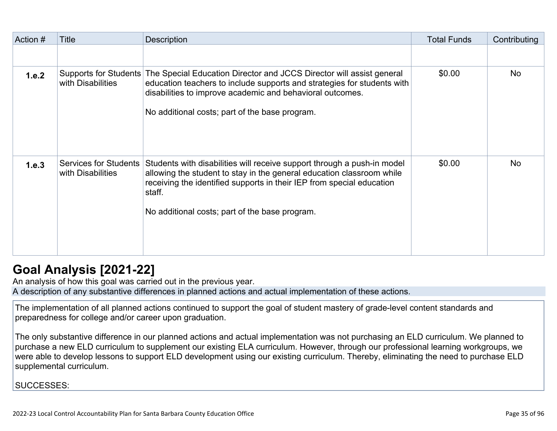| Action # | Title                                             | <b>Description</b>                                                                                                                                                                                                                                                                    | <b>Total Funds</b> | Contributing |
|----------|---------------------------------------------------|---------------------------------------------------------------------------------------------------------------------------------------------------------------------------------------------------------------------------------------------------------------------------------------|--------------------|--------------|
|          |                                                   |                                                                                                                                                                                                                                                                                       |                    |              |
| 1.e.2    | with Disabilities                                 | Supports for Students The Special Education Director and JCCS Director will assist general<br>education teachers to include supports and strategies for students with<br>disabilities to improve academic and behavioral outcomes.<br>No additional costs; part of the base program.  | \$0.00             | <b>No</b>    |
| 1.e.3    | <b>Services for Students</b><br>with Disabilities | Students with disabilities will receive support through a push-in model<br>allowing the student to stay in the general education classroom while<br>receiving the identified supports in their IEP from special education<br>staff.<br>No additional costs; part of the base program. | \$0.00             | <b>No</b>    |

# **[Goal Analysis \[2021-22\]](http://www.doc-tracking.com/screenshots/22LCAP/Instructions/22LCAPInstructions.htm#GoalAnalysis)**

An analysis of how this goal was carried out in the previous year.

A description of any substantive differences in planned actions and actual implementation of these actions.

The implementation of all planned actions continued to support the goal of student mastery of grade-level content standards and preparedness for college and/or career upon graduation.

The only substantive difference in our planned actions and actual implementation was not purchasing an ELD curriculum. We planned to purchase a new ELD curriculum to supplement our existing ELA curriculum. However, through our professional learning workgroups, we were able to develop lessons to support ELD development using our existing curriculum. Thereby, eliminating the need to purchase ELD supplemental curriculum.

SUCCESSES: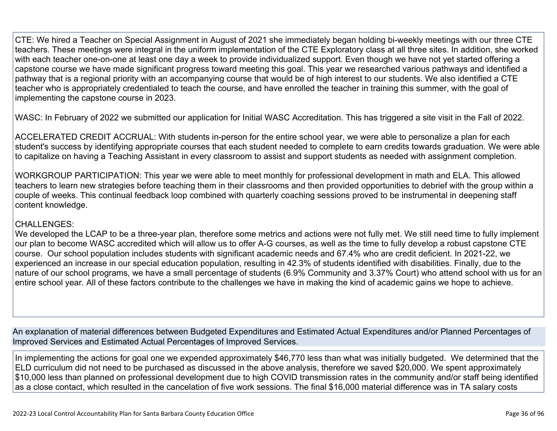CTE: We hired a Teacher on Special Assignment in August of 2021 she immediately began holding bi-weekly meetings with our three CTE teachers. These meetings were integral in the uniform implementation of the CTE Exploratory class at all three sites. In addition, she worked with each teacher one-on-one at least one day a week to provide individualized support. Even though we have not yet started offering a capstone course we have made significant progress toward meeting this goal. This year we researched various pathways and identified a pathway that is a regional priority with an accompanying course that would be of high interest to our students. We also identified a CTE teacher who is appropriately credentialed to teach the course, and have enrolled the teacher in training this summer, with the goal of implementing the capstone course in 2023.

WASC: In February of 2022 we submitted our application for Initial WASC Accreditation. This has triggered a site visit in the Fall of 2022.

ACCELERATED CREDIT ACCRUAL: With students in-person for the entire school year, we were able to personalize a plan for each student's success by identifying appropriate courses that each student needed to complete to earn credits towards graduation. We were able to capitalize on having a Teaching Assistant in every classroom to assist and support students as needed with assignment completion.

WORKGROUP PARTICIPATION: This year we were able to meet monthly for professional development in math and ELA. This allowed teachers to learn new strategies before teaching them in their classrooms and then provided opportunities to debrief with the group within a couple of weeks. This continual feedback loop combined with quarterly coaching sessions proved to be instrumental in deepening staff content knowledge.

#### CHALLENGES:

We developed the LCAP to be a three-year plan, therefore some metrics and actions were not fully met. We still need time to fully implement our plan to become WASC accredited which will allow us to offer A-G courses, as well as the time to fully develop a robust capstone CTE course. Our school population includes students with significant academic needs and 67.4% who are credit deficient. In 2021-22, we experienced an increase in our special education population, resulting in 42.3% of students identified with disabilities. Finally, due to the nature of our school programs, we have a small percentage of students (6.9% Community and 3.37% Court) who attend school with us for an entire school year. All of these factors contribute to the challenges we have in making the kind of academic gains we hope to achieve.

An explanation of material differences between Budgeted Expenditures and Estimated Actual Expenditures and/or Planned Percentages of Improved Services and Estimated Actual Percentages of Improved Services.

In implementing the actions for goal one we expended approximately \$46,770 less than what was initially budgeted. We determined that the ELD curriculum did not need to be purchased as discussed in the above analysis, therefore we saved \$20,000. We spent approximately \$10,000 less than planned on professional development due to high COVID transmission rates in the community and/or staff being identified as a close contact, which resulted in the cancelation of five work sessions. The final \$16,000 material difference was in TA salary costs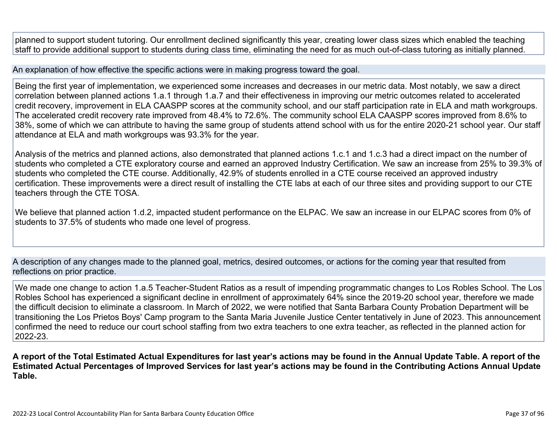planned to support student tutoring. Our enrollment declined significantly this year, creating lower class sizes which enabled the teaching staff to provide additional support to students during class time, eliminating the need for as much out-of-class tutoring as initially planned.

An explanation of how effective the specific actions were in making progress toward the goal.

Being the first year of implementation, we experienced some increases and decreases in our metric data. Most notably, we saw a direct correlation between planned actions 1.a.1 through 1.a.7 and their effectiveness in improving our metric outcomes related to accelerated credit recovery, improvement in ELA CAASPP scores at the community school, and our staff participation rate in ELA and math workgroups. The accelerated credit recovery rate improved from 48.4% to 72.6%. The community school ELA CAASPP scores improved from 8.6% to 38%, some of which we can attribute to having the same group of students attend school with us for the entire 2020-21 school year. Our staff attendance at ELA and math workgroups was 93.3% for the year.

Analysis of the metrics and planned actions, also demonstrated that planned actions 1.c.1 and 1.c.3 had a direct impact on the number of students who completed a CTE exploratory course and earned an approved Industry Certification. We saw an increase from 25% to 39.3% of students who completed the CTE course. Additionally, 42.9% of students enrolled in a CTE course received an approved industry certification. These improvements were a direct result of installing the CTE labs at each of our three sites and providing support to our CTE teachers through the CTE TOSA.

We believe that planned action 1.d.2, impacted student performance on the ELPAC. We saw an increase in our ELPAC scores from 0% of students to 37.5% of students who made one level of progress.

A description of any changes made to the planned goal, metrics, desired outcomes, or actions for the coming year that resulted from reflections on prior practice.

We made one change to action 1.a.5 Teacher-Student Ratios as a result of impending programmatic changes to Los Robles School. The Los Robles School has experienced a significant decline in enrollment of approximately 64% since the 2019-20 school year, therefore we made the difficult decision to eliminate a classroom. In March of 2022, we were notified that Santa Barbara County Probation Department will be transitioning the Los Prietos Boys' Camp program to the Santa Maria Juvenile Justice Center tentatively in June of 2023. This announcement confirmed the need to reduce our court school staffing from two extra teachers to one extra teacher, as reflected in the planned action for 2022-23.

**A report of the Total Estimated Actual Expenditures for last year's actions may be found in the Annual Update Table. A report of the Estimated Actual Percentages of Improved Services for last year's actions may be found in the Contributing Actions Annual Update Table.**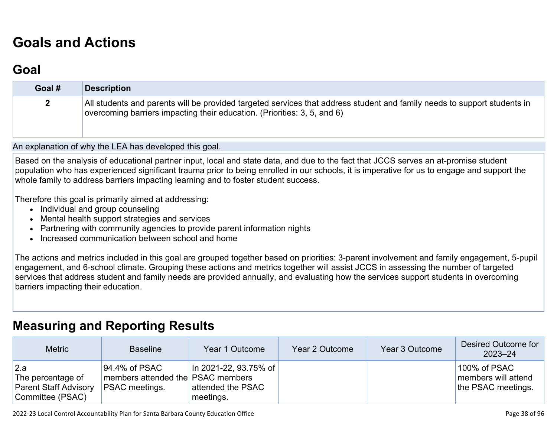# **[Goals and Actions](http://www.doc-tracking.com/screenshots/22LCAP/Instructions/22LCAPInstructions.htm#GoalsandActions)**

### **[Goal](http://www.doc-tracking.com/screenshots/22LCAP/Instructions/22LCAPInstructions.htm#goalDescription)**

| Goal # | <b>Description</b>                                                                                                                                                                                   |
|--------|------------------------------------------------------------------------------------------------------------------------------------------------------------------------------------------------------|
|        | All students and parents will be provided targeted services that address student and family needs to support students in<br>overcoming barriers impacting their education. (Priorities: 3, 5, and 6) |

An explanation of why the LEA has developed this goal.

Based on the analysis of educational partner input, local and state data, and due to the fact that JCCS serves an at-promise student population who has experienced significant trauma prior to being enrolled in our schools, it is imperative for us to engage and support the whole family to address barriers impacting learning and to foster student success.

Therefore this goal is primarily aimed at addressing:

- Individual and group counseling
- Mental health support strategies and services
- Partnering with community agencies to provide parent information nights
- Increased communication between school and home

The actions and metrics included in this goal are grouped together based on priorities: 3-parent involvement and family engagement, 5-pupil engagement, and 6-school climate. Grouping these actions and metrics together will assist JCCS in assessing the number of targeted services that address student and family needs are provided annually, and evaluating how the services support students in overcoming barriers impacting their education.

### **[Measuring and Reporting Results](http://www.doc-tracking.com/screenshots/22LCAP/Instructions/22LCAPInstructions.htm#MeasuringandReportingResults)**

| <b>Metric</b>                                                                | <b>Baseline</b>                                                             | Year 1 Outcome                                                | Year 2 Outcome | Year 3 Outcome | Desired Outcome for<br>$2023 - 24$                        |
|------------------------------------------------------------------------------|-----------------------------------------------------------------------------|---------------------------------------------------------------|----------------|----------------|-----------------------------------------------------------|
| 2.a<br>The percentage of<br><b>Parent Staff Advisory</b><br>Committee (PSAC) | 94.4% of PSAC<br>members attended the PSAC members<br><b>PSAC</b> meetings. | $\ln 2021 - 22, 93.75\%$ of<br>attended the PSAC<br>meetings. |                |                | 100% of PSAC<br>members will attend<br>the PSAC meetings. |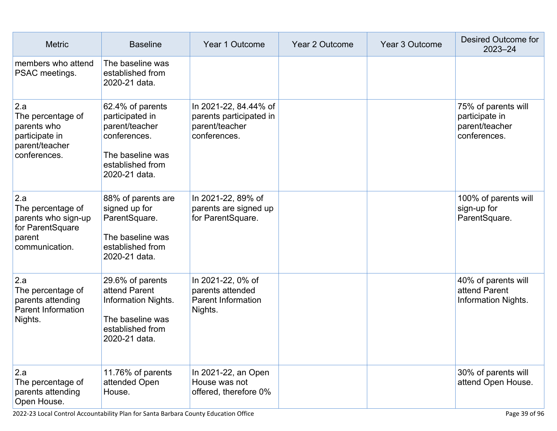| <b>Metric</b>                                                                                   | <b>Baseline</b>                                                                                                                | Year 1 Outcome                                                                     | Year 2 Outcome | Year 3 Outcome | <b>Desired Outcome for</b><br>$2023 - 24$                               |
|-------------------------------------------------------------------------------------------------|--------------------------------------------------------------------------------------------------------------------------------|------------------------------------------------------------------------------------|----------------|----------------|-------------------------------------------------------------------------|
| members who attend<br>PSAC meetings.                                                            | The baseline was<br>established from<br>2020-21 data.                                                                          |                                                                                    |                |                |                                                                         |
| 2.a<br>The percentage of<br>parents who<br>participate in<br>parent/teacher<br>conferences.     | 62.4% of parents<br>participated in<br>parent/teacher<br>conferences.<br>The baseline was<br>established from<br>2020-21 data. | In 2021-22, 84.44% of<br>parents participated in<br>parent/teacher<br>conferences. |                |                | 75% of parents will<br>participate in<br>parent/teacher<br>conferences. |
| 2.a<br>The percentage of<br>parents who sign-up<br>for ParentSquare<br>parent<br>communication. | 88% of parents are<br>signed up for<br>ParentSquare.<br>The baseline was<br>established from<br>2020-21 data.                  | In 2021-22, 89% of<br>parents are signed up<br>for ParentSquare.                   |                |                | 100% of parents will<br>sign-up for<br>ParentSquare.                    |
| 2.a<br>The percentage of<br>parents attending<br><b>Parent Information</b><br>Nights.           | 29.6% of parents<br>attend Parent<br>Information Nights.<br>The baseline was<br>established from<br>2020-21 data.              | In 2021-22, 0% of<br>parents attended<br><b>Parent Information</b><br>Nights.      |                |                | 40% of parents will<br>attend Parent<br><b>Information Nights.</b>      |
| 2.a<br>The percentage of<br>parents attending<br>Open House.                                    | 11.76% of parents<br>attended Open<br>House.                                                                                   | In 2021-22, an Open<br>House was not<br>offered, therefore 0%                      |                |                | 30% of parents will<br>attend Open House.                               |

2022-23 Local Control Accountability Plan for Santa Barbara County Education Office Page 39 of 96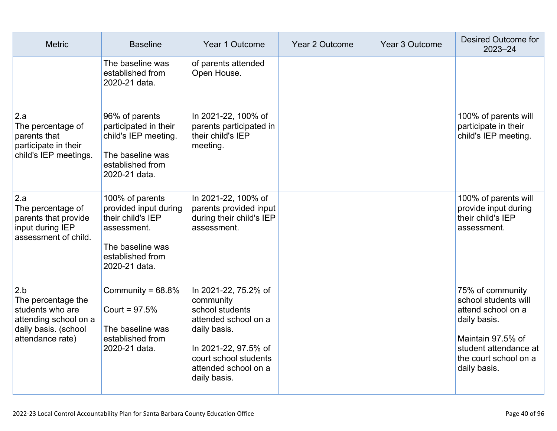| <b>Metric</b>                                                                                                      | <b>Baseline</b>                                                                                                                       | Year 1 Outcome                                                                                                                                                                        | Year 2 Outcome | Year 3 Outcome | <b>Desired Outcome for</b><br>$2023 - 24$                                                                                                                             |
|--------------------------------------------------------------------------------------------------------------------|---------------------------------------------------------------------------------------------------------------------------------------|---------------------------------------------------------------------------------------------------------------------------------------------------------------------------------------|----------------|----------------|-----------------------------------------------------------------------------------------------------------------------------------------------------------------------|
|                                                                                                                    | The baseline was<br>established from<br>2020-21 data.                                                                                 | of parents attended<br>Open House.                                                                                                                                                    |                |                |                                                                                                                                                                       |
| 2.a<br>The percentage of<br>parents that<br>participate in their<br>child's IEP meetings.                          | 96% of parents<br>participated in their<br>child's IEP meeting.<br>The baseline was<br>established from<br>2020-21 data.              | In 2021-22, 100% of<br>parents participated in<br>their child's IEP<br>meeting.                                                                                                       |                |                | 100% of parents will<br>participate in their<br>child's IEP meeting.                                                                                                  |
| 2.a<br>The percentage of<br>parents that provide<br>input during IEP<br>assessment of child.                       | 100% of parents<br>provided input during<br>their child's IEP<br>assessment.<br>The baseline was<br>established from<br>2020-21 data. | In 2021-22, 100% of<br>parents provided input<br>during their child's IEP<br>assessment.                                                                                              |                |                | 100% of parents will<br>provide input during<br>their child's IEP<br>assessment.                                                                                      |
| 2.b<br>The percentage the<br>students who are<br>attending school on a<br>daily basis. (school<br>attendance rate) | Community = $68.8\%$<br>Court = $97.5%$<br>The baseline was<br>established from<br>2020-21 data.                                      | In 2021-22, 75.2% of<br>community<br>school students<br>attended school on a<br>daily basis.<br>In 2021-22, 97.5% of<br>court school students<br>attended school on a<br>daily basis. |                |                | 75% of community<br>school students will<br>attend school on a<br>daily basis.<br>Maintain 97.5% of<br>student attendance at<br>the court school on a<br>daily basis. |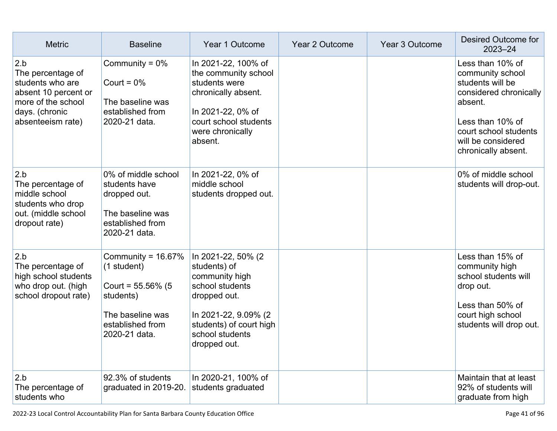| <b>Metric</b>                                                                                                                     | <b>Baseline</b>                                                                                                                    | Year 1 Outcome                                                                                                                                                                | <b>Year 2 Outcome</b> | Year 3 Outcome | Desired Outcome for<br>$2023 - 24$                                                                                                                                                      |
|-----------------------------------------------------------------------------------------------------------------------------------|------------------------------------------------------------------------------------------------------------------------------------|-------------------------------------------------------------------------------------------------------------------------------------------------------------------------------|-----------------------|----------------|-----------------------------------------------------------------------------------------------------------------------------------------------------------------------------------------|
| 2.b<br>The percentage of<br>students who are<br>absent 10 percent or<br>more of the school<br>days. (chronic<br>absenteeism rate) | Community = $0\%$<br>Court = $0\%$<br>The baseline was<br>established from<br>2020-21 data.                                        | In 2021-22, 100% of<br>the community school<br>students were<br>chronically absent.<br>In 2021-22, 0% of<br>court school students<br>were chronically<br>absent.              |                       |                | Less than 10% of<br>community school<br>students will be<br>considered chronically<br>absent.<br>Less than 10% of<br>court school students<br>will be considered<br>chronically absent. |
| 2.b<br>The percentage of<br>middle school<br>students who drop<br>out. (middle school<br>dropout rate)                            | 0% of middle school<br>students have<br>dropped out.<br>The baseline was<br>established from<br>2020-21 data.                      | In 2021-22, 0% of<br>middle school<br>students dropped out.                                                                                                                   |                       |                | 0% of middle school<br>students will drop-out.                                                                                                                                          |
| 2.b<br>The percentage of<br>high school students<br>who drop out. (high<br>school dropout rate)                                   | Community = $16.67\%$<br>(1 student)<br>Court = $55.56\%$ (5<br>students)<br>The baseline was<br>established from<br>2020-21 data. | In 2021-22, 50% (2<br>students) of<br>community high<br>school students<br>dropped out.<br>In 2021-22, 9.09% (2<br>students) of court high<br>school students<br>dropped out. |                       |                | Less than 15% of<br>community high<br>school students will<br>drop out.<br>Less than 50% of<br>court high school<br>students will drop out.                                             |
| 2.b<br>The percentage of<br>students who                                                                                          | 92.3% of students<br>graduated in 2019-20.                                                                                         | In 2020-21, 100% of<br>students graduated                                                                                                                                     |                       |                | Maintain that at least<br>92% of students will<br>graduate from high                                                                                                                    |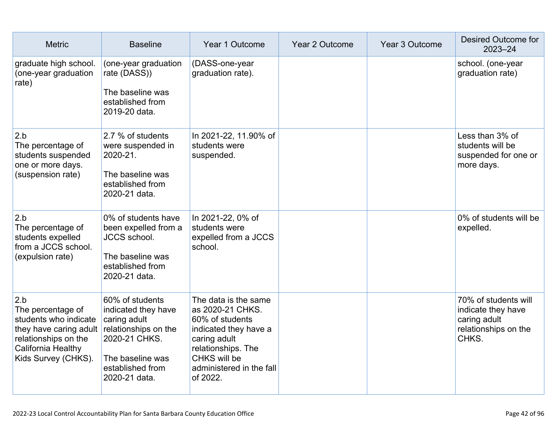| <b>Metric</b>                                                                                                                                    | <b>Baseline</b>                                                                                                                                          | Year 1 Outcome                                                                                                                                                                     | Year 2 Outcome | Year 3 Outcome | Desired Outcome for<br>2023-24                                                              |
|--------------------------------------------------------------------------------------------------------------------------------------------------|----------------------------------------------------------------------------------------------------------------------------------------------------------|------------------------------------------------------------------------------------------------------------------------------------------------------------------------------------|----------------|----------------|---------------------------------------------------------------------------------------------|
| graduate high school.<br>(one-year graduation<br>rate)                                                                                           | (one-year graduation<br>rate (DASS))<br>The baseline was<br>established from<br>2019-20 data.                                                            | (DASS-one-year<br>graduation rate).                                                                                                                                                |                |                | school. (one-year<br>graduation rate)                                                       |
| 2.b<br>The percentage of<br>students suspended<br>one or more days.<br>(suspension rate)                                                         | 2.7 % of students<br>were suspended in<br>2020-21.<br>The baseline was<br>established from<br>2020-21 data.                                              | In 2021-22, 11.90% of<br>students were<br>suspended.                                                                                                                               |                |                | Less than 3% of<br>students will be<br>suspended for one or<br>more days.                   |
| 2.b<br>The percentage of<br>students expelled<br>from a JCCS school.<br>(expulsion rate)                                                         | 0% of students have<br>been expelled from a<br><b>JCCS</b> school.<br>The baseline was<br>established from<br>2020-21 data.                              | In 2021-22, 0% of<br>students were<br>expelled from a JCCS<br>school.                                                                                                              |                |                | 0% of students will be<br>expelled.                                                         |
| 2.b<br>The percentage of<br>students who indicate<br>they have caring adult<br>relationships on the<br>California Healthy<br>Kids Survey (CHKS). | 60% of students<br>indicated they have<br>caring adult<br>relationships on the<br>2020-21 CHKS.<br>The baseline was<br>established from<br>2020-21 data. | The data is the same<br>as 2020-21 CHKS.<br>60% of students<br>indicated they have a<br>caring adult<br>relationships. The<br>CHKS will be<br>administered in the fall<br>of 2022. |                |                | 70% of students will<br>indicate they have<br>caring adult<br>relationships on the<br>CHKS. |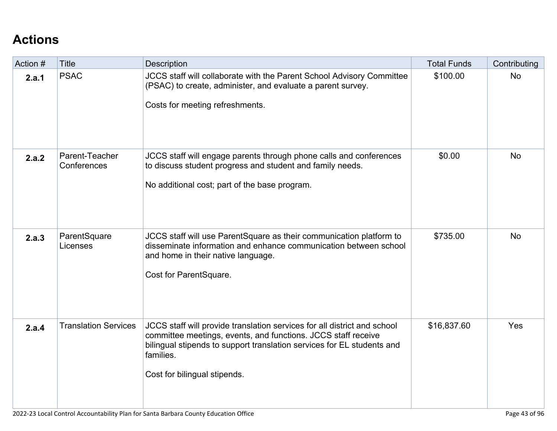# **[Actions](http://www.doc-tracking.com/screenshots/22LCAP/Instructions/22LCAPInstructions.htm#actions)**

| Action # | <b>Title</b>                  | <b>Description</b>                                                                                                                                                                                                                                               | <b>Total Funds</b> | Contributing |
|----------|-------------------------------|------------------------------------------------------------------------------------------------------------------------------------------------------------------------------------------------------------------------------------------------------------------|--------------------|--------------|
| 2.a.1    | <b>PSAC</b>                   | JCCS staff will collaborate with the Parent School Advisory Committee<br>(PSAC) to create, administer, and evaluate a parent survey.<br>Costs for meeting refreshments.                                                                                          | \$100.00           | <b>No</b>    |
| 2.a.2    | Parent-Teacher<br>Conferences | JCCS staff will engage parents through phone calls and conferences<br>to discuss student progress and student and family needs.<br>No additional cost; part of the base program.                                                                                 | \$0.00             | <b>No</b>    |
| 2.a.3    | ParentSquare<br>Licenses      | JCCS staff will use ParentSquare as their communication platform to<br>disseminate information and enhance communication between school<br>and home in their native language.<br>Cost for ParentSquare.                                                          | \$735.00           | <b>No</b>    |
| 2.a.4    | <b>Translation Services</b>   | JCCS staff will provide translation services for all district and school<br>committee meetings, events, and functions. JCCS staff receive<br>bilingual stipends to support translation services for EL students and<br>families.<br>Cost for bilingual stipends. | \$16,837.60        | Yes          |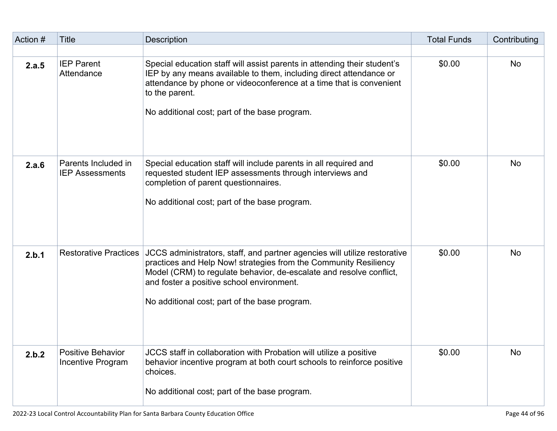| Action # | <b>Title</b>                                  | <b>Description</b>                                                                                                                                                                                                                                                                                                 | <b>Total Funds</b> | Contributing |
|----------|-----------------------------------------------|--------------------------------------------------------------------------------------------------------------------------------------------------------------------------------------------------------------------------------------------------------------------------------------------------------------------|--------------------|--------------|
|          |                                               |                                                                                                                                                                                                                                                                                                                    |                    |              |
| 2.a.5    | <b>IEP Parent</b><br>Attendance               | Special education staff will assist parents in attending their student's<br>IEP by any means available to them, including direct attendance or<br>attendance by phone or videoconference at a time that is convenient<br>to the parent.<br>No additional cost; part of the base program.                           | \$0.00             | <b>No</b>    |
| 2.a.6    | Parents Included in<br><b>IEP Assessments</b> | Special education staff will include parents in all required and<br>requested student IEP assessments through interviews and<br>completion of parent questionnaires.<br>No additional cost; part of the base program.                                                                                              | \$0.00             | <b>No</b>    |
| 2.b.1    | <b>Restorative Practices</b>                  | JCCS administrators, staff, and partner agencies will utilize restorative<br>practices and Help Now! strategies from the Community Resiliency<br>Model (CRM) to regulate behavior, de-escalate and resolve conflict,<br>and foster a positive school environment.<br>No additional cost; part of the base program. | \$0.00             | <b>No</b>    |
| 2.b.2    | <b>Positive Behavior</b><br>Incentive Program | JCCS staff in collaboration with Probation will utilize a positive<br>behavior incentive program at both court schools to reinforce positive<br>choices.<br>No additional cost; part of the base program.                                                                                                          | \$0.00             | No           |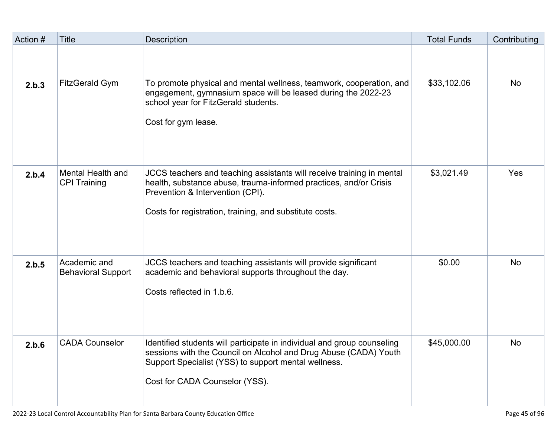| Action # | <b>Title</b>                              | <b>Description</b>                                                                                                                                                                                                                        | <b>Total Funds</b> | Contributing |
|----------|-------------------------------------------|-------------------------------------------------------------------------------------------------------------------------------------------------------------------------------------------------------------------------------------------|--------------------|--------------|
|          |                                           |                                                                                                                                                                                                                                           |                    |              |
| 2.b.3    | <b>FitzGerald Gym</b>                     | To promote physical and mental wellness, teamwork, cooperation, and<br>engagement, gymnasium space will be leased during the 2022-23<br>school year for FitzGerald students.<br>Cost for gym lease.                                       | \$33,102.06        | <b>No</b>    |
| 2.b.4    | Mental Health and<br><b>CPI Training</b>  | JCCS teachers and teaching assistants will receive training in mental<br>health, substance abuse, trauma-informed practices, and/or Crisis<br>Prevention & Intervention (CPI).<br>Costs for registration, training, and substitute costs. | \$3,021.49         | Yes          |
| 2.b.5    | Academic and<br><b>Behavioral Support</b> | JCCS teachers and teaching assistants will provide significant<br>academic and behavioral supports throughout the day.<br>Costs reflected in 1.b.6.                                                                                       | \$0.00             | <b>No</b>    |
| 2.b.6    | <b>CADA Counselor</b>                     | Identified students will participate in individual and group counseling<br>sessions with the Council on Alcohol and Drug Abuse (CADA) Youth<br>Support Specialist (YSS) to support mental wellness.<br>Cost for CADA Counselor (YSS).     | \$45,000.00        | No           |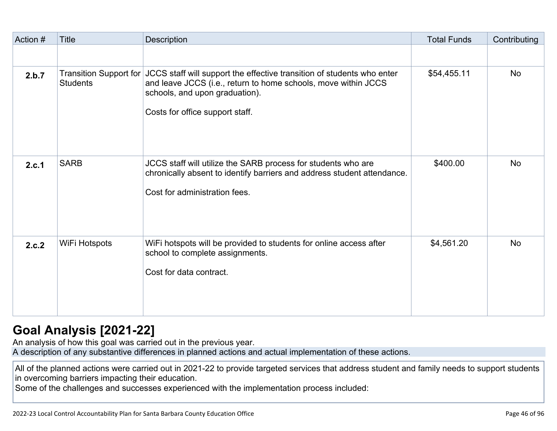| Action # | <b>Title</b>                                     | Description                                                                                                                                                                                                   | <b>Total Funds</b> | Contributing |
|----------|--------------------------------------------------|---------------------------------------------------------------------------------------------------------------------------------------------------------------------------------------------------------------|--------------------|--------------|
|          |                                                  |                                                                                                                                                                                                               |                    |              |
| 2.b.7    | <b>Transition Support for</b><br><b>Students</b> | JCCS staff will support the effective transition of students who enter<br>and leave JCCS (i.e., return to home schools, move within JCCS<br>schools, and upon graduation).<br>Costs for office support staff. | \$54,455.11        | <b>No</b>    |
| 2.c.1    | <b>SARB</b>                                      | JCCS staff will utilize the SARB process for students who are<br>chronically absent to identify barriers and address student attendance.<br>Cost for administration fees.                                     | \$400.00           | <b>No</b>    |
| 2.c.2    | WiFi Hotspots                                    | WiFi hotspots will be provided to students for online access after<br>school to complete assignments.<br>Cost for data contract.                                                                              | \$4,561.20         | <b>No</b>    |

### **[Goal Analysis \[2021-22\]](http://www.doc-tracking.com/screenshots/22LCAP/Instructions/22LCAPInstructions.htm#GoalAnalysis)**

An analysis of how this goal was carried out in the previous year.

A description of any substantive differences in planned actions and actual implementation of these actions.

All of the planned actions were carried out in 2021-22 to provide targeted services that address student and family needs to support students in overcoming barriers impacting their education.

Some of the challenges and successes experienced with the implementation process included: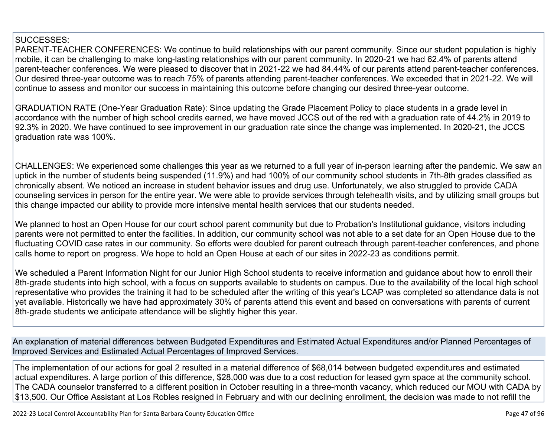#### SUCCESSES:

PARENT-TEACHER CONFERENCES: We continue to build relationships with our parent community. Since our student population is highly mobile, it can be challenging to make long-lasting relationships with our parent community. In 2020-21 we had 62.4% of parents attend parent-teacher conferences. We were pleased to discover that in 2021-22 we had 84.44% of our parents attend parent-teacher conferences. Our desired three-year outcome was to reach 75% of parents attending parent-teacher conferences. We exceeded that in 2021-22. We will continue to assess and monitor our success in maintaining this outcome before changing our desired three-year outcome.

GRADUATION RATE (One-Year Graduation Rate): Since updating the Grade Placement Policy to place students in a grade level in accordance with the number of high school credits earned, we have moved JCCS out of the red with a graduation rate of 44.2% in 2019 to 92.3% in 2020. We have continued to see improvement in our graduation rate since the change was implemented. In 2020-21, the JCCS graduation rate was 100%.

CHALLENGES: We experienced some challenges this year as we returned to a full year of in-person learning after the pandemic. We saw an uptick in the number of students being suspended (11.9%) and had 100% of our community school students in 7th-8th grades classified as chronically absent. We noticed an increase in student behavior issues and drug use. Unfortunately, we also struggled to provide CADA counseling services in person for the entire year. We were able to provide services through telehealth visits, and by utilizing small groups but this change impacted our ability to provide more intensive mental health services that our students needed.

We planned to host an Open House for our court school parent community but due to Probation's Institutional guidance, visitors including parents were not permitted to enter the facilities. In addition, our community school was not able to a set date for an Open House due to the fluctuating COVID case rates in our community. So efforts were doubled for parent outreach through parent-teacher conferences, and phone calls home to report on progress. We hope to hold an Open House at each of our sites in 2022-23 as conditions permit.

We scheduled a Parent Information Night for our Junior High School students to receive information and guidance about how to enroll their 8th-grade students into high school, with a focus on supports available to students on campus. Due to the availability of the local high school representative who provides the training it had to be scheduled after the writing of this year's LCAP was completed so attendance data is not yet available. Historically we have had approximately 30% of parents attend this event and based on conversations with parents of current 8th-grade students we anticipate attendance will be slightly higher this year.

An explanation of material differences between Budgeted Expenditures and Estimated Actual Expenditures and/or Planned Percentages of Improved Services and Estimated Actual Percentages of Improved Services.

The implementation of our actions for goal 2 resulted in a material difference of \$68,014 between budgeted expenditures and estimated actual expenditures. A large portion of this difference, \$28,000 was due to a cost reduction for leased gym space at the community school. The CADA counselor transferred to a different position in October resulting in a three-month vacancy, which reduced our MOU with CADA by \$13,500. Our Office Assistant at Los Robles resigned in February and with our declining enrollment, the decision was made to not refill the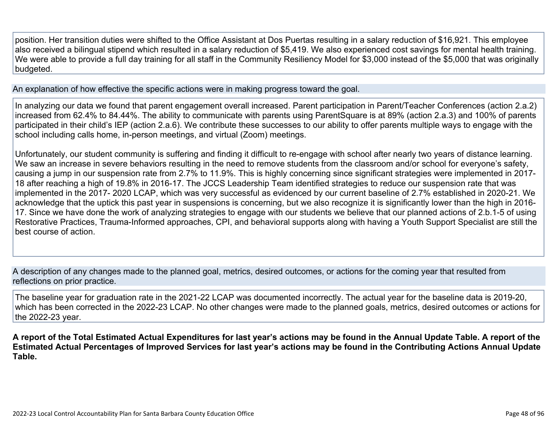position. Her transition duties were shifted to the Office Assistant at Dos Puertas resulting in a salary reduction of \$16,921. This employee also received a bilingual stipend which resulted in a salary reduction of \$5,419. We also experienced cost savings for mental health training. We were able to provide a full day training for all staff in the Community Resiliency Model for \$3,000 instead of the \$5,000 that was originally budgeted.

An explanation of how effective the specific actions were in making progress toward the goal.

In analyzing our data we found that parent engagement overall increased. Parent participation in Parent/Teacher Conferences (action 2.a.2) increased from 62.4% to 84.44%. The ability to communicate with parents using ParentSquare is at 89% (action 2.a.3) and 100% of parents participated in their child's IEP (action 2.a.6). We contribute these successes to our ability to offer parents multiple ways to engage with the school including calls home, in-person meetings, and virtual (Zoom) meetings.

Unfortunately, our student community is suffering and finding it difficult to re-engage with school after nearly two years of distance learning. We saw an increase in severe behaviors resulting in the need to remove students from the classroom and/or school for everyone's safety, causing a jump in our suspension rate from 2.7% to 11.9%. This is highly concerning since significant strategies were implemented in 2017- 18 after reaching a high of 19.8% in 2016-17. The JCCS Leadership Team identified strategies to reduce our suspension rate that was implemented in the 2017- 2020 LCAP, which was very successful as evidenced by our current baseline of 2.7% established in 2020-21. We acknowledge that the uptick this past year in suspensions is concerning, but we also recognize it is significantly lower than the high in 2016- 17. Since we have done the work of analyzing strategies to engage with our students we believe that our planned actions of 2.b.1-5 of using Restorative Practices, Trauma-Informed approaches, CPI, and behavioral supports along with having a Youth Support Specialist are still the best course of action.

A description of any changes made to the planned goal, metrics, desired outcomes, or actions for the coming year that resulted from reflections on prior practice.

The baseline year for graduation rate in the 2021-22 LCAP was documented incorrectly. The actual year for the baseline data is 2019-20, which has been corrected in the 2022-23 LCAP. No other changes were made to the planned goals, metrics, desired outcomes or actions for the 2022-23 year.

**A report of the Total Estimated Actual Expenditures for last year's actions may be found in the Annual Update Table. A report of the Estimated Actual Percentages of Improved Services for last year's actions may be found in the Contributing Actions Annual Update Table.**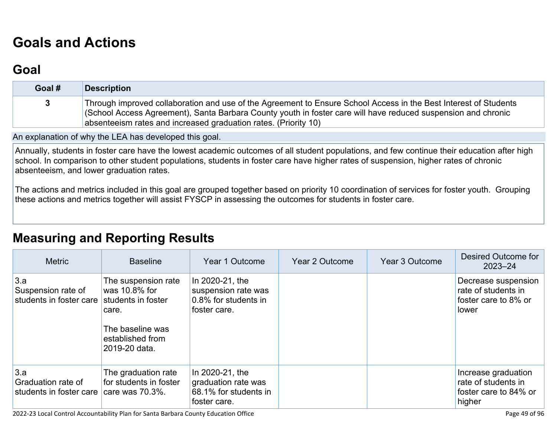# **[Goals and Actions](http://www.doc-tracking.com/screenshots/22LCAP/Instructions/22LCAPInstructions.htm#GoalsandActions)**

## **[Goal](http://www.doc-tracking.com/screenshots/22LCAP/Instructions/22LCAPInstructions.htm#goalDescription)**

| Goal # | Description                                                                                                                                                                                                                                                                                          |
|--------|------------------------------------------------------------------------------------------------------------------------------------------------------------------------------------------------------------------------------------------------------------------------------------------------------|
| 3      | Through improved collaboration and use of the Agreement to Ensure School Access in the Best Interest of Students<br>(School Access Agreement), Santa Barbara County youth in foster care will have reduced suspension and chronic<br>absenteeism rates and increased graduation rates. (Priority 10) |

An explanation of why the LEA has developed this goal.

Annually, students in foster care have the lowest academic outcomes of all student populations, and few continue their education after high school. In comparison to other student populations, students in foster care have higher rates of suspension, higher rates of chronic absenteeism, and lower graduation rates.

The actions and metrics included in this goal are grouped together based on priority 10 coordination of services for foster youth. Grouping these actions and metrics together will assist FYSCP in assessing the outcomes for students in foster care.

### **[Measuring and Reporting Results](http://www.doc-tracking.com/screenshots/22LCAP/Instructions/22LCAPInstructions.htm#MeasuringandReportingResults)**

| <b>Metric</b>                                        | <b>Baseline</b>                                                                                                              | Year 1 Outcome                                                                  | Year 2 Outcome | Year 3 Outcome | Desired Outcome for<br>$2023 - 24$                                            |
|------------------------------------------------------|------------------------------------------------------------------------------------------------------------------------------|---------------------------------------------------------------------------------|----------------|----------------|-------------------------------------------------------------------------------|
| 3.a<br>Suspension rate of<br>students in foster care | The suspension rate<br>was 10.8% for<br>students in foster<br>care.<br>The baseline was<br>established from<br>2019-20 data. | In 2020-21, the<br>suspension rate was<br>0.8% for students in<br>foster care.  |                |                | Decrease suspension<br>rate of students in<br>foster care to 8% or<br>lower   |
| 3.a<br>Graduation rate of<br>students in foster care | The graduation rate<br>for students in foster<br>care was $70.3\%$ .                                                         | In 2020-21, the<br>graduation rate was<br>68.1% for students in<br>foster care. |                |                | Increase graduation<br>rate of students in<br>foster care to 84% or<br>higher |

2022-23 Local Control Accountability Plan for Santa Barbara County Education Office Page 49 of 96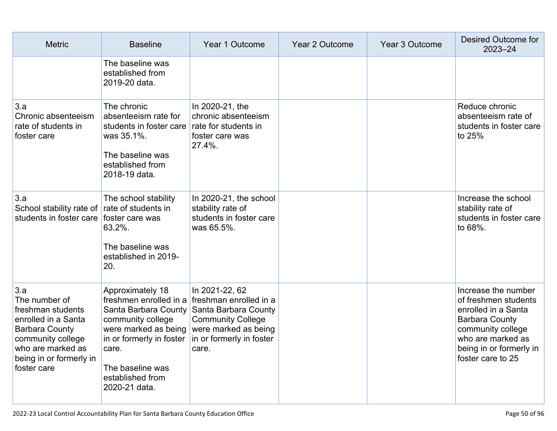| <b>Metric</b>                                                                                                                                                                 | <b>Baseline</b>                                                                                                                                                                     | Year 1 Outcome                                                                                                                                                                   | Year 2 Outcome | Year 3 Outcome | Desired Outcome for<br>$2023 - 24$                                                                                                                                                    |
|-------------------------------------------------------------------------------------------------------------------------------------------------------------------------------|-------------------------------------------------------------------------------------------------------------------------------------------------------------------------------------|----------------------------------------------------------------------------------------------------------------------------------------------------------------------------------|----------------|----------------|---------------------------------------------------------------------------------------------------------------------------------------------------------------------------------------|
|                                                                                                                                                                               | The baseline was<br>established from<br>2019-20 data.                                                                                                                               |                                                                                                                                                                                  |                |                |                                                                                                                                                                                       |
| 3.a<br>Chronic absenteeism<br>rate of students in<br>foster care                                                                                                              | The chronic<br>absenteeism rate for<br>students in foster care<br>was 35.1%.<br>The baseline was<br>established from<br>2018-19 data.                                               | In 2020-21, the<br>chronic absenteeism<br>rate for students in<br>foster care was<br>27.4%.                                                                                      |                |                | Reduce chronic<br>absenteeism rate of<br>students in foster care<br>to 25%                                                                                                            |
| 3.a<br>School stability rate of rate of students in<br>students in foster care                                                                                                | The school stability<br>foster care was<br>63.2%.<br>The baseline was<br>established in 2019-<br>20.                                                                                | In 2020-21, the school<br>stability rate of<br>students in foster care<br>was 65.5%.                                                                                             |                |                | Increase the school<br>stability rate of<br>students in foster care<br>to 68%.                                                                                                        |
| 3.a<br>The number of<br>freshman students<br>enrolled in a Santa<br><b>Barbara County</b><br>community college<br>who are marked as<br>being in or formerly in<br>foster care | Approximately 18<br>Santa Barbara County<br>community college<br>were marked as being<br>in or formerly in foster<br>care.<br>The baseline was<br>established from<br>2020-21 data. | In 2021-22, 62<br>freshmen enrolled in a freshman enrolled in a<br>Santa Barbara County<br><b>Community College</b><br>were marked as being<br>in or formerly in foster<br>care. |                |                | Increase the number<br>of freshmen students<br>enrolled in a Santa<br><b>Barbara County</b><br>community college<br>who are marked as<br>being in or formerly in<br>foster care to 25 |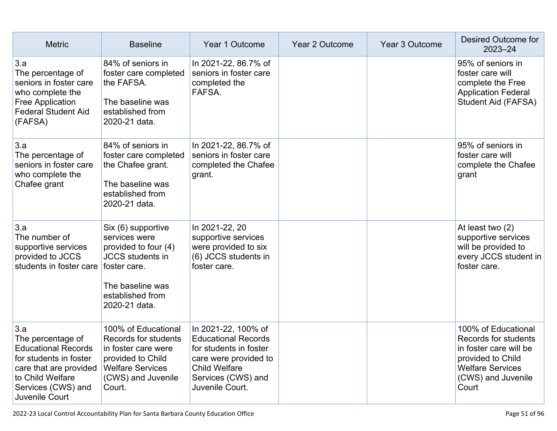| <b>Metric</b>                                                                                                                                                          | <b>Baseline</b>                                                                                                                                                 | Year 1 Outcome                                                                                                                                                        | <b>Year 2 Outcome</b> | Year 3 Outcome | Desired Outcome for<br>$2023 - 24$                                                                                                                   |
|------------------------------------------------------------------------------------------------------------------------------------------------------------------------|-----------------------------------------------------------------------------------------------------------------------------------------------------------------|-----------------------------------------------------------------------------------------------------------------------------------------------------------------------|-----------------------|----------------|------------------------------------------------------------------------------------------------------------------------------------------------------|
| 3.a<br>The percentage of<br>seniors in foster care<br>who complete the<br>Free Application<br><b>Federal Student Aid</b><br>(FAFSA)                                    | 84% of seniors in<br>foster care completed<br>the FAFSA.<br>The baseline was<br>established from<br>2020-21 data.                                               | In 2021-22, 86.7% of<br>seniors in foster care<br>completed the<br>FAFSA.                                                                                             |                       |                | 95% of seniors in<br>foster care will<br>complete the Free<br><b>Application Federal</b><br>Student Aid (FAFSA)                                      |
| 3.a<br>The percentage of<br>seniors in foster care<br>who complete the<br>Chafee grant                                                                                 | 84% of seniors in<br>foster care completed<br>the Chafee grant.<br>The baseline was<br>established from<br>2020-21 data.                                        | In 2021-22, 86.7% of<br>seniors in foster care<br>completed the Chafee<br>grant.                                                                                      |                       |                | 95% of seniors in<br>foster care will<br>complete the Chafee<br>grant                                                                                |
| 3.a<br>The number of<br>supportive services<br>provided to JCCS<br>students in foster care                                                                             | Six (6) supportive<br>services were<br>provided to four (4)<br><b>JCCS</b> students in<br>foster care.<br>The baseline was<br>established from<br>2020-21 data. | In 2021-22, 20<br>supportive services<br>were provided to six<br>(6) JCCS students in<br>foster care.                                                                 |                       |                | At least two (2)<br>supportive services<br>will be provided to<br>every JCCS student in<br>foster care.                                              |
| 3.a<br>The percentage of<br><b>Educational Records</b><br>for students in foster<br>care that are provided<br>to Child Welfare<br>Services (CWS) and<br>Juvenile Court | 100% of Educational<br>Records for students<br>in foster care were<br>provided to Child<br><b>Welfare Services</b><br>(CWS) and Juvenile<br>Court.              | In 2021-22, 100% of<br><b>Educational Records</b><br>for students in foster<br>care were provided to<br><b>Child Welfare</b><br>Services (CWS) and<br>Juvenile Court. |                       |                | 100% of Educational<br>Records for students<br>in foster care will be<br>provided to Child<br><b>Welfare Services</b><br>(CWS) and Juvenile<br>Court |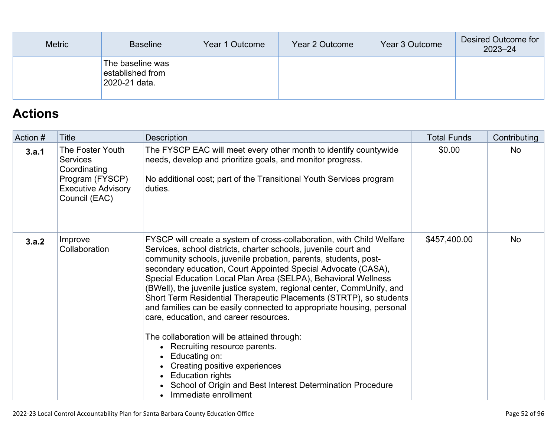| <b>Metric</b> | <b>Baseline</b>                                       | Year 1 Outcome | Year 2 Outcome | Year 3 Outcome | Desired Outcome for<br>$2023 - 24$ |
|---------------|-------------------------------------------------------|----------------|----------------|----------------|------------------------------------|
|               | The baseline was<br>established from<br>2020-21 data. |                |                |                |                                    |

# **[Actions](http://www.doc-tracking.com/screenshots/22LCAP/Instructions/22LCAPInstructions.htm#actions)**

| Action # | Title                                                                                                                | <b>Description</b>                                                                                                                                                                                                                                                                                                                                                                                                                                                                                                                                                                                                                                                                                                                                                                                                                                                                    | <b>Total Funds</b> | Contributing |
|----------|----------------------------------------------------------------------------------------------------------------------|---------------------------------------------------------------------------------------------------------------------------------------------------------------------------------------------------------------------------------------------------------------------------------------------------------------------------------------------------------------------------------------------------------------------------------------------------------------------------------------------------------------------------------------------------------------------------------------------------------------------------------------------------------------------------------------------------------------------------------------------------------------------------------------------------------------------------------------------------------------------------------------|--------------------|--------------|
| 3.a.1    | The Foster Youth<br><b>Services</b><br>Coordinating<br>Program (FYSCP)<br><b>Executive Advisory</b><br>Council (EAC) | The FYSCP EAC will meet every other month to identify countywide<br>needs, develop and prioritize goals, and monitor progress.<br>No additional cost; part of the Transitional Youth Services program<br>duties.                                                                                                                                                                                                                                                                                                                                                                                                                                                                                                                                                                                                                                                                      | \$0.00             | <b>No</b>    |
| 3.a.2    | Improve<br>Collaboration                                                                                             | FYSCP will create a system of cross-collaboration, with Child Welfare<br>Services, school districts, charter schools, juvenile court and<br>community schools, juvenile probation, parents, students, post-<br>secondary education, Court Appointed Special Advocate (CASA),<br>Special Education Local Plan Area (SELPA), Behavioral Wellness<br>(BWell), the juvenile justice system, regional center, CommUnify, and<br>Short Term Residential Therapeutic Placements (STRTP), so students<br>and families can be easily connected to appropriate housing, personal<br>care, education, and career resources.<br>The collaboration will be attained through:<br>• Recruiting resource parents.<br>• Educating on:<br>Creating positive experiences<br><b>Education rights</b><br>$\bullet$<br>• School of Origin and Best Interest Determination Procedure<br>Immediate enrollment | \$457,400.00       | <b>No</b>    |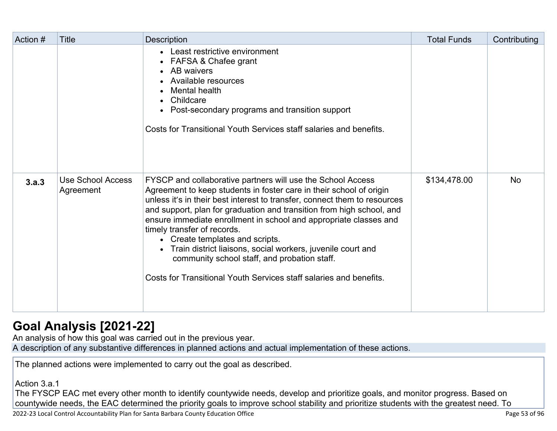| Action # | Title                                 | <b>Description</b>                                                                                                                                                                                                                                                                                                                                                                                                                                                                                                                                                                                                     | <b>Total Funds</b> | Contributing |
|----------|---------------------------------------|------------------------------------------------------------------------------------------------------------------------------------------------------------------------------------------------------------------------------------------------------------------------------------------------------------------------------------------------------------------------------------------------------------------------------------------------------------------------------------------------------------------------------------------------------------------------------------------------------------------------|--------------------|--------------|
|          |                                       | • Least restrictive environment<br>• FAFSA & Chafee grant<br>• AB waivers<br>• Available resources<br>Mental health<br>Childcare<br>• Post-secondary programs and transition support<br>Costs for Transitional Youth Services staff salaries and benefits.                                                                                                                                                                                                                                                                                                                                                             |                    |              |
| 3.a.3    | <b>Use School Access</b><br>Agreement | FYSCP and collaborative partners will use the School Access<br>Agreement to keep students in foster care in their school of origin<br>unless it's in their best interest to transfer, connect them to resources<br>and support, plan for graduation and transition from high school, and<br>ensure immediate enrollment in school and appropriate classes and<br>timely transfer of records.<br>• Create templates and scripts.<br>• Train district liaisons, social workers, juvenile court and<br>community school staff, and probation staff.<br>Costs for Transitional Youth Services staff salaries and benefits. | \$134,478.00       | <b>No</b>    |

## **[Goal Analysis \[2021-22\]](http://www.doc-tracking.com/screenshots/22LCAP/Instructions/22LCAPInstructions.htm#GoalAnalysis)**

An analysis of how this goal was carried out in the previous year.

A description of any substantive differences in planned actions and actual implementation of these actions.

The planned actions were implemented to carry out the goal as described.

Action 3.a.1

The FYSCP EAC met every other month to identify countywide needs, develop and prioritize goals, and monitor progress. Based on countywide needs, the EAC determined the priority goals to improve school stability and prioritize students with the greatest need. To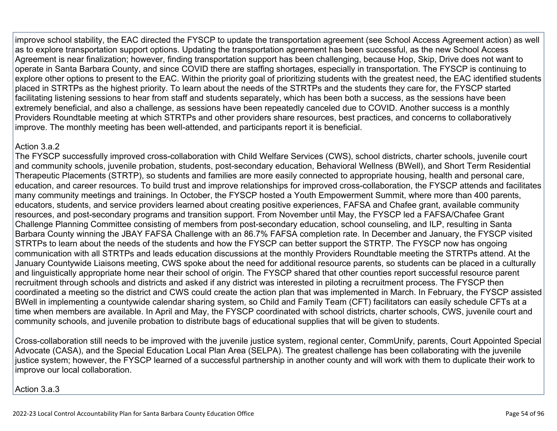improve school stability, the EAC directed the FYSCP to update the transportation agreement (see School Access Agreement action) as well as to explore transportation support options. Updating the transportation agreement has been successful, as the new School Access Agreement is near finalization; however, finding transportation support has been challenging, because Hop, Skip, Drive does not want to operate in Santa Barbara County, and since COVID there are staffing shortages, especially in transportation. The FYSCP is continuing to explore other options to present to the EAC. Within the priority goal of prioritizing students with the greatest need, the EAC identified students placed in STRTPs as the highest priority. To learn about the needs of the STRTPs and the students they care for, the FYSCP started facilitating listening sessions to hear from staff and students separately, which has been both a success, as the sessions have been extremely beneficial, and also a challenge, as sessions have been repeatedly canceled due to COVID. Another success is a monthly Providers Roundtable meeting at which STRTPs and other providers share resources, best practices, and concerns to collaboratively improve. The monthly meeting has been well-attended, and participants report it is beneficial.

#### Action 3 a 2

The FYSCP successfully improved cross-collaboration with Child Welfare Services (CWS), school districts, charter schools, juvenile court and community schools, juvenile probation, students, post-secondary education, Behavioral Wellness (BWell), and Short Term Residential Therapeutic Placements (STRTP), so students and families are more easily connected to appropriate housing, health and personal care, education, and career resources. To build trust and improve relationships for improved cross-collaboration, the FYSCP attends and facilitates many community meetings and trainings. In October, the FYSCP hosted a Youth Empowerment Summit, where more than 400 parents, educators, students, and service providers learned about creating positive experiences, FAFSA and Chafee grant, available community resources, and post-secondary programs and transition support. From November until May, the FYSCP led a FAFSA/Chafee Grant Challenge Planning Committee consisting of members from post-secondary education, school counseling, and ILP, resulting in Santa Barbara County winning the JBAY FAFSA Challenge with an 86.7% FAFSA completion rate. In December and January, the FYSCP visited STRTPs to learn about the needs of the students and how the FYSCP can better support the STRTP. The FYSCP now has ongoing communication with all STRTPs and leads education discussions at the monthly Providers Roundtable meeting the STRTPs attend. At the January Countywide Liaisons meeting, CWS spoke about the need for additional resource parents, so students can be placed in a culturally and linguistically appropriate home near their school of origin. The FYSCP shared that other counties report successful resource parent recruitment through schools and districts and asked if any district was interested in piloting a recruitment process. The FYSCP then coordinated a meeting so the district and CWS could create the action plan that was implemented in March. In February, the FYSCP assisted BWell in implementing a countywide calendar sharing system, so Child and Family Team (CFT) facilitators can easily schedule CFTs at a time when members are available. In April and May, the FYSCP coordinated with school districts, charter schools, CWS, juvenile court and community schools, and juvenile probation to distribute bags of educational supplies that will be given to students.

Cross-collaboration still needs to be improved with the juvenile justice system, regional center, CommUnify, parents, Court Appointed Special Advocate (CASA), and the Special Education Local Plan Area (SELPA). The greatest challenge has been collaborating with the juvenile justice system; however, the FYSCP learned of a successful partnership in another county and will work with them to duplicate their work to improve our local collaboration.

Action 3.a.3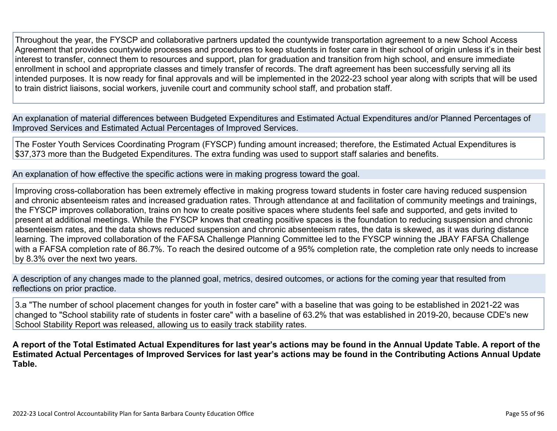Throughout the year, the FYSCP and collaborative partners updated the countywide transportation agreement to a new School Access Agreement that provides countywide processes and procedures to keep students in foster care in their school of origin unless it's in their best interest to transfer, connect them to resources and support, plan for graduation and transition from high school, and ensure immediate enrollment in school and appropriate classes and timely transfer of records. The draft agreement has been successfully serving all its intended purposes. It is now ready for final approvals and will be implemented in the 2022-23 school year along with scripts that will be used to train district liaisons, social workers, juvenile court and community school staff, and probation staff.

An explanation of material differences between Budgeted Expenditures and Estimated Actual Expenditures and/or Planned Percentages of Improved Services and Estimated Actual Percentages of Improved Services.

The Foster Youth Services Coordinating Program (FYSCP) funding amount increased; therefore, the Estimated Actual Expenditures is \$37,373 more than the Budgeted Expenditures. The extra funding was used to support staff salaries and benefits.

An explanation of how effective the specific actions were in making progress toward the goal.

Improving cross-collaboration has been extremely effective in making progress toward students in foster care having reduced suspension and chronic absenteeism rates and increased graduation rates. Through attendance at and facilitation of community meetings and trainings, the FYSCP improves collaboration, trains on how to create positive spaces where students feel safe and supported, and gets invited to present at additional meetings. While the FYSCP knows that creating positive spaces is the foundation to reducing suspension and chronic absenteeism rates, and the data shows reduced suspension and chronic absenteeism rates, the data is skewed, as it was during distance learning. The improved collaboration of the FAFSA Challenge Planning Committee led to the FYSCP winning the JBAY FAFSA Challenge with a FAFSA completion rate of 86.7%. To reach the desired outcome of a 95% completion rate, the completion rate only needs to increase by 8.3% over the next two years.

A description of any changes made to the planned goal, metrics, desired outcomes, or actions for the coming year that resulted from reflections on prior practice.

3.a "The number of school placement changes for youth in foster care" with a baseline that was going to be established in 2021-22 was changed to "School stability rate of students in foster care" with a baseline of 63.2% that was established in 2019-20, because CDE's new School Stability Report was released, allowing us to easily track stability rates.

**A report of the Total Estimated Actual Expenditures for last year's actions may be found in the Annual Update Table. A report of the Estimated Actual Percentages of Improved Services for last year's actions may be found in the Contributing Actions Annual Update Table.**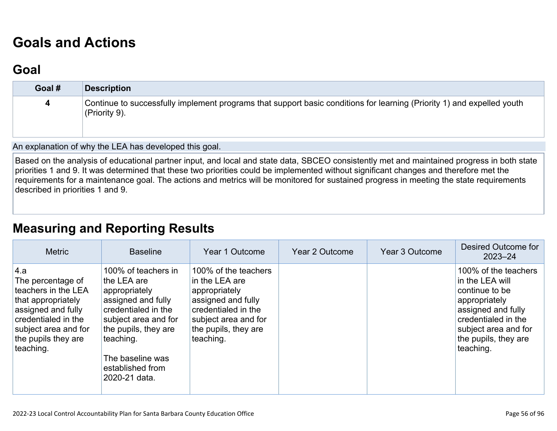# **[Goals and Actions](http://www.doc-tracking.com/screenshots/22LCAP/Instructions/22LCAPInstructions.htm#GoalsandActions)**

### **[Goal](http://www.doc-tracking.com/screenshots/22LCAP/Instructions/22LCAPInstructions.htm#goalDescription)**

| Goal # | <b>Description</b>                                                                                                                      |
|--------|-----------------------------------------------------------------------------------------------------------------------------------------|
| 4      | Continue to successfully implement programs that support basic conditions for learning (Priority 1) and expelled youth<br>(Priority 9). |

An explanation of why the LEA has developed this goal.

Based on the analysis of educational partner input, and local and state data, SBCEO consistently met and maintained progress in both state priorities 1 and 9. It was determined that these two priorities could be implemented without significant changes and therefore met the requirements for a maintenance goal. The actions and metrics will be monitored for sustained progress in meeting the state requirements described in priorities 1 and 9.

### **[Measuring and Reporting Results](http://www.doc-tracking.com/screenshots/22LCAP/Instructions/22LCAPInstructions.htm#MeasuringandReportingResults)**

| <b>Metric</b>                                                                                                                                                                  | <b>Baseline</b>                                                                                                                                                                                                        | Year 1 Outcome                                                                                                                                                    | Year 2 Outcome | Year 3 Outcome | Desired Outcome for<br>$2023 - 24$                                                                                                                                                   |
|--------------------------------------------------------------------------------------------------------------------------------------------------------------------------------|------------------------------------------------------------------------------------------------------------------------------------------------------------------------------------------------------------------------|-------------------------------------------------------------------------------------------------------------------------------------------------------------------|----------------|----------------|--------------------------------------------------------------------------------------------------------------------------------------------------------------------------------------|
| 4.a<br>The percentage of<br>teachers in the LEA<br>that appropriately<br>assigned and fully<br>credentialed in the<br>subject area and for<br>the pupils they are<br>teaching. | 100% of teachers in<br>the LEA are<br>appropriately<br>assigned and fully<br>credentialed in the<br>subject area and for<br>the pupils, they are<br>teaching.<br>The baseline was<br>established from<br>2020-21 data. | 100% of the teachers<br>in the LEA are<br>appropriately<br>assigned and fully<br>credentialed in the<br>subject area and for<br>the pupils, they are<br>teaching. |                |                | 100% of the teachers<br>in the LEA will<br>continue to be<br>appropriately<br>assigned and fully<br>credentialed in the<br>subject area and for<br>the pupils, they are<br>teaching. |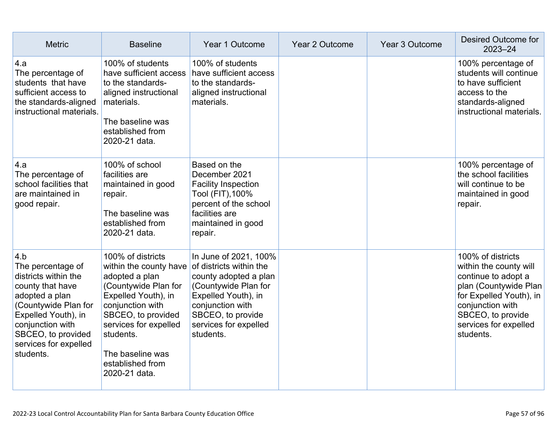| <b>Metric</b>                                                                                                                                                                                                         | <b>Baseline</b>                                                                                                                                                                                                                                       | Year 1 Outcome                                                                                                                                                                                          | Year 2 Outcome | Year 3 Outcome | <b>Desired Outcome for</b><br>$2023 - 24$                                                                                                                                                             |
|-----------------------------------------------------------------------------------------------------------------------------------------------------------------------------------------------------------------------|-------------------------------------------------------------------------------------------------------------------------------------------------------------------------------------------------------------------------------------------------------|---------------------------------------------------------------------------------------------------------------------------------------------------------------------------------------------------------|----------------|----------------|-------------------------------------------------------------------------------------------------------------------------------------------------------------------------------------------------------|
| 4.a<br>The percentage of<br>students that have<br>sufficient access to<br>the standards-aligned<br>instructional materials.                                                                                           | 100% of students<br>have sufficient access<br>to the standards-<br>aligned instructional<br>materials.<br>The baseline was<br>established from<br>2020-21 data.                                                                                       | 100% of students<br>have sufficient access<br>to the standards-<br>aligned instructional<br>materials.                                                                                                  |                |                | 100% percentage of<br>students will continue<br>to have sufficient<br>access to the<br>standards-aligned<br>instructional materials.                                                                  |
| 4.a<br>The percentage of<br>school facilities that<br>are maintained in<br>good repair.                                                                                                                               | 100% of school<br>facilities are<br>maintained in good<br>repair.<br>The baseline was<br>established from<br>2020-21 data.                                                                                                                            | Based on the<br>December 2021<br><b>Facility Inspection</b><br>Tool (FIT), 100%<br>percent of the school<br>facilities are<br>maintained in good<br>repair.                                             |                |                | 100% percentage of<br>the school facilities<br>will continue to be<br>maintained in good<br>repair.                                                                                                   |
| 4.b<br>The percentage of<br>districts within the<br>county that have<br>adopted a plan<br>(Countywide Plan for<br>Expelled Youth), in<br>conjunction with<br>SBCEO, to provided<br>services for expelled<br>students. | 100% of districts<br>within the county have<br>adopted a plan<br>(Countywide Plan for<br>Expelled Youth), in<br>conjunction with<br>SBCEO, to provided<br>services for expelled<br>students.<br>The baseline was<br>established from<br>2020-21 data. | In June of 2021, 100%<br>of districts within the<br>county adopted a plan<br>(Countywide Plan for<br>Expelled Youth), in<br>conjunction with<br>SBCEO, to provide<br>services for expelled<br>students. |                |                | 100% of districts<br>within the county will<br>continue to adopt a<br>plan (Countywide Plan<br>for Expelled Youth), in<br>conjunction with<br>SBCEO, to provide<br>services for expelled<br>students. |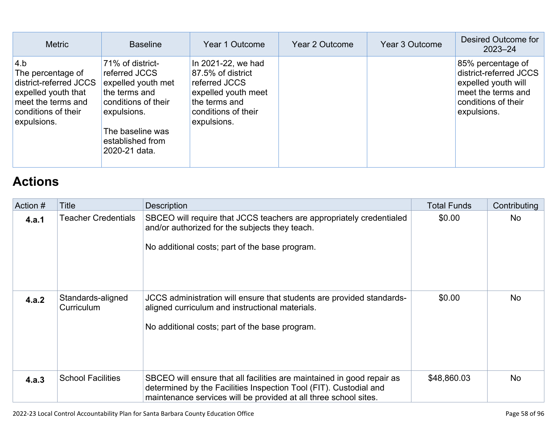| <b>Metric</b>                                                                                                                         | <b>Baseline</b>                                                                                                                                                         | Year 1 Outcome                                                                                                                         | Year 2 Outcome | Year 3 Outcome | Desired Outcome for<br>$2023 - 24$                                                                                             |
|---------------------------------------------------------------------------------------------------------------------------------------|-------------------------------------------------------------------------------------------------------------------------------------------------------------------------|----------------------------------------------------------------------------------------------------------------------------------------|----------------|----------------|--------------------------------------------------------------------------------------------------------------------------------|
| 4.b<br>The percentage of<br>district-referred JCCS<br>expelled youth that<br>meet the terms and<br>conditions of their<br>expulsions. | 71% of district-<br>referred JCCS<br>expelled youth met<br>the terms and<br>conditions of their<br>expulsions.<br>The baseline was<br>established from<br>2020-21 data. | In 2021-22, we had<br>87.5% of district<br>referred JCCS<br>expelled youth meet<br>the terms and<br>conditions of their<br>expulsions. |                |                | 85% percentage of<br>district-referred JCCS<br>expelled youth will<br>meet the terms and<br>conditions of their<br>expulsions. |

# **[Actions](http://www.doc-tracking.com/screenshots/22LCAP/Instructions/22LCAPInstructions.htm#actions)**

| Action # | Title                           | <b>Description</b>                                                                                                                                                                                              | <b>Total Funds</b> | Contributing |
|----------|---------------------------------|-----------------------------------------------------------------------------------------------------------------------------------------------------------------------------------------------------------------|--------------------|--------------|
| 4.a.1    | <b>Teacher Credentials</b>      | SBCEO will require that JCCS teachers are appropriately credentialed<br>and/or authorized for the subjects they teach.<br>No additional costs; part of the base program.                                        | \$0.00             | No.          |
| 4.a.2    | Standards-aligned<br>Curriculum | JCCS administration will ensure that students are provided standards-<br>aligned curriculum and instructional materials.<br>No additional costs; part of the base program.                                      | \$0.00             | <b>No</b>    |
| 4.a.3    | <b>School Facilities</b>        | SBCEO will ensure that all facilities are maintained in good repair as<br>determined by the Facilities Inspection Tool (FIT). Custodial and<br>maintenance services will be provided at all three school sites. | \$48,860.03        | <b>No</b>    |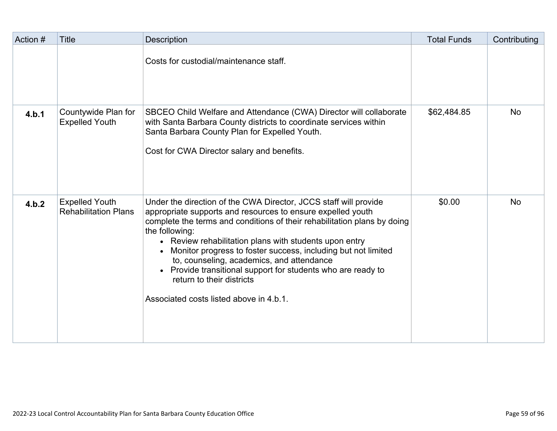| Action # | <b>Title</b>                                         | <b>Description</b>                                                                                                                                                                                                                                                                                                                                                                                                                                                                                                                              | <b>Total Funds</b> | Contributing |
|----------|------------------------------------------------------|-------------------------------------------------------------------------------------------------------------------------------------------------------------------------------------------------------------------------------------------------------------------------------------------------------------------------------------------------------------------------------------------------------------------------------------------------------------------------------------------------------------------------------------------------|--------------------|--------------|
|          |                                                      | Costs for custodial/maintenance staff.                                                                                                                                                                                                                                                                                                                                                                                                                                                                                                          |                    |              |
| 4.b.1    | Countywide Plan for<br><b>Expelled Youth</b>         | SBCEO Child Welfare and Attendance (CWA) Director will collaborate<br>with Santa Barbara County districts to coordinate services within<br>Santa Barbara County Plan for Expelled Youth.<br>Cost for CWA Director salary and benefits.                                                                                                                                                                                                                                                                                                          | \$62,484.85        | <b>No</b>    |
| 4.b.2    | <b>Expelled Youth</b><br><b>Rehabilitation Plans</b> | Under the direction of the CWA Director, JCCS staff will provide<br>appropriate supports and resources to ensure expelled youth<br>complete the terms and conditions of their rehabilitation plans by doing<br>the following:<br>• Review rehabilitation plans with students upon entry<br>• Monitor progress to foster success, including but not limited<br>to, counseling, academics, and attendance<br>• Provide transitional support for students who are ready to<br>return to their districts<br>Associated costs listed above in 4.b.1. | \$0.00             | <b>No</b>    |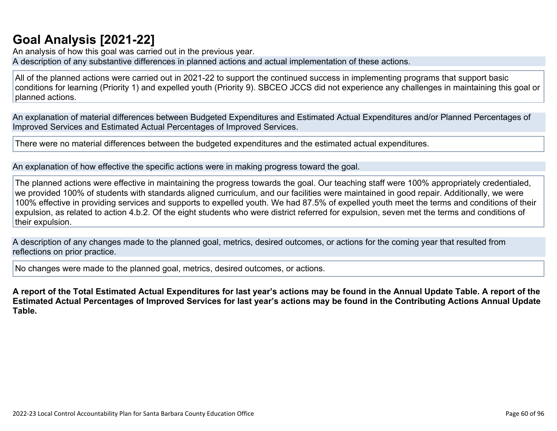# **[Goal Analysis \[2021-22\]](http://www.doc-tracking.com/screenshots/22LCAP/Instructions/22LCAPInstructions.htm#GoalAnalysis)**

An analysis of how this goal was carried out in the previous year. A description of any substantive differences in planned actions and actual implementation of these actions.

All of the planned actions were carried out in 2021-22 to support the continued success in implementing programs that support basic conditions for learning (Priority 1) and expelled youth (Priority 9). SBCEO JCCS did not experience any challenges in maintaining this goal or planned actions.

An explanation of material differences between Budgeted Expenditures and Estimated Actual Expenditures and/or Planned Percentages of Improved Services and Estimated Actual Percentages of Improved Services.

There were no material differences between the budgeted expenditures and the estimated actual expenditures.

An explanation of how effective the specific actions were in making progress toward the goal.

The planned actions were effective in maintaining the progress towards the goal. Our teaching staff were 100% appropriately credentialed, we provided 100% of students with standards aligned curriculum, and our facilities were maintained in good repair. Additionally, we were 100% effective in providing services and supports to expelled youth. We had 87.5% of expelled youth meet the terms and conditions of their expulsion, as related to action 4.b.2. Of the eight students who were district referred for expulsion, seven met the terms and conditions of their expulsion.

A description of any changes made to the planned goal, metrics, desired outcomes, or actions for the coming year that resulted from reflections on prior practice.

No changes were made to the planned goal, metrics, desired outcomes, or actions.

**A report of the Total Estimated Actual Expenditures for last year's actions may be found in the Annual Update Table. A report of the Estimated Actual Percentages of Improved Services for last year's actions may be found in the Contributing Actions Annual Update Table.**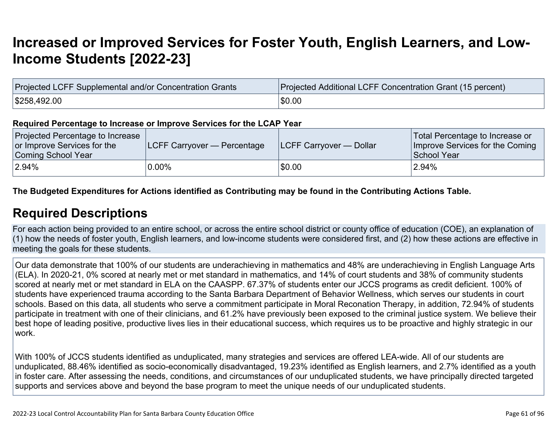# **[Increased or Improved Services for Foster Youth, English Learners, and Low-](http://www.doc-tracking.com/screenshots/22LCAP/Instructions/22LCAPInstructions.htm#IncreasedImprovedServices)[Income Students \[2022-23\]](http://www.doc-tracking.com/screenshots/22LCAP/Instructions/22LCAPInstructions.htm#IncreasedImprovedServices)**

| Projected LCFF Supplemental and/or Concentration Grants | <b>Projected Additional LCFF Concentration Grant (15 percent)</b> |
|---------------------------------------------------------|-------------------------------------------------------------------|
| \$258,492.00                                            | \$0.00                                                            |

#### **Required Percentage to Increase or Improve Services for the LCAP Year**

| Projected Percentage to Increase<br>or Improve Services for the<br>Coming School Year | <b>LCFF Carryover — Percentage</b> | <b>ILCFF Carryover — Dollar</b> | Total Percentage to Increase or<br>Improve Services for the Coming<br>School Year |
|---------------------------------------------------------------------------------------|------------------------------------|---------------------------------|-----------------------------------------------------------------------------------|
| $ 2.94\%$                                                                             | $0.00\%$                           | \$0.00                          | 2.94%                                                                             |

#### **The Budgeted Expenditures for Actions identified as Contributing may be found in the Contributing Actions Table.**

### **[Required Descriptions](http://www.doc-tracking.com/screenshots/22LCAP/Instructions/22LCAPInstructions.htm#RequiredDescriptions)**

For each action being provided to an entire school, or across the entire school district or county office of education (COE), an explanation of (1) how the needs of foster youth, English learners, and low-income students were considered first, and (2) how these actions are effective in meeting the goals for these students.

Our data demonstrate that 100% of our students are underachieving in mathematics and 48% are underachieving in English Language Arts (ELA). In 2020-21, 0% scored at nearly met or met standard in mathematics, and 14% of court students and 38% of community students scored at nearly met or met standard in ELA on the CAASPP. 67.37% of students enter our JCCS programs as credit deficient. 100% of students have experienced trauma according to the Santa Barbara Department of Behavior Wellness, which serves our students in court schools. Based on this data, all students who serve a commitment participate in Moral Reconation Therapy, in addition, 72.94% of students participate in treatment with one of their clinicians, and 61.2% have previously been exposed to the criminal justice system. We believe their best hope of leading positive, productive lives lies in their educational success, which requires us to be proactive and highly strategic in our work.

With 100% of JCCS students identified as unduplicated, many strategies and services are offered LEA-wide. All of our students are unduplicated, 88.46% identified as socio-economically disadvantaged, 19.23% identified as English learners, and 2.7% identified as a youth in foster care. After assessing the needs, conditions, and circumstances of our unduplicated students, we have principally directed targeted supports and services above and beyond the base program to meet the unique needs of our unduplicated students.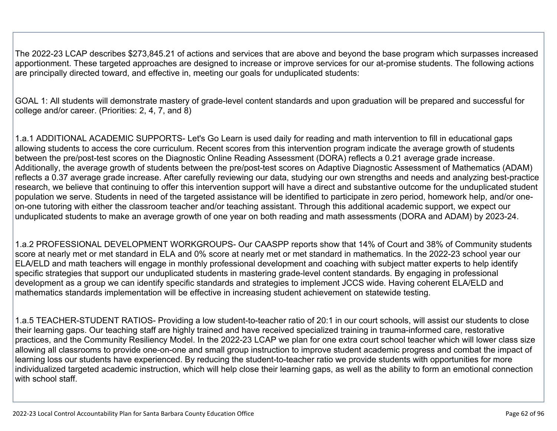The 2022-23 LCAP describes \$273,845.21 of actions and services that are above and beyond the base program which surpasses increased apportionment. These targeted approaches are designed to increase or improve services for our at-promise students. The following actions are principally directed toward, and effective in, meeting our goals for unduplicated students:

GOAL 1: All students will demonstrate mastery of grade-level content standards and upon graduation will be prepared and successful for college and/or career. (Priorities: 2, 4, 7, and 8)

1.a.1 ADDITIONAL ACADEMIC SUPPORTS- Let's Go Learn is used daily for reading and math intervention to fill in educational gaps allowing students to access the core curriculum. Recent scores from this intervention program indicate the average growth of students between the pre/post-test scores on the Diagnostic Online Reading Assessment (DORA) reflects a 0.21 average grade increase. Additionally, the average growth of students between the pre/post-test scores on Adaptive Diagnostic Assessment of Mathematics (ADAM) reflects a 0.37 average grade increase. After carefully reviewing our data, studying our own strengths and needs and analyzing best-practice research, we believe that continuing to offer this intervention support will have a direct and substantive outcome for the unduplicated student population we serve. Students in need of the targeted assistance will be identified to participate in zero period, homework help, and/or oneon-one tutoring with either the classroom teacher and/or teaching assistant. Through this additional academic support, we expect our unduplicated students to make an average growth of one year on both reading and math assessments (DORA and ADAM) by 2023-24.

1.a.2 PROFESSIONAL DEVELOPMENT WORKGROUPS- Our CAASPP reports show that 14% of Court and 38% of Community students score at nearly met or met standard in ELA and 0% score at nearly met or met standard in mathematics. In the 2022-23 school year our ELA/ELD and math teachers will engage in monthly professional development and coaching with subject matter experts to help identify specific strategies that support our unduplicated students in mastering grade-level content standards. By engaging in professional development as a group we can identify specific standards and strategies to implement JCCS wide. Having coherent ELA/ELD and mathematics standards implementation will be effective in increasing student achievement on statewide testing.

1.a.5 TEACHER-STUDENT RATIOS- Providing a low student-to-teacher ratio of 20:1 in our court schools, will assist our students to close their learning gaps. Our teaching staff are highly trained and have received specialized training in trauma-informed care, restorative practices, and the Community Resiliency Model. In the 2022-23 LCAP we plan for one extra court school teacher which will lower class size allowing all classrooms to provide one-on-one and small group instruction to improve student academic progress and combat the impact of learning loss our students have experienced. By reducing the student-to-teacher ratio we provide students with opportunities for more individualized targeted academic instruction, which will help close their learning gaps, as well as the ability to form an emotional connection with school staff.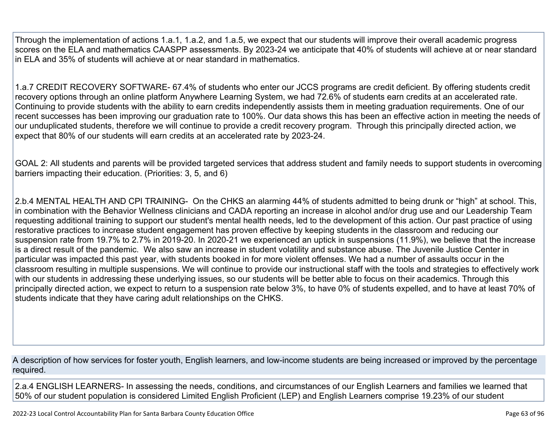Through the implementation of actions 1.a.1, 1.a.2, and 1.a.5, we expect that our students will improve their overall academic progress scores on the ELA and mathematics CAASPP assessments. By 2023-24 we anticipate that 40% of students will achieve at or near standard in ELA and 35% of students will achieve at or near standard in mathematics.

1.a.7 CREDIT RECOVERY SOFTWARE- 67.4% of students who enter our JCCS programs are credit deficient. By offering students credit recovery options through an online platform Anywhere Learning System, we had 72.6% of students earn credits at an accelerated rate. Continuing to provide students with the ability to earn credits independently assists them in meeting graduation requirements. One of our recent successes has been improving our graduation rate to 100%. Our data shows this has been an effective action in meeting the needs of our unduplicated students, therefore we will continue to provide a credit recovery program. Through this principally directed action, we expect that 80% of our students will earn credits at an accelerated rate by 2023-24.

GOAL 2: All students and parents will be provided targeted services that address student and family needs to support students in overcoming barriers impacting their education. (Priorities: 3, 5, and 6)

2.b.4 MENTAL HEALTH AND CPI TRAINING- On the CHKS an alarming 44% of students admitted to being drunk or "high" at school. This, in combination with the Behavior Wellness clinicians and CADA reporting an increase in alcohol and/or drug use and our Leadership Team requesting additional training to support our student's mental health needs, led to the development of this action. Our past practice of using restorative practices to increase student engagement has proven effective by keeping students in the classroom and reducing our suspension rate from 19.7% to 2.7% in 2019-20. In 2020-21 we experienced an uptick in suspensions (11.9%), we believe that the increase is a direct result of the pandemic. We also saw an increase in student volatility and substance abuse. The Juvenile Justice Center in particular was impacted this past year, with students booked in for more violent offenses. We had a number of assaults occur in the classroom resulting in multiple suspensions. We will continue to provide our instructional staff with the tools and strategies to effectively work with our students in addressing these underlying issues, so our students will be better able to focus on their academics. Through this principally directed action, we expect to return to a suspension rate below 3%, to have 0% of students expelled, and to have at least 70% of students indicate that they have caring adult relationships on the CHKS.

A description of how services for foster youth, English learners, and low-income students are being increased or improved by the percentage required.

2.a.4 ENGLISH LEARNERS- In assessing the needs, conditions, and circumstances of our English Learners and families we learned that 50% of our student population is considered Limited English Proficient (LEP) and English Learners comprise 19.23% of our student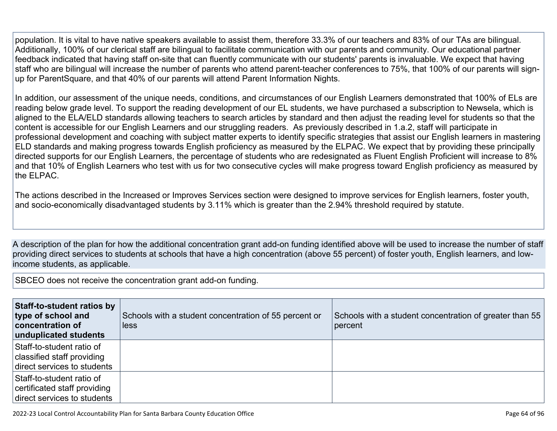population. It is vital to have native speakers available to assist them, therefore 33.3% of our teachers and 83% of our TAs are bilingual. Additionally, 100% of our clerical staff are bilingual to facilitate communication with our parents and community. Our educational partner feedback indicated that having staff on-site that can fluently communicate with our students' parents is invaluable. We expect that having staff who are bilingual will increase the number of parents who attend parent-teacher conferences to 75%, that 100% of our parents will signup for ParentSquare, and that 40% of our parents will attend Parent Information Nights.

In addition, our assessment of the unique needs, conditions, and circumstances of our English Learners demonstrated that 100% of ELs are reading below grade level. To support the reading development of our EL students, we have purchased a subscription to Newsela, which is aligned to the ELA/ELD standards allowing teachers to search articles by standard and then adjust the reading level for students so that the content is accessible for our English Learners and our struggling readers. As previously described in 1.a.2, staff will participate in professional development and coaching with subject matter experts to identify specific strategies that assist our English learners in mastering ELD standards and making progress towards English proficiency as measured by the ELPAC. We expect that by providing these principally directed supports for our English Learners, the percentage of students who are redesignated as Fluent English Proficient will increase to 8% and that 10% of English Learners who test with us for two consecutive cycles will make progress toward English proficiency as measured by the ELPAC.

The actions described in the Increased or Improves Services section were designed to improve services for English learners, foster youth, and socio-economically disadvantaged students by 3.11% which is greater than the 2.94% threshold required by statute.

A description of the plan for how the additional concentration grant add-on funding identified above will be used to increase the number of staff providing direct services to students at schools that have a high concentration (above 55 percent) of foster youth, English learners, and lowincome students, as applicable.

SBCEO does not receive the concentration grant add-on funding.

| Staff-to-student ratios by<br>type of school and<br>concentration of<br>unduplicated students | Schools with a student concentration of 55 percent or<br>less | Schools with a student concentration of greater than 55<br>percent |
|-----------------------------------------------------------------------------------------------|---------------------------------------------------------------|--------------------------------------------------------------------|
| Staff-to-student ratio of<br>classified staff providing<br>direct services to students        |                                                               |                                                                    |
| Staff-to-student ratio of<br>certificated staff providing<br>direct services to students      |                                                               |                                                                    |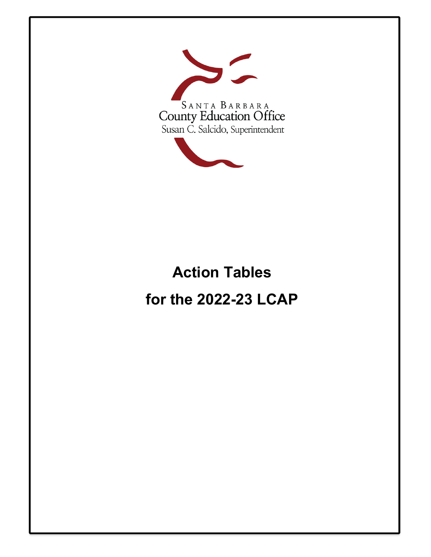

# **Action Tables for the 2022-23 LCAP**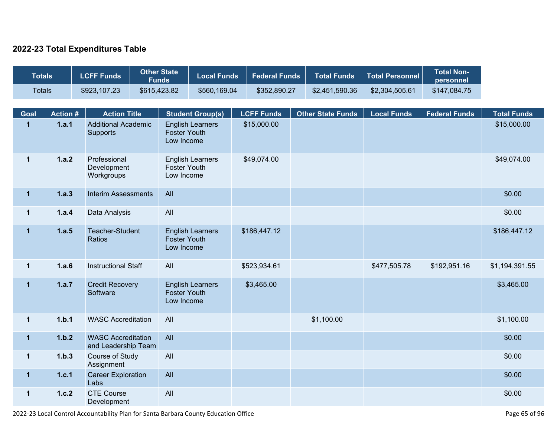#### **2022-23 Total Expenditures Table**

| <b>Totals</b> |                | <b>LCFF Funds</b>                                | <b>Other State</b><br><b>Funds</b> | <b>Local Funds</b>                                           | <b>Federal Funds</b> | <b>Total Funds</b>       | <b>Total Personnel</b> | <b>Total Non-</b><br>personnel |                    |
|---------------|----------------|--------------------------------------------------|------------------------------------|--------------------------------------------------------------|----------------------|--------------------------|------------------------|--------------------------------|--------------------|
| <b>Totals</b> |                | \$923,107.23                                     | \$615,423.82                       | \$560,169.04                                                 | \$352,890.27         | \$2,451,590.36           | \$2,304,505.61         | \$147,084.75                   |                    |
| Goal          | <b>Action#</b> | <b>Action Title</b>                              |                                    | <b>Student Group(s)</b>                                      | <b>LCFF Funds</b>    | <b>Other State Funds</b> | <b>Local Funds</b>     | <b>Federal Funds</b>           | <b>Total Funds</b> |
| $\mathbf{1}$  | 1.a.1          | <b>Additional Academic</b><br>Supports           |                                    | <b>English Learners</b><br><b>Foster Youth</b><br>Low Income | \$15,000.00          |                          |                        |                                | \$15,000.00        |
| $\mathbf{1}$  | 1.a.2          | Professional<br>Development<br>Workgroups        |                                    | <b>English Learners</b><br><b>Foster Youth</b><br>Low Income | \$49,074.00          |                          |                        |                                | \$49,074.00        |
| $\mathbf 1$   | 1.a.3          | <b>Interim Assessments</b>                       | All                                |                                                              |                      |                          |                        |                                | \$0.00             |
| $\mathbf{1}$  | 1.a.4          | Data Analysis                                    | All                                |                                                              |                      |                          |                        |                                | \$0.00             |
| $\mathbf{1}$  | 1.a.5          | <b>Teacher-Student</b><br><b>Ratios</b>          |                                    | <b>English Learners</b><br><b>Foster Youth</b><br>Low Income | \$186,447.12         |                          |                        |                                | \$186,447.12       |
| $\mathbf{1}$  | 1.a.6          | <b>Instructional Staff</b>                       | All                                |                                                              | \$523,934.61         |                          | \$477,505.78           | \$192,951.16                   | \$1,194,391.55     |
| $\mathbf{1}$  | 1.a.7          | <b>Credit Recovery</b><br>Software               |                                    | <b>English Learners</b><br><b>Foster Youth</b><br>Low Income | \$3,465.00           |                          |                        |                                | \$3,465.00         |
| $\mathbf{1}$  | 1.b.1          | <b>WASC Accreditation</b>                        | All                                |                                                              |                      | \$1,100.00               |                        |                                | \$1,100.00         |
| $\mathbf{1}$  | 1.b.2          | <b>WASC Accreditation</b><br>and Leadership Team | All                                |                                                              |                      |                          |                        |                                | \$0.00             |
| $\mathbf 1$   | 1.b.3          | Course of Study<br>Assignment                    | All                                |                                                              |                      |                          |                        |                                | \$0.00             |
| $\mathbf{1}$  | 1.c.1          | <b>Career Exploration</b><br>Labs                | All                                |                                                              |                      |                          |                        |                                | \$0.00             |
| $\mathbf{1}$  | 1.c.2          | <b>CTE Course</b><br>Development                 | All                                |                                                              |                      |                          |                        |                                | \$0.00             |

2022-23 Local Control Accountability Plan for Santa Barbara County Education Office Page 65 of 96 and 2022-23 Local Control Accountability Plan for Santa Barbara County Education Office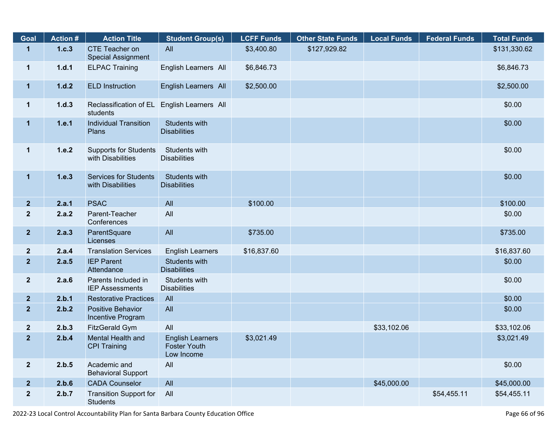| Goal                    | <b>Action #</b> | <b>Action Title</b>                               | <b>Student Group(s)</b>                                      | <b>LCFF Funds</b> | <b>Other State Funds</b> | <b>Local Funds</b> | <b>Federal Funds</b> | <b>Total Funds</b> |
|-------------------------|-----------------|---------------------------------------------------|--------------------------------------------------------------|-------------------|--------------------------|--------------------|----------------------|--------------------|
| $\mathbf{1}$            | 1.c.3           | CTE Teacher on<br><b>Special Assignment</b>       | All                                                          | \$3,400.80        | \$127,929.82             |                    |                      | \$131,330.62       |
| $\mathbf 1$             | 1.d.1           | <b>ELPAC Training</b>                             | English Learners All                                         | \$6,846.73        |                          |                    |                      | \$6,846.73         |
| $\mathbf 1$             | 1.d.2           | <b>ELD Instruction</b>                            | English Learners All                                         | \$2,500.00        |                          |                    |                      | \$2,500.00         |
| $\mathbf 1$             | 1.d.3           | Reclassification of EL<br>students                | English Learners All                                         |                   |                          |                    |                      | \$0.00             |
| $\mathbf 1$             | 1.e.1           | <b>Individual Transition</b><br>Plans             | Students with<br><b>Disabilities</b>                         |                   |                          |                    |                      | \$0.00             |
| $\mathbf 1$             | 1.e.2           | <b>Supports for Students</b><br>with Disabilities | Students with<br><b>Disabilities</b>                         |                   |                          |                    |                      | \$0.00             |
| $\mathbf 1$             | 1.e.3           | <b>Services for Students</b><br>with Disabilities | <b>Students with</b><br><b>Disabilities</b>                  |                   |                          |                    |                      | \$0.00             |
| $\overline{2}$          | 2.a.1           | <b>PSAC</b>                                       | All                                                          | \$100.00          |                          |                    |                      | \$100.00           |
| $\mathbf{2}$            | 2.a.2           | Parent-Teacher<br>Conferences                     | All                                                          |                   |                          |                    |                      | \$0.00             |
| $\overline{2}$          | 2.a.3           | ParentSquare<br>Licenses                          | All                                                          | \$735.00          |                          |                    |                      | \$735.00           |
| $\mathbf{2}$            | 2.a.4           | <b>Translation Services</b>                       | <b>English Learners</b>                                      | \$16,837.60       |                          |                    |                      | \$16,837.60        |
| $\overline{2}$          | 2.a.5           | <b>IEP Parent</b><br>Attendance                   | Students with<br><b>Disabilities</b>                         |                   |                          |                    |                      | \$0.00             |
| $\overline{\mathbf{2}}$ | 2.a.6           | Parents Included in<br><b>IEP Assessments</b>     | Students with<br><b>Disabilities</b>                         |                   |                          |                    |                      | \$0.00             |
| $\overline{2}$          | 2.b.1           | <b>Restorative Practices</b>                      | All                                                          |                   |                          |                    |                      | \$0.00             |
| $\overline{2}$          | 2.b.2           | <b>Positive Behavior</b><br>Incentive Program     | All                                                          |                   |                          |                    |                      | \$0.00             |
| $\mathbf{2}$            | 2.b.3           | <b>FitzGerald Gym</b>                             | All                                                          |                   |                          | \$33,102.06        |                      | \$33,102.06        |
| $\mathbf{2}$            | 2.b.4           | Mental Health and<br><b>CPI Training</b>          | <b>English Learners</b><br><b>Foster Youth</b><br>Low Income | \$3,021.49        |                          |                    |                      | \$3,021.49         |
| $\overline{\mathbf{2}}$ | 2.b.5           | Academic and<br><b>Behavioral Support</b>         | All                                                          |                   |                          |                    |                      | \$0.00             |
| $\mathbf{2}$            | 2.b.6           | <b>CADA Counselor</b>                             | All                                                          |                   |                          | \$45,000.00        |                      | \$45,000.00        |
| $\overline{\mathbf{2}}$ | 2.b.7           | <b>Transition Support for</b><br><b>Students</b>  | All                                                          |                   |                          |                    | \$54,455.11          | \$54,455.11        |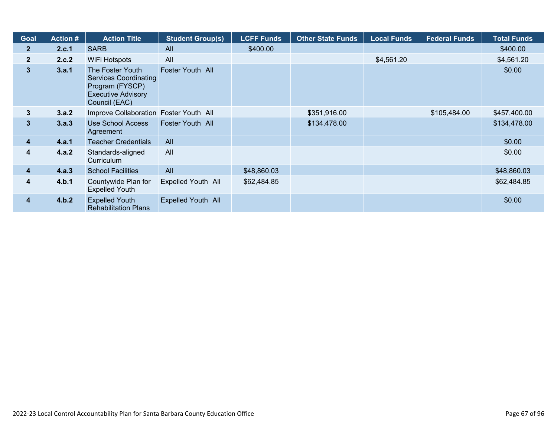| Goal         | <b>Action #</b> | <b>Action Title</b>                                                                                               | <b>Student Group(s)</b> | <b>LCFF Funds</b> | <b>Other State Funds</b> | <b>Local Funds</b> | <b>Federal Funds</b> | <b>Total Funds</b> |
|--------------|-----------------|-------------------------------------------------------------------------------------------------------------------|-------------------------|-------------------|--------------------------|--------------------|----------------------|--------------------|
| $\mathbf{2}$ | 2.c.1           | <b>SARB</b>                                                                                                       | All                     | \$400.00          |                          |                    |                      | \$400.00           |
| $\mathbf{2}$ | 2.c.2           | WiFi Hotspots                                                                                                     | All                     |                   |                          | \$4,561.20         |                      | \$4,561.20         |
| $\mathbf{3}$ | 3.a.1           | The Foster Youth<br><b>Services Coordinating</b><br>Program (FYSCP)<br><b>Executive Advisory</b><br>Council (EAC) | Foster Youth All        |                   |                          |                    |                      | \$0.00             |
| $\mathbf{3}$ | 3.a.2           | Improve Collaboration Foster Youth All                                                                            |                         |                   | \$351,916.00             |                    | \$105,484.00         | \$457,400.00       |
| $\mathbf{3}$ | 3.a.3           | <b>Use School Access</b><br>Agreement                                                                             | Foster Youth All        |                   | \$134,478.00             |                    |                      | \$134,478.00       |
| 4            | 4.a.1           | <b>Teacher Credentials</b>                                                                                        | All                     |                   |                          |                    |                      | \$0.00             |
| 4            | 4.a.2           | Standards-aligned<br>Curriculum                                                                                   | All                     |                   |                          |                    |                      | \$0.00             |
| 4            | 4.a.3           | <b>School Facilities</b>                                                                                          | All                     | \$48,860.03       |                          |                    |                      | \$48,860.03        |
| 4            | 4.b.1           | Countywide Plan for<br><b>Expelled Youth</b>                                                                      | Expelled Youth All      | \$62,484.85       |                          |                    |                      | \$62,484.85        |
| 4            | 4.b.2           | <b>Expelled Youth</b><br><b>Rehabilitation Plans</b>                                                              | Expelled Youth All      |                   |                          |                    |                      | \$0.00             |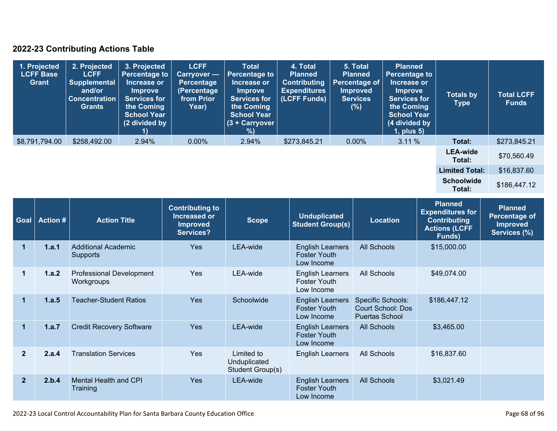### **2022-23 Contributing Actions Table**

| 1. Projected<br><b>LCFF Base</b><br>Grant | 2. Projected<br><b>LCFF</b><br><b>Supplemental</b><br>and/or<br><b>Concentration</b><br><b>Grants</b> | 3. Projected<br><b>Percentage to</b><br>Increase or<br><b>Improve</b><br><b>Services for</b><br>the Coming<br><b>School Year</b><br>(2 divided by | <b>LCFF</b><br><b>Carryover</b> —<br><b>Percentage</b><br>(Percentage<br>from Prior<br>Year) | <b>Total</b><br>Percentage to<br>Increase or<br><b>Improve</b><br><b>Services for</b><br>the Coming<br><b>School Year</b><br>$(3 +$ Carryover<br>%) | 4. Total<br><b>Planned</b><br><b>Contributing</b><br><b>Expenditures</b><br>(LCFF Funds) | 5. Total<br><b>Planned</b><br><b>Percentage of</b><br><b>Improved</b><br><b>Services</b><br>(%) | <b>Planned</b><br><b>Percentage to</b><br>Increase or<br><b>Improve</b><br><b>Services for</b><br>the Coming<br><b>School Year</b><br>(4 divided by<br>$1$ , plus $5$ ) | <b>Totals by</b><br><b>Type</b> | <b>Total LCFF</b><br><b>Funds</b> |
|-------------------------------------------|-------------------------------------------------------------------------------------------------------|---------------------------------------------------------------------------------------------------------------------------------------------------|----------------------------------------------------------------------------------------------|-----------------------------------------------------------------------------------------------------------------------------------------------------|------------------------------------------------------------------------------------------|-------------------------------------------------------------------------------------------------|-------------------------------------------------------------------------------------------------------------------------------------------------------------------------|---------------------------------|-----------------------------------|
| \$8,791,794.00                            | \$258,492.00                                                                                          | 2.94%                                                                                                                                             | $0.00\%$                                                                                     | 2.94%                                                                                                                                               | \$273,845.21                                                                             | $0.00\%$                                                                                        | 3.11%                                                                                                                                                                   | Total:                          | \$273,845.21                      |
|                                           |                                                                                                       |                                                                                                                                                   |                                                                                              |                                                                                                                                                     |                                                                                          |                                                                                                 |                                                                                                                                                                         | <b>LEA-wide</b><br>Total:       | \$70,560.49                       |
|                                           |                                                                                                       |                                                                                                                                                   |                                                                                              |                                                                                                                                                     |                                                                                          |                                                                                                 |                                                                                                                                                                         | <b>Limited Total:</b>           | \$16,837.60                       |
|                                           |                                                                                                       |                                                                                                                                                   |                                                                                              |                                                                                                                                                     |                                                                                          |                                                                                                 |                                                                                                                                                                         | <b>Schoolwide</b><br>Total:     | \$186,447.12                      |

| Goal                 | <b>Action #</b> | <b>Action Title</b>                           | <b>Contributing to</b><br>Increased or<br><b>Improved</b><br>Services? | <b>Scope</b>                                   | <b>Unduplicated</b><br><b>Student Group(s)</b>               | <b>Location</b>                                                               | <b>Planned</b><br><b>Expenditures for</b><br><b>Contributing</b><br><b>Actions (LCFF</b><br>Funds) | <b>Planned</b><br>Percentage of<br><b>Improved</b><br>Services (%) |
|----------------------|-----------------|-----------------------------------------------|------------------------------------------------------------------------|------------------------------------------------|--------------------------------------------------------------|-------------------------------------------------------------------------------|----------------------------------------------------------------------------------------------------|--------------------------------------------------------------------|
| 1                    | 1.a.1           | <b>Additional Academic</b><br>Supports        | <b>Yes</b>                                                             | LEA-wide                                       | <b>English Learners</b><br><b>Foster Youth</b><br>Low Income | <b>All Schools</b>                                                            | \$15,000.00                                                                                        |                                                                    |
| 1                    | 1.a.2           | <b>Professional Development</b><br>Workgroups | <b>Yes</b>                                                             | LEA-wide                                       | <b>English Learners</b><br><b>Foster Youth</b><br>Low Income | All Schools                                                                   | \$49,074.00                                                                                        |                                                                    |
| $\blacktriangleleft$ | 1.a.5           | <b>Teacher-Student Ratios</b>                 | <b>Yes</b>                                                             | Schoolwide                                     | <b>English Learners</b><br><b>Foster Youth</b><br>Low Income | <b>Specific Schools:</b><br><b>Court School: Dos</b><br><b>Puertas School</b> | \$186,447.12                                                                                       |                                                                    |
| 1                    | 1.a.7           | <b>Credit Recovery Software</b>               | <b>Yes</b>                                                             | LEA-wide                                       | <b>English Learners</b><br><b>Foster Youth</b><br>Low Income | <b>All Schools</b>                                                            | \$3,465.00                                                                                         |                                                                    |
| $\mathbf{2}$         | 2.a.4           | <b>Translation Services</b>                   | <b>Yes</b>                                                             | Limited to<br>Unduplicated<br>Student Group(s) | <b>English Learners</b>                                      | All Schools                                                                   | \$16,837.60                                                                                        |                                                                    |
| $\overline{2}$       | 2.b.4           | Mental Health and CPI<br>Training             | <b>Yes</b>                                                             | LEA-wide                                       | <b>English Learners</b><br><b>Foster Youth</b><br>Low Income | <b>All Schools</b>                                                            | \$3,021.49                                                                                         |                                                                    |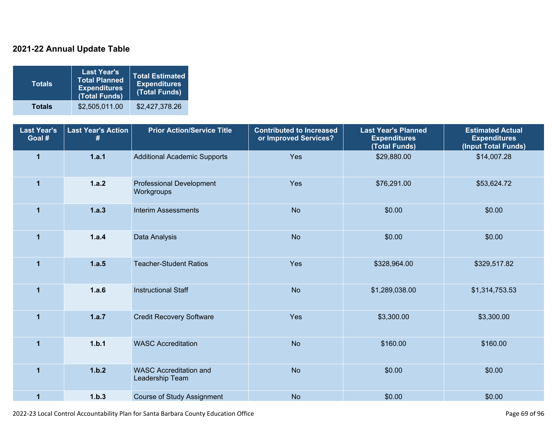### **2021-22 Annual Update Table**

| <b>Totals</b> | <b>Last Year's</b><br><b>Total Planned</b><br><b>Expenditures</b><br>(Total Funds) | <b>Total Estimated</b><br><b>Expenditures</b><br>(Total Funds) |
|---------------|------------------------------------------------------------------------------------|----------------------------------------------------------------|
| <b>Totals</b> | \$2,505,011.00                                                                     | \$2,427,378.26                                                 |

| <b>Last Year's</b><br>Goal # | <b>Last Year's Action</b><br># | <b>Prior Action/Service Title</b>                | <b>Contributed to Increased</b><br>or Improved Services? | <b>Last Year's Planned</b><br><b>Expenditures</b><br>(Total Funds) | <b>Estimated Actual</b><br><b>Expenditures</b><br>(Input Total Funds) |
|------------------------------|--------------------------------|--------------------------------------------------|----------------------------------------------------------|--------------------------------------------------------------------|-----------------------------------------------------------------------|
| $\overline{1}$               | 1.a.1                          | <b>Additional Academic Supports</b>              | Yes                                                      | \$29,880.00                                                        | \$14,007.28                                                           |
| $\blacktriangleleft$         | 1.a.2                          | <b>Professional Development</b><br>Workgroups    | Yes                                                      | \$76,291.00                                                        | \$53,624.72                                                           |
| $\mathbf{1}$                 | 1.a.3                          | <b>Interim Assessments</b>                       | <b>No</b>                                                | \$0.00                                                             | \$0.00                                                                |
| $\overline{1}$               | 1.a.4                          | Data Analysis                                    | <b>No</b>                                                | \$0.00                                                             | \$0.00                                                                |
| $\overline{1}$               | 1.a.5                          | <b>Teacher-Student Ratios</b>                    | Yes                                                      | \$328,964.00                                                       | \$329,517.82                                                          |
| $\overline{1}$               | 1.a.6                          | <b>Instructional Staff</b>                       | <b>No</b>                                                | \$1,289,038.00                                                     | \$1,314,753.53                                                        |
| $\mathbf{1}$                 | 1.a.7                          | <b>Credit Recovery Software</b>                  | Yes                                                      | \$3,300.00                                                         | \$3,300.00                                                            |
| $\mathbf{1}$                 | 1.b.1                          | <b>WASC Accreditation</b>                        | <b>No</b>                                                | \$160.00                                                           | \$160.00                                                              |
| $\overline{1}$               | 1.b.2                          | <b>WASC Accreditation and</b><br>Leadership Team | <b>No</b>                                                | \$0.00                                                             | \$0.00                                                                |
| $\mathbf{1}$                 | 1.b.3                          | <b>Course of Study Assignment</b>                | <b>No</b>                                                | \$0.00                                                             | \$0.00                                                                |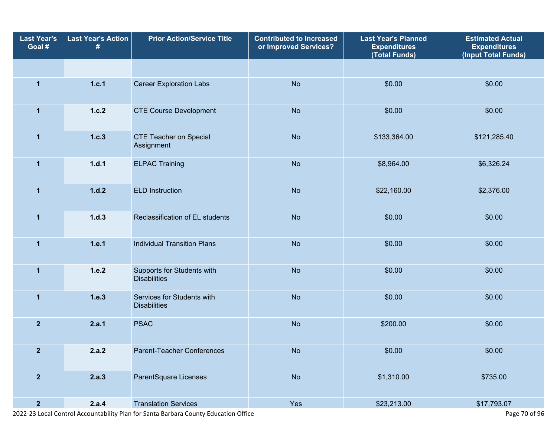| <b>Last Year's</b><br>Goal # | <b>Last Year's Action</b><br># | <b>Prior Action/Service Title</b>                 | <b>Contributed to Increased</b><br>or Improved Services? | <b>Last Year's Planned</b><br><b>Expenditures</b><br>(Total Funds) | <b>Estimated Actual</b><br><b>Expenditures</b><br>(Input Total Funds) |
|------------------------------|--------------------------------|---------------------------------------------------|----------------------------------------------------------|--------------------------------------------------------------------|-----------------------------------------------------------------------|
|                              |                                |                                                   |                                                          |                                                                    |                                                                       |
| $\mathbf{1}$                 | 1.c.1                          | <b>Career Exploration Labs</b>                    | <b>No</b>                                                | \$0.00                                                             | \$0.00                                                                |
| $\mathbf{1}$                 | 1.c.2                          | <b>CTE Course Development</b>                     | <b>No</b>                                                | \$0.00                                                             | \$0.00                                                                |
| $\mathbf{1}$                 | 1.c.3                          | <b>CTE Teacher on Special</b><br>Assignment       | <b>No</b>                                                | \$133,364.00                                                       | \$121,285.40                                                          |
| $\mathbf{1}$                 | 1.d.1                          | <b>ELPAC Training</b>                             | <b>No</b>                                                | \$8,964.00                                                         | \$6,326.24                                                            |
| 1                            | 1.d.2                          | <b>ELD Instruction</b>                            | <b>No</b>                                                | \$22,160.00                                                        | \$2,376.00                                                            |
| $\mathbf{1}$                 | 1.d.3                          | Reclassification of EL students                   | <b>No</b>                                                | \$0.00                                                             | \$0.00                                                                |
| $\mathbf{1}$                 | 1.e.1                          | <b>Individual Transition Plans</b>                | <b>No</b>                                                | \$0.00                                                             | \$0.00                                                                |
| $\mathbf{1}$                 | 1.e.2                          | Supports for Students with<br><b>Disabilities</b> | <b>No</b>                                                | \$0.00                                                             | \$0.00                                                                |
| $\mathbf{1}$                 | 1.e.3                          | Services for Students with<br><b>Disabilities</b> | <b>No</b>                                                | \$0.00                                                             | \$0.00                                                                |
| $\overline{2}$               | 2.a.1                          | <b>PSAC</b>                                       | <b>No</b>                                                | \$200.00                                                           | \$0.00                                                                |
| $\overline{2}$               | 2.a.2                          | Parent-Teacher Conferences                        | <b>No</b>                                                | \$0.00                                                             | \$0.00                                                                |
| $\overline{2}$               | 2.a.3                          | ParentSquare Licenses                             | No                                                       | \$1,310.00                                                         | \$735.00                                                              |
| $\overline{2}$               | 2.a.4                          | <b>Translation Services</b>                       | Yes                                                      | \$23,213.00                                                        | \$17,793.07                                                           |

2022-23 Local Control Accountability Plan for Santa Barbara County Education Office Page 70 of 96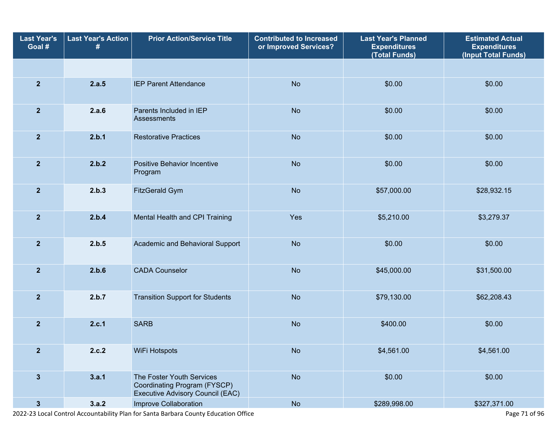| <b>Last Year's</b><br>Goal # | <b>Last Year's Action</b><br># | <b>Prior Action/Service Title</b>                                                             | <b>Contributed to Increased</b><br>or Improved Services? | <b>Last Year's Planned</b><br><b>Expenditures</b><br>(Total Funds) | <b>Estimated Actual</b><br><b>Expenditures</b><br>(Input Total Funds) |
|------------------------------|--------------------------------|-----------------------------------------------------------------------------------------------|----------------------------------------------------------|--------------------------------------------------------------------|-----------------------------------------------------------------------|
|                              |                                |                                                                                               |                                                          |                                                                    |                                                                       |
| $\overline{2}$               | 2.a.5                          | <b>IEP Parent Attendance</b>                                                                  | <b>No</b>                                                | \$0.00                                                             | \$0.00                                                                |
| $\overline{2}$               | 2.a.6                          | Parents Included in IEP<br>Assessments                                                        | <b>No</b>                                                | \$0.00                                                             | \$0.00                                                                |
| $\overline{2}$               | 2.b.1                          | <b>Restorative Practices</b>                                                                  | <b>No</b>                                                | \$0.00                                                             | \$0.00                                                                |
| $\overline{2}$               | 2.b.2                          | <b>Positive Behavior Incentive</b><br>Program                                                 | <b>No</b>                                                | \$0.00                                                             | \$0.00                                                                |
| $\overline{2}$               | 2.b.3                          | FitzGerald Gym                                                                                | <b>No</b>                                                | \$57,000.00                                                        | \$28,932.15                                                           |
| $\overline{2}$               | 2.b.4                          | Mental Health and CPI Training                                                                | Yes                                                      | \$5,210.00                                                         | \$3,279.37                                                            |
| $\overline{2}$               | 2.b.5                          | Academic and Behavioral Support                                                               | <b>No</b>                                                | \$0.00                                                             | \$0.00                                                                |
| $\overline{2}$               | 2.b.6                          | <b>CADA Counselor</b>                                                                         | <b>No</b>                                                | \$45,000.00                                                        | \$31,500.00                                                           |
| $\overline{2}$               | 2.b.7                          | <b>Transition Support for Students</b>                                                        | <b>No</b>                                                | \$79,130.00                                                        | \$62,208.43                                                           |
| $\overline{2}$               | 2.c.1                          | <b>SARB</b>                                                                                   | <b>No</b>                                                | \$400.00                                                           | \$0.00                                                                |
| $\mathbf{2}$                 | 2.c.2                          | WiFi Hotspots                                                                                 | <b>No</b>                                                | \$4,561.00                                                         | \$4,561.00                                                            |
| $\mathbf{3}$                 | 3.a.1                          | The Foster Youth Services<br>Coordinating Program (FYSCP)<br>Executive Advisory Council (EAC) | <b>No</b>                                                | \$0.00                                                             | \$0.00                                                                |
| $\mathbf{3}$                 | 3.a.2                          | Improve Collaboration                                                                         | <b>No</b>                                                | \$289,998.00                                                       | \$327,371.00                                                          |

2022-23 Local Control Accountability Plan for Santa Barbara County Education Office Page 71 of 96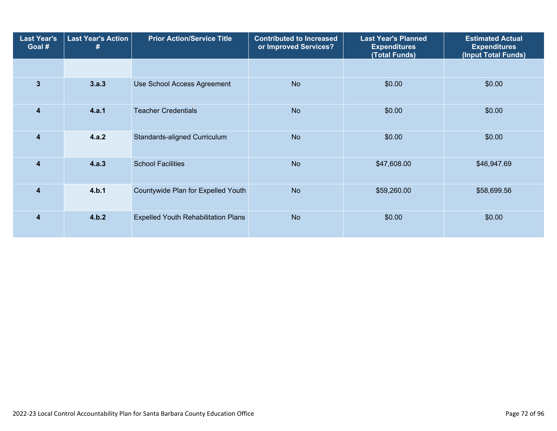| <b>Last Year's</b><br>Goal # | Last Year's Action<br># | <b>Prior Action/Service Title</b>          | <b>Contributed to Increased</b><br>or Improved Services? |             | <b>Estimated Actual</b><br><b>Expenditures</b><br>(Input Total Funds) |
|------------------------------|-------------------------|--------------------------------------------|----------------------------------------------------------|-------------|-----------------------------------------------------------------------|
|                              |                         |                                            |                                                          |             |                                                                       |
| $\mathbf{3}$                 | 3.a.3                   | Use School Access Agreement                | <b>No</b>                                                | \$0.00      | \$0.00                                                                |
| $\overline{\mathbf{4}}$      | 4.a.1                   | <b>Teacher Credentials</b>                 | <b>No</b>                                                | \$0.00      | \$0.00                                                                |
| $\overline{4}$               | 4.a.2                   | Standards-aligned Curriculum               | <b>No</b>                                                | \$0.00      | \$0.00                                                                |
| $\overline{\mathbf{4}}$      | 4.a.3                   | <b>School Facilities</b>                   | <b>No</b>                                                | \$47,608.00 | \$46,947.69                                                           |
| $\overline{\mathbf{4}}$      | 4.b.1                   | Countywide Plan for Expelled Youth         | <b>No</b>                                                | \$59,260.00 | \$58,699.56                                                           |
| 4                            | 4.b.2                   | <b>Expelled Youth Rehabilitation Plans</b> | <b>No</b>                                                | \$0.00      | \$0.00                                                                |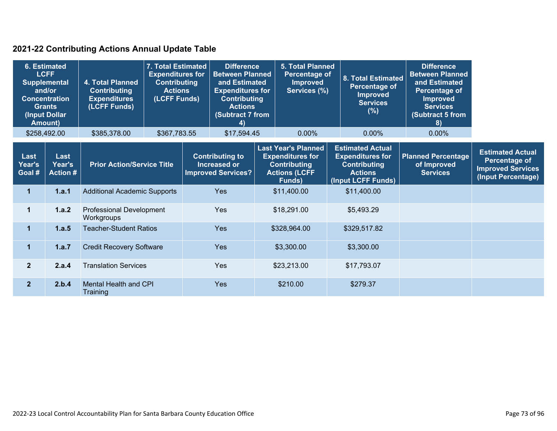### **2021-22 Contributing Actions Annual Update Table**

| and/or                   | <b>6. Estimated</b><br><b>LCFF</b><br><b>Supplemental</b><br><b>Concentration</b><br><b>Grants</b><br>(Input Dollar<br>Amount) | 4. Total Planned<br><b>Contributing</b><br><b>Expenditures</b><br>(LCFF Funds) | 7. Total Estimated<br><b>Expenditures for</b><br><b>Contributing</b><br><b>Actions</b><br>(LCFF Funds) | <b>Difference</b><br><b>Between Planned</b><br>and Estimated<br><b>Expenditures for</b><br><b>Contributing</b><br><b>Actions</b><br>(Subtract 7 from<br>4) | <b>5. Total Planned</b><br>Percentage of<br><b>Improved</b><br>Services (%)                                    | <b>8. Total Estimated</b><br><b>Percentage of</b><br><b>Improved</b><br><b>Services</b><br>$(\%)$                 | <b>Difference</b><br><b>Between Planned</b><br>and Estimated<br>Percentage of<br><b>Improved</b><br><b>Services</b><br>(Subtract 5 from<br>8) |                                                                                            |
|--------------------------|--------------------------------------------------------------------------------------------------------------------------------|--------------------------------------------------------------------------------|--------------------------------------------------------------------------------------------------------|------------------------------------------------------------------------------------------------------------------------------------------------------------|----------------------------------------------------------------------------------------------------------------|-------------------------------------------------------------------------------------------------------------------|-----------------------------------------------------------------------------------------------------------------------------------------------|--------------------------------------------------------------------------------------------|
|                          | \$258,492.00                                                                                                                   | \$385,378.00                                                                   | \$367,783.55                                                                                           | \$17,594.45                                                                                                                                                | $0.00\%$                                                                                                       | $0.00\%$                                                                                                          | 0.00%                                                                                                                                         |                                                                                            |
| Last<br>Year's<br>Goal # | Last<br>Year's<br><b>Action #</b>                                                                                              | <b>Prior Action/Service Title</b>                                              |                                                                                                        | <b>Contributing to</b><br>Increased or<br><b>Improved Services?</b>                                                                                        | <b>Last Year's Planned</b><br><b>Expenditures for</b><br><b>Contributing</b><br><b>Actions (LCFF</b><br>Funds) | <b>Estimated Actual</b><br><b>Expenditures for</b><br><b>Contributing</b><br><b>Actions</b><br>(Input LCFF Funds) | <b>Planned Percentage</b><br>of Improved<br><b>Services</b>                                                                                   | <b>Estimated Actual</b><br>Percentage of<br><b>Improved Services</b><br>(Input Percentage) |
| 1                        | 1.a.1                                                                                                                          | <b>Additional Academic Supports</b>                                            |                                                                                                        | <b>Yes</b>                                                                                                                                                 | \$11,400.00                                                                                                    | \$11,400.00                                                                                                       |                                                                                                                                               |                                                                                            |
| $\mathbf 1$              | 1.a.2                                                                                                                          | <b>Professional Development</b><br>Workgroups                                  |                                                                                                        | <b>Yes</b>                                                                                                                                                 | \$18,291.00                                                                                                    | \$5,493.29                                                                                                        |                                                                                                                                               |                                                                                            |
| $\mathbf{1}$             | 1.a.5                                                                                                                          | <b>Teacher-Student Ratios</b>                                                  |                                                                                                        | <b>Yes</b>                                                                                                                                                 | \$328,964.00                                                                                                   | \$329,517.82                                                                                                      |                                                                                                                                               |                                                                                            |
| $\mathbf{1}$             | 1.a.7                                                                                                                          | <b>Credit Recovery Software</b>                                                |                                                                                                        | <b>Yes</b>                                                                                                                                                 | \$3,300.00                                                                                                     | \$3,300.00                                                                                                        |                                                                                                                                               |                                                                                            |
| $\overline{2}$           | 2.a.4                                                                                                                          | <b>Translation Services</b>                                                    |                                                                                                        | Yes                                                                                                                                                        | \$23,213.00                                                                                                    | \$17,793.07                                                                                                       |                                                                                                                                               |                                                                                            |
| 2 <sup>1</sup>           | 2.b.4                                                                                                                          | <b>Mental Health and CPI</b><br>Training                                       |                                                                                                        | Yes                                                                                                                                                        | \$210.00                                                                                                       | \$279.37                                                                                                          |                                                                                                                                               |                                                                                            |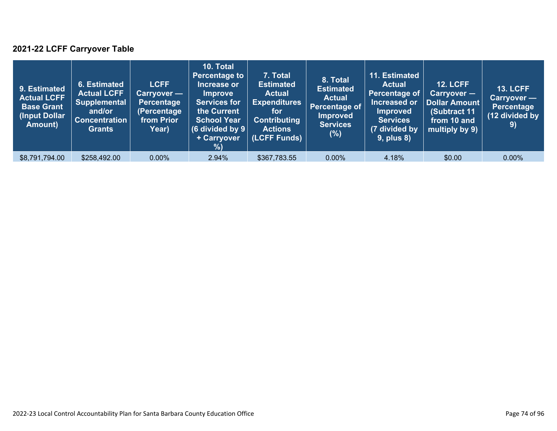### **2021-22 LCFF Carryover Table**

| 9. Estimated<br><b>Actual LCFF</b><br><b>Base Grant</b><br>(Input Dollar)<br>Amount) | 6. Estimated<br><b>Actual LCFF</b><br><b>Supplemental</b><br>and/or<br><b>Concentration</b><br><b>Grants</b> | <b>LCFF</b><br>Carryover —<br><b>Percentage</b><br>(Percentage<br>from Prior<br>Year) | 10. Total<br><b>Percentage to</b><br>Increase or<br><b>Improve</b><br><b>Services for</b><br>the Current<br><b>School Year</b><br>(6 divided by $9$ $ $<br>+ Carryover<br>% | 7. Total<br><b>Estimated</b><br><b>Actual</b><br><b>Expenditures</b><br>for<br><b>Contributing</b><br><b>Actions</b><br>(LCFF Funds) | 8. Total<br><b>Estimated</b><br><b>Actual</b><br>Percentage of<br><b>Improved</b><br><b>Services</b><br>(%) | 11. Estimated<br><b>Actual</b><br>Percentage of<br>Increased or<br><b>Improved</b><br><b>Services</b><br>(7 divided by<br><b>9, plus 8)</b> | <b>12. LCFF</b><br>$Carryover -$<br>Dollar Amount<br>(Subtract 11<br>from 10 and<br>multiply by 9) | <b>13. LCFF</b><br>Carryover -<br><b>Percentage</b><br>(12 divided by<br>9) |
|--------------------------------------------------------------------------------------|--------------------------------------------------------------------------------------------------------------|---------------------------------------------------------------------------------------|-----------------------------------------------------------------------------------------------------------------------------------------------------------------------------|--------------------------------------------------------------------------------------------------------------------------------------|-------------------------------------------------------------------------------------------------------------|---------------------------------------------------------------------------------------------------------------------------------------------|----------------------------------------------------------------------------------------------------|-----------------------------------------------------------------------------|
| \$8,791,794.00                                                                       | \$258,492.00                                                                                                 | $0.00\%$                                                                              | 2.94%                                                                                                                                                                       | \$367,783.55                                                                                                                         | $0.00\%$                                                                                                    | 4.18%                                                                                                                                       | \$0.00                                                                                             | $0.00\%$                                                                    |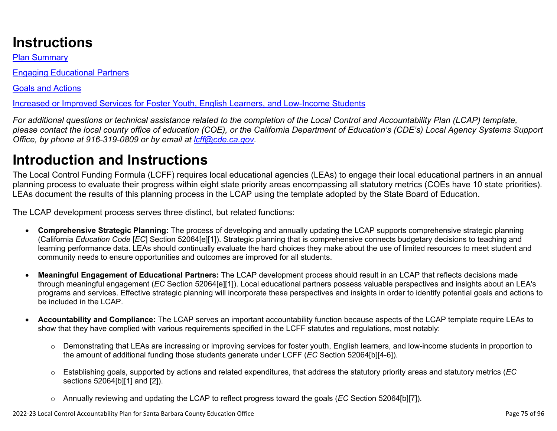# **Instructions**

Plan Summary

Engaging Educational Partners

Goals and Actions

Increased or Improved Services for Foster Youth, English Learners, and Low-Income Students

*For additional questions or technical assistance related to the completion of the Local Control and Accountability Plan (LCAP) template, please contact the local county office of education (COE), or the California Department of Education's (CDE's) Local Agency Systems Support Office, by phone at 916-319-0809 or by email at [lcff@cde.ca.gov](mailto:lcff@cde.ca.gov).*

# **Introduction and Instructions**

The Local Control Funding Formula (LCFF) requires local educational agencies (LEAs) to engage their local educational partners in an annual planning process to evaluate their progress within eight state priority areas encompassing all statutory metrics (COEs have 10 state priorities). LEAs document the results of this planning process in the LCAP using the template adopted by the State Board of Education.

The LCAP development process serves three distinct, but related functions:

- **Comprehensive Strategic Planning:** The process of developing and annually updating the LCAP supports comprehensive strategic planning (California *Education Code* [*EC*] Section 52064[e][1]). Strategic planning that is comprehensive connects budgetary decisions to teaching and learning performance data. LEAs should continually evaluate the hard choices they make about the use of limited resources to meet student and community needs to ensure opportunities and outcomes are improved for all students.
- **Meaningful Engagement of Educational Partners:** The LCAP development process should result in an LCAP that reflects decisions made through meaningful engagement (*EC* Section 52064[e][1]). Local educational partners possess valuable perspectives and insights about an LEA's programs and services. Effective strategic planning will incorporate these perspectives and insights in order to identify potential goals and actions to be included in the LCAP.
- **Accountability and Compliance:** The LCAP serves an important accountability function because aspects of the LCAP template require LEAs to show that they have complied with various requirements specified in the LCFF statutes and regulations, most notably:
	- o Demonstrating that LEAs are increasing or improving services for foster youth, English learners, and low-income students in proportion to the amount of additional funding those students generate under LCFF (*EC* Section 52064[b][4-6]).
	- o Establishing goals, supported by actions and related expenditures, that address the statutory priority areas and statutory metrics (*EC* sections 52064[b][1] and [2]).
	- o Annually reviewing and updating the LCAP to reflect progress toward the goals (*EC* Section 52064[b][7]).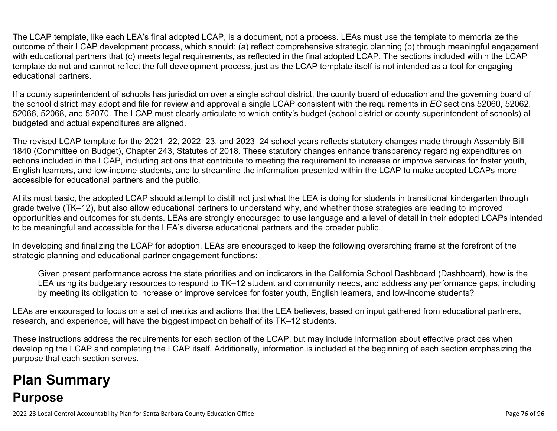The LCAP template, like each LEA's final adopted LCAP, is a document, not a process. LEAs must use the template to memorialize the outcome of their LCAP development process, which should: (a) reflect comprehensive strategic planning (b) through meaningful engagement with educational partners that (c) meets legal requirements, as reflected in the final adopted LCAP. The sections included within the LCAP template do not and cannot reflect the full development process, just as the LCAP template itself is not intended as a tool for engaging educational partners.

If a county superintendent of schools has jurisdiction over a single school district, the county board of education and the governing board of the school district may adopt and file for review and approval a single LCAP consistent with the requirements in *EC* sections 52060, 52062, 52066, 52068, and 52070. The LCAP must clearly articulate to which entity's budget (school district or county superintendent of schools) all budgeted and actual expenditures are aligned.

The revised LCAP template for the 2021–22, 2022–23, and 2023–24 school years reflects statutory changes made through Assembly Bill 1840 (Committee on Budget), Chapter 243, Statutes of 2018. These statutory changes enhance transparency regarding expenditures on actions included in the LCAP, including actions that contribute to meeting the requirement to increase or improve services for foster youth, English learners, and low-income students, and to streamline the information presented within the LCAP to make adopted LCAPs more accessible for educational partners and the public.

At its most basic, the adopted LCAP should attempt to distill not just what the LEA is doing for students in transitional kindergarten through grade twelve (TK–12), but also allow educational partners to understand why, and whether those strategies are leading to improved opportunities and outcomes for students. LEAs are strongly encouraged to use language and a level of detail in their adopted LCAPs intended to be meaningful and accessible for the LEA's diverse educational partners and the broader public.

In developing and finalizing the LCAP for adoption, LEAs are encouraged to keep the following overarching frame at the forefront of the strategic planning and educational partner engagement functions:

Given present performance across the state priorities and on indicators in the California School Dashboard (Dashboard), how is the LEA using its budgetary resources to respond to TK–12 student and community needs, and address any performance gaps, including by meeting its obligation to increase or improve services for foster youth, English learners, and low-income students?

LEAs are encouraged to focus on a set of metrics and actions that the LEA believes, based on input gathered from educational partners, research, and experience, will have the biggest impact on behalf of its TK–12 students.

These instructions address the requirements for each section of the LCAP, but may include information about effective practices when developing the LCAP and completing the LCAP itself. Additionally, information is included at the beginning of each section emphasizing the purpose that each section serves.

# **Plan Summary Purpose**

2022-23 Local Control Accountability Plan for Santa Barbara County Education Office Page 76 of 96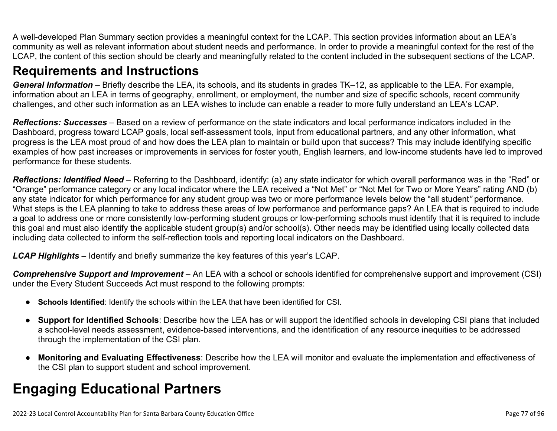A well-developed Plan Summary section provides a meaningful context for the LCAP. This section provides information about an LEA's community as well as relevant information about student needs and performance. In order to provide a meaningful context for the rest of the LCAP, the content of this section should be clearly and meaningfully related to the content included in the subsequent sections of the LCAP.

## **Requirements and Instructions**

*General Information* – Briefly describe the LEA, its schools, and its students in grades TK–12, as applicable to the LEA. For example, information about an LEA in terms of geography, enrollment, or employment, the number and size of specific schools, recent community challenges, and other such information as an LEA wishes to include can enable a reader to more fully understand an LEA's LCAP.

*Reflections: Successes* – Based on a review of performance on the state indicators and local performance indicators included in the Dashboard, progress toward LCAP goals, local self-assessment tools, input from educational partners, and any other information, what progress is the LEA most proud of and how does the LEA plan to maintain or build upon that success? This may include identifying specific examples of how past increases or improvements in services for foster youth, English learners, and low-income students have led to improved performance for these students.

*Reflections: Identified Need* – Referring to the Dashboard, identify: (a) any state indicator for which overall performance was in the "Red" or "Orange" performance category or any local indicator where the LEA received a "Not Met" or "Not Met for Two or More Years" rating AND (b) any state indicator for which performance for any student group was two or more performance levels below the "all student*"* performance. What steps is the LEA planning to take to address these areas of low performance and performance gaps? An LEA that is required to include a goal to address one or more consistently low-performing student groups or low-performing schools must identify that it is required to include this goal and must also identify the applicable student group(s) and/or school(s). Other needs may be identified using locally collected data including data collected to inform the self-reflection tools and reporting local indicators on the Dashboard.

*LCAP Highlights* – Identify and briefly summarize the key features of this year's LCAP.

*Comprehensive Support and Improvement* – An LEA with a school or schools identified for comprehensive support and improvement (CSI) under the Every Student Succeeds Act must respond to the following prompts:

- **Schools Identified**: Identify the schools within the LEA that have been identified for CSI.
- **Support for Identified Schools**: Describe how the LEA has or will support the identified schools in developing CSI plans that included a school-level needs assessment, evidence-based interventions, and the identification of any resource inequities to be addressed through the implementation of the CSI plan.
- **Monitoring and Evaluating Effectiveness**: Describe how the LEA will monitor and evaluate the implementation and effectiveness of the CSI plan to support student and school improvement.

# **Engaging Educational Partners**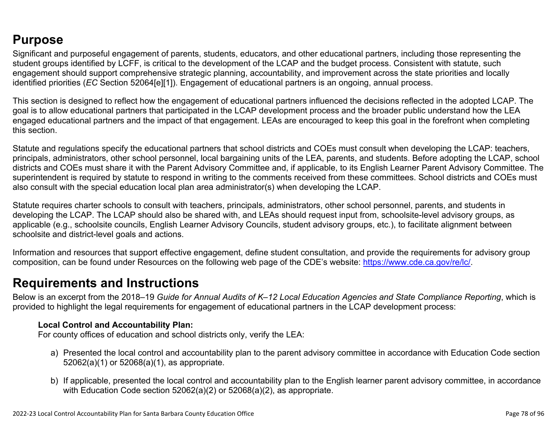## **Purpose**

Significant and purposeful engagement of parents, students, educators, and other educational partners, including those representing the student groups identified by LCFF, is critical to the development of the LCAP and the budget process. Consistent with statute, such engagement should support comprehensive strategic planning, accountability, and improvement across the state priorities and locally identified priorities (*EC* Section 52064[e][1]). Engagement of educational partners is an ongoing, annual process.

This section is designed to reflect how the engagement of educational partners influenced the decisions reflected in the adopted LCAP. The goal is to allow educational partners that participated in the LCAP development process and the broader public understand how the LEA engaged educational partners and the impact of that engagement. LEAs are encouraged to keep this goal in the forefront when completing this section.

Statute and regulations specify the educational partners that school districts and COEs must consult when developing the LCAP: teachers, principals, administrators, other school personnel, local bargaining units of the LEA, parents, and students. Before adopting the LCAP, school districts and COEs must share it with the Parent Advisory Committee and, if applicable, to its English Learner Parent Advisory Committee. The superintendent is required by statute to respond in writing to the comments received from these committees. School districts and COEs must also consult with the special education local plan area administrator(s) when developing the LCAP.

Statute requires charter schools to consult with teachers, principals, administrators, other school personnel, parents, and students in developing the LCAP. The LCAP should also be shared with, and LEAs should request input from, schoolsite-level advisory groups, as applicable (e.g., schoolsite councils, English Learner Advisory Councils, student advisory groups, etc.), to facilitate alignment between schoolsite and district-level goals and actions.

Information and resources that support effective engagement, define student consultation, and provide the requirements for advisory group composition, can be found under Resources on the following web page of the CDE's website: <https://www.cde.ca.gov/re/lc/>.

### **Requirements and Instructions**

Below is an excerpt from the 2018–19 *Guide for Annual Audits of K–12 Local Education Agencies and State Compliance Reporting*, which is provided to highlight the legal requirements for engagement of educational partners in the LCAP development process:

### **Local Control and Accountability Plan:**

For county offices of education and school districts only, verify the LEA:

- a) Presented the local control and accountability plan to the parent advisory committee in accordance with Education Code section 52062(a)(1) or 52068(a)(1), as appropriate.
- b) If applicable, presented the local control and accountability plan to the English learner parent advisory committee, in accordance with Education Code section 52062(a)(2) or 52068(a)(2), as appropriate.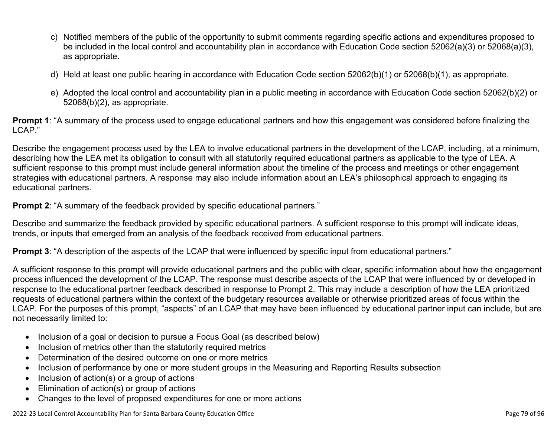- c) Notified members of the public of the opportunity to submit comments regarding specific actions and expenditures proposed to be included in the local control and accountability plan in accordance with Education Code section 52062(a)(3) or 52068(a)(3), as appropriate.
- d) Held at least one public hearing in accordance with Education Code section 52062(b)(1) or 52068(b)(1), as appropriate.
- e) Adopted the local control and accountability plan in a public meeting in accordance with Education Code section 52062(b)(2) or 52068(b)(2), as appropriate.

**Prompt 1**: "A summary of the process used to engage educational partners and how this engagement was considered before finalizing the LCAP."

Describe the engagement process used by the LEA to involve educational partners in the development of the LCAP, including, at a minimum, describing how the LEA met its obligation to consult with all statutorily required educational partners as applicable to the type of LEA. A sufficient response to this prompt must include general information about the timeline of the process and meetings or other engagement strategies with educational partners. A response may also include information about an LEA's philosophical approach to engaging its educational partners.

**Prompt 2:** "A summary of the feedback provided by specific educational partners."

Describe and summarize the feedback provided by specific educational partners. A sufficient response to this prompt will indicate ideas, trends, or inputs that emerged from an analysis of the feedback received from educational partners.

**Prompt 3**: "A description of the aspects of the LCAP that were influenced by specific input from educational partners."

A sufficient response to this prompt will provide educational partners and the public with clear, specific information about how the engagement process influenced the development of the LCAP. The response must describe aspects of the LCAP that were influenced by or developed in response to the educational partner feedback described in response to Prompt 2. This may include a description of how the LEA prioritized requests of educational partners within the context of the budgetary resources available or otherwise prioritized areas of focus within the LCAP. For the purposes of this prompt, "aspects" of an LCAP that may have been influenced by educational partner input can include, but are not necessarily limited to:

- Inclusion of a goal or decision to pursue a Focus Goal (as described below)
- Inclusion of metrics other than the statutorily required metrics
- Determination of the desired outcome on one or more metrics
- Inclusion of performance by one or more student groups in the Measuring and Reporting Results subsection
- Inclusion of action(s) or a group of actions
- Elimination of action(s) or group of actions
- Changes to the level of proposed expenditures for one or more actions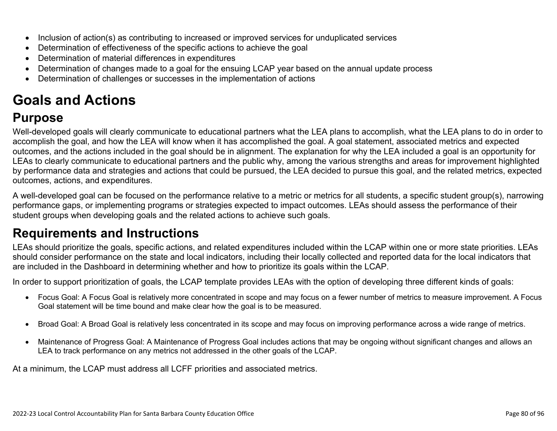- Inclusion of action(s) as contributing to increased or improved services for unduplicated services
- Determination of effectiveness of the specific actions to achieve the goal
- Determination of material differences in expenditures
- Determination of changes made to a goal for the ensuing LCAP year based on the annual update process
- Determination of challenges or successes in the implementation of actions

# **Goals and Actions**

## **Purpose**

Well-developed goals will clearly communicate to educational partners what the LEA plans to accomplish, what the LEA plans to do in order to accomplish the goal, and how the LEA will know when it has accomplished the goal. A goal statement, associated metrics and expected outcomes, and the actions included in the goal should be in alignment. The explanation for why the LEA included a goal is an opportunity for LEAs to clearly communicate to educational partners and the public why, among the various strengths and areas for improvement highlighted by performance data and strategies and actions that could be pursued, the LEA decided to pursue this goal, and the related metrics, expected outcomes, actions, and expenditures.

A well-developed goal can be focused on the performance relative to a metric or metrics for all students, a specific student group(s), narrowing performance gaps, or implementing programs or strategies expected to impact outcomes. LEAs should assess the performance of their student groups when developing goals and the related actions to achieve such goals.

## **Requirements and Instructions**

LEAs should prioritize the goals, specific actions, and related expenditures included within the LCAP within one or more state priorities. LEAs should consider performance on the state and local indicators, including their locally collected and reported data for the local indicators that are included in the Dashboard in determining whether and how to prioritize its goals within the LCAP.

In order to support prioritization of goals, the LCAP template provides LEAs with the option of developing three different kinds of goals:

- Focus Goal: A Focus Goal is relatively more concentrated in scope and may focus on a fewer number of metrics to measure improvement. A Focus Goal statement will be time bound and make clear how the goal is to be measured.
- Broad Goal: A Broad Goal is relatively less concentrated in its scope and may focus on improving performance across a wide range of metrics.
- Maintenance of Progress Goal: A Maintenance of Progress Goal includes actions that may be ongoing without significant changes and allows an LEA to track performance on any metrics not addressed in the other goals of the LCAP.

At a minimum, the LCAP must address all LCFF priorities and associated metrics.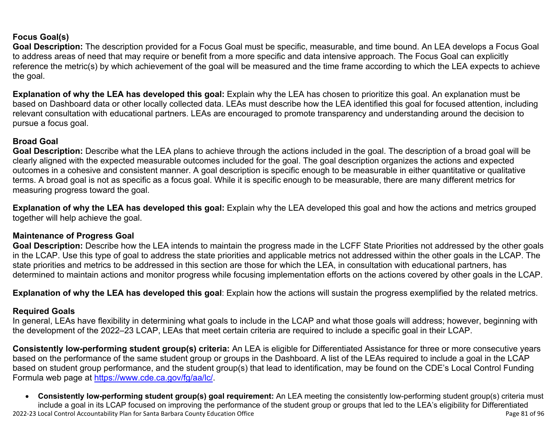### **Focus Goal(s)**

**Goal Description:** The description provided for a Focus Goal must be specific, measurable, and time bound. An LEA develops a Focus Goal to address areas of need that may require or benefit from a more specific and data intensive approach. The Focus Goal can explicitly reference the metric(s) by which achievement of the goal will be measured and the time frame according to which the LEA expects to achieve the goal.

**Explanation of why the LEA has developed this goal:** Explain why the LEA has chosen to prioritize this goal. An explanation must be based on Dashboard data or other locally collected data. LEAs must describe how the LEA identified this goal for focused attention, including relevant consultation with educational partners. LEAs are encouraged to promote transparency and understanding around the decision to pursue a focus goal.

### **Broad Goal**

Goal Description: Describe what the LEA plans to achieve through the actions included in the goal. The description of a broad goal will be clearly aligned with the expected measurable outcomes included for the goal. The goal description organizes the actions and expected outcomes in a cohesive and consistent manner. A goal description is specific enough to be measurable in either quantitative or qualitative terms. A broad goal is not as specific as a focus goal. While it is specific enough to be measurable, there are many different metrics for measuring progress toward the goal.

**Explanation of why the LEA has developed this goal:** Explain why the LEA developed this goal and how the actions and metrics grouped together will help achieve the goal.

#### **Maintenance of Progress Goal**

**Goal Description:** Describe how the LEA intends to maintain the progress made in the LCFF State Priorities not addressed by the other goals in the LCAP. Use this type of goal to address the state priorities and applicable metrics not addressed within the other goals in the LCAP. The state priorities and metrics to be addressed in this section are those for which the LEA, in consultation with educational partners, has determined to maintain actions and monitor progress while focusing implementation efforts on the actions covered by other goals in the LCAP.

**Explanation of why the LEA has developed this goal**: Explain how the actions will sustain the progress exemplified by the related metrics.

#### **Required Goals**

In general, LEAs have flexibility in determining what goals to include in the LCAP and what those goals will address; however, beginning with the development of the 2022–23 LCAP, LEAs that meet certain criteria are required to include a specific goal in their LCAP.

**Consistently low-performing student group(s) criteria:** An LEA is eligible for Differentiated Assistance for three or more consecutive years based on the performance of the same student group or groups in the Dashboard. A list of the LEAs required to include a goal in the LCAP based on student group performance, and the student group(s) that lead to identification, may be found on the CDE's Local Control Funding Formula web page at [https://www.cde.ca.gov/fg/aa/lc/.](https://www.cde.ca.gov/fg/aa/lc/)

2022-23 Local Control Accountability Plan for Santa Barbara County Education Office Page 81 of 96 • **Consistently low-performing student group(s) goal requirement:** An LEA meeting the consistently low-performing student group(s) criteria must include a goal in its LCAP focused on improving the performance of the student group or groups that led to the LEA's eligibility for Differentiated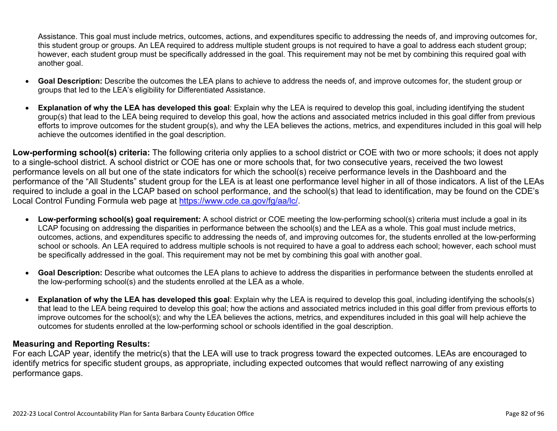Assistance. This goal must include metrics, outcomes, actions, and expenditures specific to addressing the needs of, and improving outcomes for, this student group or groups. An LEA required to address multiple student groups is not required to have a goal to address each student group; however, each student group must be specifically addressed in the goal. This requirement may not be met by combining this required goal with another goal.

- **Goal Description:** Describe the outcomes the LEA plans to achieve to address the needs of, and improve outcomes for, the student group or groups that led to the LEA's eligibility for Differentiated Assistance.
- **Explanation of why the LEA has developed this goal**: Explain why the LEA is required to develop this goal, including identifying the student group(s) that lead to the LEA being required to develop this goal, how the actions and associated metrics included in this goal differ from previous efforts to improve outcomes for the student group(s), and why the LEA believes the actions, metrics, and expenditures included in this goal will help achieve the outcomes identified in the goal description.

**Low-performing school(s) criteria:** The following criteria only applies to a school district or COE with two or more schools; it does not apply to a single-school district. A school district or COE has one or more schools that, for two consecutive years, received the two lowest performance levels on all but one of the state indicators for which the school(s) receive performance levels in the Dashboard and the performance of the "All Students" student group for the LEA is at least one performance level higher in all of those indicators. A list of the LEAs required to include a goal in the LCAP based on school performance, and the school(s) that lead to identification, may be found on the CDE's Local Control Funding Formula web page at [https://www.cde.ca.gov/fg/aa/lc/.](https://www.cde.ca.gov/fg/aa/lc/)

- **Low-performing school(s) goal requirement:** A school district or COE meeting the low-performing school(s) criteria must include a goal in its LCAP focusing on addressing the disparities in performance between the school(s) and the LEA as a whole. This goal must include metrics, outcomes, actions, and expenditures specific to addressing the needs of, and improving outcomes for, the students enrolled at the low-performing school or schools. An LEA required to address multiple schools is not required to have a goal to address each school; however, each school must be specifically addressed in the goal. This requirement may not be met by combining this goal with another goal.
- **Goal Description:** Describe what outcomes the LEA plans to achieve to address the disparities in performance between the students enrolled at the low-performing school(s) and the students enrolled at the LEA as a whole.
- **Explanation of why the LEA has developed this goal**: Explain why the LEA is required to develop this goal, including identifying the schools(s) that lead to the LEA being required to develop this goal; how the actions and associated metrics included in this goal differ from previous efforts to improve outcomes for the school(s); and why the LEA believes the actions, metrics, and expenditures included in this goal will help achieve the outcomes for students enrolled at the low-performing school or schools identified in the goal description.

### **Measuring and Reporting Results:**

For each LCAP year, identify the metric(s) that the LEA will use to track progress toward the expected outcomes. LEAs are encouraged to identify metrics for specific student groups, as appropriate, including expected outcomes that would reflect narrowing of any existing performance gaps.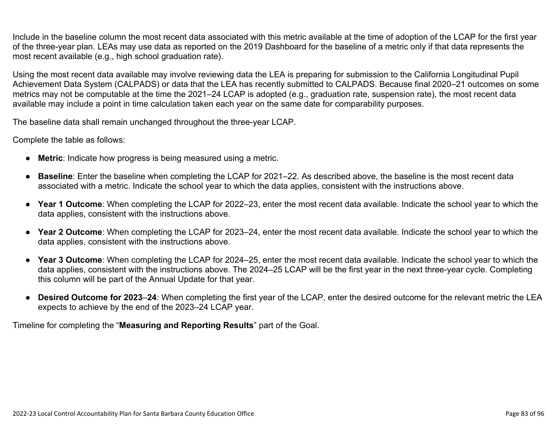Include in the baseline column the most recent data associated with this metric available at the time of adoption of the LCAP for the first year of the three-year plan. LEAs may use data as reported on the 2019 Dashboard for the baseline of a metric only if that data represents the most recent available (e.g., high school graduation rate).

Using the most recent data available may involve reviewing data the LEA is preparing for submission to the California Longitudinal Pupil Achievement Data System (CALPADS) or data that the LEA has recently submitted to CALPADS. Because final 2020–21 outcomes on some metrics may not be computable at the time the 2021–24 LCAP is adopted (e.g., graduation rate, suspension rate), the most recent data available may include a point in time calculation taken each year on the same date for comparability purposes.

The baseline data shall remain unchanged throughout the three-year LCAP.

Complete the table as follows:

- **Metric**: Indicate how progress is being measured using a metric.
- **Baseline**: Enter the baseline when completing the LCAP for 2021–22. As described above, the baseline is the most recent data associated with a metric. Indicate the school year to which the data applies, consistent with the instructions above.
- **Year 1 Outcome**: When completing the LCAP for 2022–23, enter the most recent data available. Indicate the school year to which the data applies, consistent with the instructions above.
- **Year 2 Outcome**: When completing the LCAP for 2023–24, enter the most recent data available. Indicate the school year to which the data applies, consistent with the instructions above.
- **Year 3 Outcome**: When completing the LCAP for 2024–25, enter the most recent data available. Indicate the school year to which the data applies, consistent with the instructions above. The 2024–25 LCAP will be the first year in the next three-year cycle. Completing this column will be part of the Annual Update for that year.
- **Desired Outcome for 2023**–**24**: When completing the first year of the LCAP, enter the desired outcome for the relevant metric the LEA expects to achieve by the end of the 2023–24 LCAP year.

Timeline for completing the "**Measuring and Reporting Results**" part of the Goal.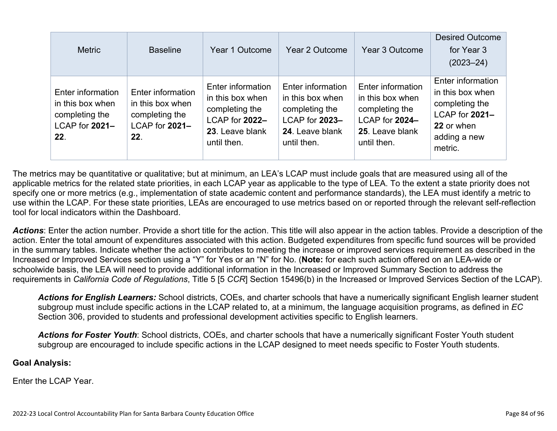| <b>Metric</b>                                                                    | <b>Baseline</b>                                                                  | Year 1 Outcome                                                                                              | Year 2 Outcome                                                                                              | Year 3 Outcome                                                                                              | <b>Desired Outcome</b><br>for Year 3<br>$(2023 - 24)$                                                              |
|----------------------------------------------------------------------------------|----------------------------------------------------------------------------------|-------------------------------------------------------------------------------------------------------------|-------------------------------------------------------------------------------------------------------------|-------------------------------------------------------------------------------------------------------------|--------------------------------------------------------------------------------------------------------------------|
| Enter information<br>in this box when<br>completing the<br>LCAP for 2021-<br>22. | Enter information<br>in this box when<br>completing the<br>LCAP for 2021-<br>22. | Enter information<br>in this box when<br>completing the<br>LCAP for 2022-<br>23. Leave blank<br>until then. | Enter information<br>in this box when<br>completing the<br>LCAP for 2023-<br>24. Leave blank<br>until then. | Enter information<br>in this box when<br>completing the<br>LCAP for 2024-<br>25. Leave blank<br>until then. | Enter information<br>in this box when<br>completing the<br>LCAP for 2021-<br>22 or when<br>adding a new<br>metric. |

The metrics may be quantitative or qualitative; but at minimum, an LEA's LCAP must include goals that are measured using all of the applicable metrics for the related state priorities, in each LCAP year as applicable to the type of LEA. To the extent a state priority does not specify one or more metrics (e.g., implementation of state academic content and performance standards), the LEA must identify a metric to use within the LCAP. For these state priorities, LEAs are encouraged to use metrics based on or reported through the relevant self-reflection tool for local indicators within the Dashboard.

*Actions*: Enter the action number. Provide a short title for the action. This title will also appear in the action tables. Provide a description of the action. Enter the total amount of expenditures associated with this action. Budgeted expenditures from specific fund sources will be provided in the summary tables. Indicate whether the action contributes to meeting the increase or improved services requirement as described in the Increased or Improved Services section using a "Y" for Yes or an "N" for No. (**Note:** for each such action offered on an LEA-wide or schoolwide basis, the LEA will need to provide additional information in the Increased or Improved Summary Section to address the requirements in *California Code of Regulations*, Title 5 [5 *CCR*] Section 15496(b) in the Increased or Improved Services Section of the LCAP).

*Actions for English Learners:* School districts, COEs, and charter schools that have a numerically significant English learner student subgroup must include specific actions in the LCAP related to, at a minimum, the language acquisition programs, as defined in *EC* Section 306, provided to students and professional development activities specific to English learners.

*Actions for Foster Youth*: School districts, COEs, and charter schools that have a numerically significant Foster Youth student subgroup are encouraged to include specific actions in the LCAP designed to meet needs specific to Foster Youth students.

#### **Goal Analysis:**

Enter the LCAP Year.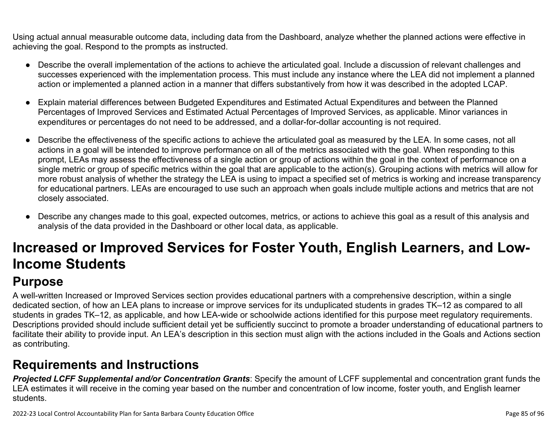Using actual annual measurable outcome data, including data from the Dashboard, analyze whether the planned actions were effective in achieving the goal. Respond to the prompts as instructed.

- Describe the overall implementation of the actions to achieve the articulated goal. Include a discussion of relevant challenges and successes experienced with the implementation process. This must include any instance where the LEA did not implement a planned action or implemented a planned action in a manner that differs substantively from how it was described in the adopted LCAP.
- Explain material differences between Budgeted Expenditures and Estimated Actual Expenditures and between the Planned Percentages of Improved Services and Estimated Actual Percentages of Improved Services, as applicable. Minor variances in expenditures or percentages do not need to be addressed, and a dollar-for-dollar accounting is not required.
- Describe the effectiveness of the specific actions to achieve the articulated goal as measured by the LEA. In some cases, not all actions in a goal will be intended to improve performance on all of the metrics associated with the goal. When responding to this prompt, LEAs may assess the effectiveness of a single action or group of actions within the goal in the context of performance on a single metric or group of specific metrics within the goal that are applicable to the action(s). Grouping actions with metrics will allow for more robust analysis of whether the strategy the LEA is using to impact a specified set of metrics is working and increase transparency for educational partners. LEAs are encouraged to use such an approach when goals include multiple actions and metrics that are not closely associated.
- Describe any changes made to this goal, expected outcomes, metrics, or actions to achieve this goal as a result of this analysis and analysis of the data provided in the Dashboard or other local data, as applicable.

# **Increased or Improved Services for Foster Youth, English Learners, and Low-Income Students**

## **Purpose**

A well-written Increased or Improved Services section provides educational partners with a comprehensive description, within a single dedicated section, of how an LEA plans to increase or improve services for its unduplicated students in grades TK–12 as compared to all students in grades TK–12, as applicable, and how LEA-wide or schoolwide actions identified for this purpose meet regulatory requirements. Descriptions provided should include sufficient detail yet be sufficiently succinct to promote a broader understanding of educational partners to facilitate their ability to provide input. An LEA's description in this section must align with the actions included in the Goals and Actions section as contributing.

## **Requirements and Instructions**

*Projected LCFF Supplemental and/or Concentration Grants*: Specify the amount of LCFF supplemental and concentration grant funds the LEA estimates it will receive in the coming year based on the number and concentration of low income, foster youth, and English learner students.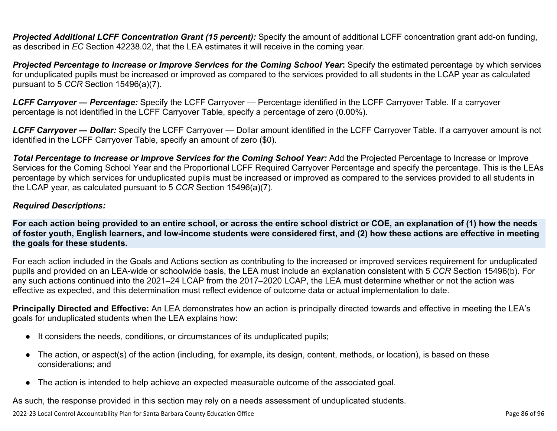**Projected Additional LCFF Concentration Grant (15 percent):** Specify the amount of additional LCFF concentration grant add-on funding, as described in *EC* Section 42238.02, that the LEA estimates it will receive in the coming year.

*Projected Percentage to Increase or Improve Services for the Coming School Year***:** Specify the estimated percentage by which services for unduplicated pupils must be increased or improved as compared to the services provided to all students in the LCAP year as calculated pursuant to 5 *CCR* Section 15496(a)(7).

*LCFF Carryover — Percentage:* Specify the LCFF Carryover — Percentage identified in the LCFF Carryover Table. If a carryover percentage is not identified in the LCFF Carryover Table, specify a percentage of zero (0.00%).

*LCFF Carryover — Dollar:* Specify the LCFF Carryover — Dollar amount identified in the LCFF Carryover Table. If a carryover amount is not identified in the LCFF Carryover Table, specify an amount of zero (\$0).

**Total Percentage to Increase or Improve Services for the Coming School Year:** Add the Projected Percentage to Increase or Improve Services for the Coming School Year and the Proportional LCFF Required Carryover Percentage and specify the percentage. This is the LEAs percentage by which services for unduplicated pupils must be increased or improved as compared to the services provided to all students in the LCAP year, as calculated pursuant to 5 *CCR* Section 15496(a)(7).

### *Required Descriptions:*

**For each action being provided to an entire school, or across the entire school district or COE, an explanation of (1) how the needs of foster youth, English learners, and low-income students were considered first, and (2) how these actions are effective in meeting the goals for these students.**

For each action included in the Goals and Actions section as contributing to the increased or improved services requirement for unduplicated pupils and provided on an LEA-wide or schoolwide basis, the LEA must include an explanation consistent with 5 *CCR* Section 15496(b). For any such actions continued into the 2021–24 LCAP from the 2017–2020 LCAP, the LEA must determine whether or not the action was effective as expected, and this determination must reflect evidence of outcome data or actual implementation to date.

**Principally Directed and Effective:** An LEA demonstrates how an action is principally directed towards and effective in meeting the LEA's goals for unduplicated students when the LEA explains how:

- It considers the needs, conditions, or circumstances of its unduplicated pupils;
- The action, or aspect(s) of the action (including, for example, its design, content, methods, or location), is based on these considerations; and
- The action is intended to help achieve an expected measurable outcome of the associated goal.

As such, the response provided in this section may rely on a needs assessment of unduplicated students.

2022-23 Local Control Accountability Plan for Santa Barbara County Education Office Page 86 of 96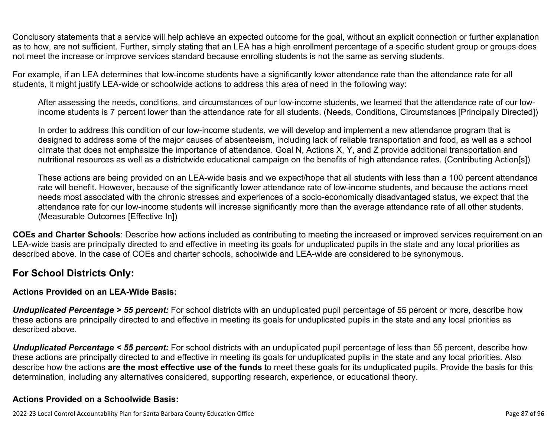Conclusory statements that a service will help achieve an expected outcome for the goal, without an explicit connection or further explanation as to how, are not sufficient. Further, simply stating that an LEA has a high enrollment percentage of a specific student group or groups does not meet the increase or improve services standard because enrolling students is not the same as serving students.

For example, if an LEA determines that low-income students have a significantly lower attendance rate than the attendance rate for all students, it might justify LEA-wide or schoolwide actions to address this area of need in the following way:

After assessing the needs, conditions, and circumstances of our low-income students, we learned that the attendance rate of our lowincome students is 7 percent lower than the attendance rate for all students. (Needs, Conditions, Circumstances [Principally Directed])

In order to address this condition of our low-income students, we will develop and implement a new attendance program that is designed to address some of the major causes of absenteeism, including lack of reliable transportation and food, as well as a school climate that does not emphasize the importance of attendance. Goal N, Actions X, Y, and Z provide additional transportation and nutritional resources as well as a districtwide educational campaign on the benefits of high attendance rates. (Contributing Action[s])

These actions are being provided on an LEA-wide basis and we expect/hope that all students with less than a 100 percent attendance rate will benefit. However, because of the significantly lower attendance rate of low-income students, and because the actions meet needs most associated with the chronic stresses and experiences of a socio-economically disadvantaged status, we expect that the attendance rate for our low-income students will increase significantly more than the average attendance rate of all other students. (Measurable Outcomes [Effective In])

**COEs and Charter Schools**: Describe how actions included as contributing to meeting the increased or improved services requirement on an LEA-wide basis are principally directed to and effective in meeting its goals for unduplicated pupils in the state and any local priorities as described above. In the case of COEs and charter schools, schoolwide and LEA-wide are considered to be synonymous.

### **For School Districts Only:**

### **Actions Provided on an LEA-Wide Basis:**

*Unduplicated Percentage > 55 percent:* For school districts with an unduplicated pupil percentage of 55 percent or more, describe how these actions are principally directed to and effective in meeting its goals for unduplicated pupils in the state and any local priorities as described above.

*Unduplicated Percentage < 55 percent:* For school districts with an unduplicated pupil percentage of less than 55 percent, describe how these actions are principally directed to and effective in meeting its goals for unduplicated pupils in the state and any local priorities. Also describe how the actions **are the most effective use of the funds** to meet these goals for its unduplicated pupils. Provide the basis for this determination, including any alternatives considered, supporting research, experience, or educational theory.

### **Actions Provided on a Schoolwide Basis:**

2022-23 Local Control Accountability Plan for Santa Barbara County Education Office **Page 87** of 96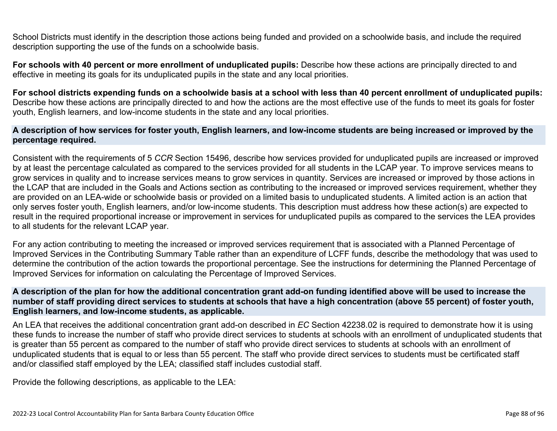School Districts must identify in the description those actions being funded and provided on a schoolwide basis, and include the required description supporting the use of the funds on a schoolwide basis.

**For schools with 40 percent or more enrollment of unduplicated pupils:** Describe how these actions are principally directed to and effective in meeting its goals for its unduplicated pupils in the state and any local priorities.

**For school districts expending funds on a schoolwide basis at a school with less than 40 percent enrollment of unduplicated pupils:** Describe how these actions are principally directed to and how the actions are the most effective use of the funds to meet its goals for foster youth, English learners, and low-income students in the state and any local priorities.

#### **A description of how services for foster youth, English learners, and low-income students are being increased or improved by the percentage required.**

Consistent with the requirements of 5 *CCR* Section 15496, describe how services provided for unduplicated pupils are increased or improved by at least the percentage calculated as compared to the services provided for all students in the LCAP year. To improve services means to grow services in quality and to increase services means to grow services in quantity. Services are increased or improved by those actions in the LCAP that are included in the Goals and Actions section as contributing to the increased or improved services requirement, whether they are provided on an LEA-wide or schoolwide basis or provided on a limited basis to unduplicated students. A limited action is an action that only serves foster youth, English learners, and/or low-income students. This description must address how these action(s) are expected to result in the required proportional increase or improvement in services for unduplicated pupils as compared to the services the LEA provides to all students for the relevant LCAP year.

For any action contributing to meeting the increased or improved services requirement that is associated with a Planned Percentage of Improved Services in the Contributing Summary Table rather than an expenditure of LCFF funds, describe the methodology that was used to determine the contribution of the action towards the proportional percentage. See the instructions for determining the Planned Percentage of Improved Services for information on calculating the Percentage of Improved Services.

#### **A description of the plan for how the additional concentration grant add-on funding identified above will be used to increase the number of staff providing direct services to students at schools that have a high concentration (above 55 percent) of foster youth, English learners, and low-income students, as applicable.**

An LEA that receives the additional concentration grant add-on described in *EC* Section 42238.02 is required to demonstrate how it is using these funds to increase the number of staff who provide direct services to students at schools with an enrollment of unduplicated students that is greater than 55 percent as compared to the number of staff who provide direct services to students at schools with an enrollment of unduplicated students that is equal to or less than 55 percent. The staff who provide direct services to students must be certificated staff and/or classified staff employed by the LEA; classified staff includes custodial staff.

Provide the following descriptions, as applicable to the LEA: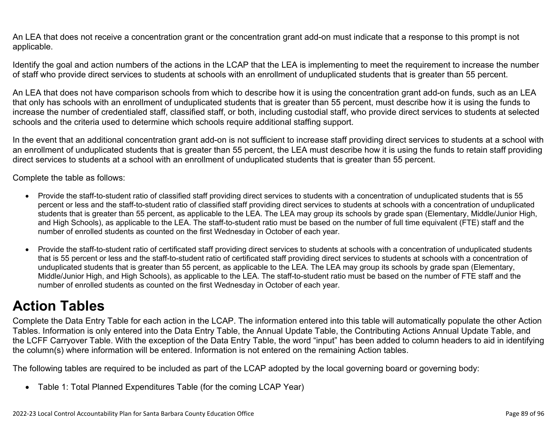An LEA that does not receive a concentration grant or the concentration grant add-on must indicate that a response to this prompt is not applicable.

Identify the goal and action numbers of the actions in the LCAP that the LEA is implementing to meet the requirement to increase the number of staff who provide direct services to students at schools with an enrollment of unduplicated students that is greater than 55 percent.

An LEA that does not have comparison schools from which to describe how it is using the concentration grant add-on funds, such as an LEA that only has schools with an enrollment of unduplicated students that is greater than 55 percent, must describe how it is using the funds to increase the number of credentialed staff, classified staff, or both, including custodial staff, who provide direct services to students at selected schools and the criteria used to determine which schools require additional staffing support.

In the event that an additional concentration grant add-on is not sufficient to increase staff providing direct services to students at a school with an enrollment of unduplicated students that is greater than 55 percent, the LEA must describe how it is using the funds to retain staff providing direct services to students at a school with an enrollment of unduplicated students that is greater than 55 percent.

Complete the table as follows:

- Provide the staff-to-student ratio of classified staff providing direct services to students with a concentration of unduplicated students that is 55 percent or less and the staff-to-student ratio of classified staff providing direct services to students at schools with a concentration of unduplicated students that is greater than 55 percent, as applicable to the LEA. The LEA may group its schools by grade span (Elementary, Middle/Junior High, and High Schools), as applicable to the LEA. The staff-to-student ratio must be based on the number of full time equivalent (FTE) staff and the number of enrolled students as counted on the first Wednesday in October of each year.
- Provide the staff-to-student ratio of certificated staff providing direct services to students at schools with a concentration of unduplicated students that is 55 percent or less and the staff-to-student ratio of certificated staff providing direct services to students at schools with a concentration of unduplicated students that is greater than 55 percent, as applicable to the LEA. The LEA may group its schools by grade span (Elementary, Middle/Junior High, and High Schools), as applicable to the LEA. The staff-to-student ratio must be based on the number of FTE staff and the number of enrolled students as counted on the first Wednesday in October of each year.

## **Action Tables**

Complete the Data Entry Table for each action in the LCAP. The information entered into this table will automatically populate the other Action Tables. Information is only entered into the Data Entry Table, the Annual Update Table, the Contributing Actions Annual Update Table, and the LCFF Carryover Table. With the exception of the Data Entry Table, the word "input" has been added to column headers to aid in identifying the column(s) where information will be entered. Information is not entered on the remaining Action tables.

The following tables are required to be included as part of the LCAP adopted by the local governing board or governing body:

• Table 1: Total Planned Expenditures Table (for the coming LCAP Year)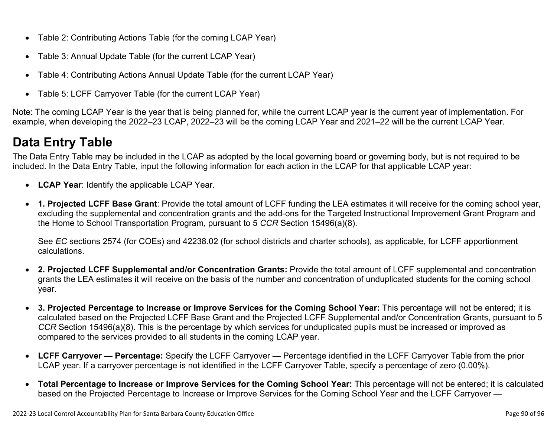- Table 2: Contributing Actions Table (for the coming LCAP Year)
- Table 3: Annual Update Table (for the current LCAP Year)
- Table 4: Contributing Actions Annual Update Table (for the current LCAP Year)
- Table 5: LCFF Carryover Table (for the current LCAP Year)

Note: The coming LCAP Year is the year that is being planned for, while the current LCAP year is the current year of implementation. For example, when developing the 2022–23 LCAP, 2022–23 will be the coming LCAP Year and 2021–22 will be the current LCAP Year.

## **Data Entry Table**

The Data Entry Table may be included in the LCAP as adopted by the local governing board or governing body, but is not required to be included. In the Data Entry Table, input the following information for each action in the LCAP for that applicable LCAP year:

- **LCAP Year**: Identify the applicable LCAP Year.
- **1. Projected LCFF Base Grant**: Provide the total amount of LCFF funding the LEA estimates it will receive for the coming school year, excluding the supplemental and concentration grants and the add-ons for the Targeted Instructional Improvement Grant Program and the Home to School Transportation Program, pursuant to 5 *CCR* Section 15496(a)(8).

See *EC* sections 2574 (for COEs) and 42238.02 (for school districts and charter schools), as applicable, for LCFF apportionment calculations.

- **2. Projected LCFF Supplemental and/or Concentration Grants:** Provide the total amount of LCFF supplemental and concentration grants the LEA estimates it will receive on the basis of the number and concentration of unduplicated students for the coming school year.
- **3. Projected Percentage to Increase or Improve Services for the Coming School Year:** This percentage will not be entered; it is calculated based on the Projected LCFF Base Grant and the Projected LCFF Supplemental and/or Concentration Grants, pursuant to 5 *CCR* Section 15496(a)(8). This is the percentage by which services for unduplicated pupils must be increased or improved as compared to the services provided to all students in the coming LCAP year.
- **LCFF Carryover Percentage:** Specify the LCFF Carryover Percentage identified in the LCFF Carryover Table from the prior LCAP year. If a carryover percentage is not identified in the LCFF Carryover Table, specify a percentage of zero (0.00%).
- **Total Percentage to Increase or Improve Services for the Coming School Year:** This percentage will not be entered; it is calculated based on the Projected Percentage to Increase or Improve Services for the Coming School Year and the LCFF Carryover —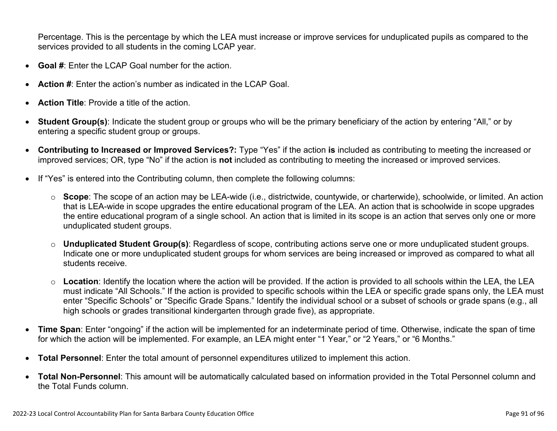Percentage. This is the percentage by which the LEA must increase or improve services for unduplicated pupils as compared to the services provided to all students in the coming LCAP year.

- **Goal #**: Enter the LCAP Goal number for the action.
- **Action #**: Enter the action's number as indicated in the LCAP Goal.
- **Action Title**: Provide a title of the action.
- **Student Group(s)**: Indicate the student group or groups who will be the primary beneficiary of the action by entering "All," or by entering a specific student group or groups.
- **Contributing to Increased or Improved Services?:** Type "Yes" if the action **is** included as contributing to meeting the increased or improved services; OR, type "No" if the action is **not** included as contributing to meeting the increased or improved services.
- If "Yes" is entered into the Contributing column, then complete the following columns:
	- o **Scope**: The scope of an action may be LEA-wide (i.e., districtwide, countywide, or charterwide), schoolwide, or limited. An action that is LEA-wide in scope upgrades the entire educational program of the LEA. An action that is schoolwide in scope upgrades the entire educational program of a single school. An action that is limited in its scope is an action that serves only one or more unduplicated student groups.
	- o **Unduplicated Student Group(s)**: Regardless of scope, contributing actions serve one or more unduplicated student groups. Indicate one or more unduplicated student groups for whom services are being increased or improved as compared to what all students receive.
	- o **Location**: Identify the location where the action will be provided. If the action is provided to all schools within the LEA, the LEA must indicate "All Schools." If the action is provided to specific schools within the LEA or specific grade spans only, the LEA must enter "Specific Schools" or "Specific Grade Spans." Identify the individual school or a subset of schools or grade spans (e.g., all high schools or grades transitional kindergarten through grade five), as appropriate.
- **Time Span**: Enter "ongoing" if the action will be implemented for an indeterminate period of time. Otherwise, indicate the span of time for which the action will be implemented. For example, an LEA might enter "1 Year," or "2 Years," or "6 Months."
- **Total Personnel**: Enter the total amount of personnel expenditures utilized to implement this action.
- **Total Non-Personnel**: This amount will be automatically calculated based on information provided in the Total Personnel column and the Total Funds column.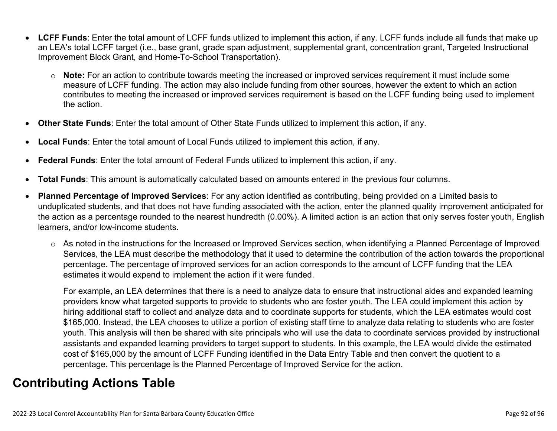- **LCFF Funds**: Enter the total amount of LCFF funds utilized to implement this action, if any. LCFF funds include all funds that make up an LEA's total LCFF target (i.e., base grant, grade span adjustment, supplemental grant, concentration grant, Targeted Instructional Improvement Block Grant, and Home-To-School Transportation).
	- o **Note:** For an action to contribute towards meeting the increased or improved services requirement it must include some measure of LCFF funding. The action may also include funding from other sources, however the extent to which an action contributes to meeting the increased or improved services requirement is based on the LCFF funding being used to implement the action.
- **Other State Funds**: Enter the total amount of Other State Funds utilized to implement this action, if any.
- **Local Funds**: Enter the total amount of Local Funds utilized to implement this action, if any.
- **Federal Funds**: Enter the total amount of Federal Funds utilized to implement this action, if any.
- **Total Funds**: This amount is automatically calculated based on amounts entered in the previous four columns.
- **Planned Percentage of Improved Services**: For any action identified as contributing, being provided on a Limited basis to unduplicated students, and that does not have funding associated with the action, enter the planned quality improvement anticipated for the action as a percentage rounded to the nearest hundredth (0.00%). A limited action is an action that only serves foster youth, English learners, and/or low-income students.
	- o As noted in the instructions for the Increased or Improved Services section, when identifying a Planned Percentage of Improved Services, the LEA must describe the methodology that it used to determine the contribution of the action towards the proportional percentage. The percentage of improved services for an action corresponds to the amount of LCFF funding that the LEA estimates it would expend to implement the action if it were funded.

For example, an LEA determines that there is a need to analyze data to ensure that instructional aides and expanded learning providers know what targeted supports to provide to students who are foster youth. The LEA could implement this action by hiring additional staff to collect and analyze data and to coordinate supports for students, which the LEA estimates would cost \$165,000. Instead, the LEA chooses to utilize a portion of existing staff time to analyze data relating to students who are foster youth. This analysis will then be shared with site principals who will use the data to coordinate services provided by instructional assistants and expanded learning providers to target support to students. In this example, the LEA would divide the estimated cost of \$165,000 by the amount of LCFF Funding identified in the Data Entry Table and then convert the quotient to a percentage. This percentage is the Planned Percentage of Improved Service for the action.

## **Contributing Actions Table**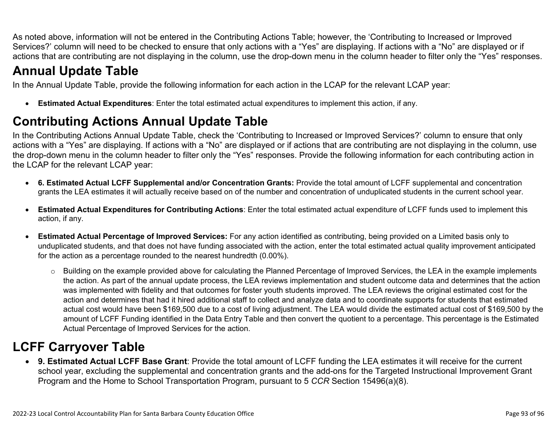As noted above, information will not be entered in the Contributing Actions Table; however, the 'Contributing to Increased or Improved Services?' column will need to be checked to ensure that only actions with a "Yes" are displaying. If actions with a "No" are displayed or if actions that are contributing are not displaying in the column, use the drop-down menu in the column header to filter only the "Yes" responses.

## **Annual Update Table**

In the Annual Update Table, provide the following information for each action in the LCAP for the relevant LCAP year:

• **Estimated Actual Expenditures**: Enter the total estimated actual expenditures to implement this action, if any.

## **Contributing Actions Annual Update Table**

In the Contributing Actions Annual Update Table, check the 'Contributing to Increased or Improved Services?' column to ensure that only actions with a "Yes" are displaying. If actions with a "No" are displayed or if actions that are contributing are not displaying in the column, use the drop-down menu in the column header to filter only the "Yes" responses. Provide the following information for each contributing action in the LCAP for the relevant LCAP year:

- **6. Estimated Actual LCFF Supplemental and/or Concentration Grants:** Provide the total amount of LCFF supplemental and concentration grants the LEA estimates it will actually receive based on of the number and concentration of unduplicated students in the current school year.
- **Estimated Actual Expenditures for Contributing Actions**: Enter the total estimated actual expenditure of LCFF funds used to implement this action, if any.
- **Estimated Actual Percentage of Improved Services:** For any action identified as contributing, being provided on a Limited basis only to unduplicated students, and that does not have funding associated with the action, enter the total estimated actual quality improvement anticipated for the action as a percentage rounded to the nearest hundredth (0.00%).
	- o Building on the example provided above for calculating the Planned Percentage of Improved Services, the LEA in the example implements the action. As part of the annual update process, the LEA reviews implementation and student outcome data and determines that the action was implemented with fidelity and that outcomes for foster youth students improved. The LEA reviews the original estimated cost for the action and determines that had it hired additional staff to collect and analyze data and to coordinate supports for students that estimated actual cost would have been \$169,500 due to a cost of living adjustment. The LEA would divide the estimated actual cost of \$169,500 by the amount of LCFF Funding identified in the Data Entry Table and then convert the quotient to a percentage. This percentage is the Estimated Actual Percentage of Improved Services for the action.

## **LCFF Carryover Table**

• **9. Estimated Actual LCFF Base Grant**: Provide the total amount of LCFF funding the LEA estimates it will receive for the current school year, excluding the supplemental and concentration grants and the add-ons for the Targeted Instructional Improvement Grant Program and the Home to School Transportation Program, pursuant to 5 *CCR* Section 15496(a)(8).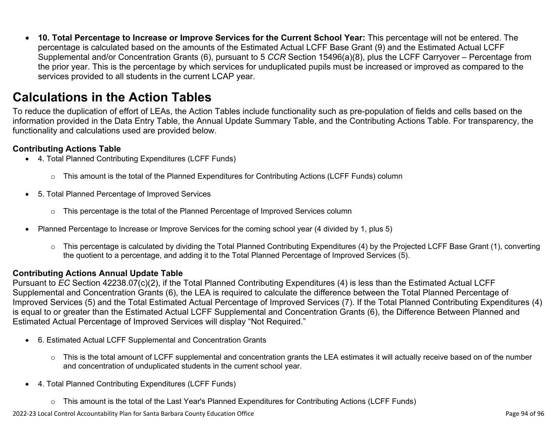• **10. Total Percentage to Increase or Improve Services for the Current School Year:** This percentage will not be entered. The percentage is calculated based on the amounts of the Estimated Actual LCFF Base Grant (9) and the Estimated Actual LCFF Supplemental and/or Concentration Grants (6), pursuant to 5 *CCR* Section 15496(a)(8), plus the LCFF Carryover – Percentage from the prior year. This is the percentage by which services for unduplicated pupils must be increased or improved as compared to the services provided to all students in the current LCAP year.

## **Calculations in the Action Tables**

To reduce the duplication of effort of LEAs, the Action Tables include functionality such as pre-population of fields and cells based on the information provided in the Data Entry Table, the Annual Update Summary Table, and the Contributing Actions Table. For transparency, the functionality and calculations used are provided below.

### **Contributing Actions Table**

- 4. Total Planned Contributing Expenditures (LCFF Funds)
	- $\circ$  This amount is the total of the Planned Expenditures for Contributing Actions (LCFF Funds) column
- 5. Total Planned Percentage of Improved Services
	- $\circ$  This percentage is the total of the Planned Percentage of Improved Services column
- Planned Percentage to Increase or Improve Services for the coming school year (4 divided by 1, plus 5)
	- o This percentage is calculated by dividing the Total Planned Contributing Expenditures (4) by the Projected LCFF Base Grant (1), converting the quotient to a percentage, and adding it to the Total Planned Percentage of Improved Services (5).

### **Contributing Actions Annual Update Table**

Pursuant to *EC* Section 42238.07(c)(2), if the Total Planned Contributing Expenditures (4) is less than the Estimated Actual LCFF Supplemental and Concentration Grants (6), the LEA is required to calculate the difference between the Total Planned Percentage of Improved Services (5) and the Total Estimated Actual Percentage of Improved Services (7). If the Total Planned Contributing Expenditures (4) is equal to or greater than the Estimated Actual LCFF Supplemental and Concentration Grants (6), the Difference Between Planned and Estimated Actual Percentage of Improved Services will display "Not Required."

- 6. Estimated Actual LCFF Supplemental and Concentration Grants
	- $\circ$  This is the total amount of LCFF supplemental and concentration grants the LEA estimates it will actually receive based on of the number and concentration of unduplicated students in the current school year.
- 4. Total Planned Contributing Expenditures (LCFF Funds)
	- $\circ$  This amount is the total of the Last Year's Planned Expenditures for Contributing Actions (LCFF Funds)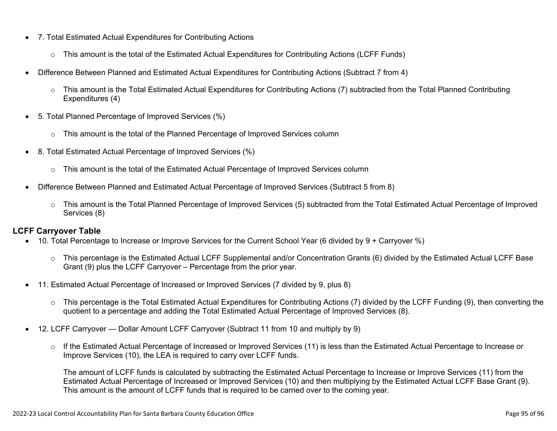- 7. Total Estimated Actual Expenditures for Contributing Actions
	- o This amount is the total of the Estimated Actual Expenditures for Contributing Actions (LCFF Funds)
- Difference Between Planned and Estimated Actual Expenditures for Contributing Actions (Subtract 7 from 4)
	- $\circ$  This amount is the Total Estimated Actual Expenditures for Contributing Actions (7) subtracted from the Total Planned Contributing Expenditures (4)
- 5. Total Planned Percentage of Improved Services (%)
	- o This amount is the total of the Planned Percentage of Improved Services column
- 8. Total Estimated Actual Percentage of Improved Services (%)
	- o This amount is the total of the Estimated Actual Percentage of Improved Services column
- Difference Between Planned and Estimated Actual Percentage of Improved Services (Subtract 5 from 8)
	- o This amount is the Total Planned Percentage of Improved Services (5) subtracted from the Total Estimated Actual Percentage of Improved Services (8)

### **LCFF Carryover Table**

- 10. Total Percentage to Increase or Improve Services for the Current School Year (6 divided by 9 + Carryover %)
	- $\circ$  This percentage is the Estimated Actual LCFF Supplemental and/or Concentration Grants (6) divided by the Estimated Actual LCFF Base Grant (9) plus the LCFF Carryover – Percentage from the prior year.
- 11. Estimated Actual Percentage of Increased or Improved Services (7 divided by 9, plus 8)
	- o This percentage is the Total Estimated Actual Expenditures for Contributing Actions (7) divided by the LCFF Funding (9), then converting the quotient to a percentage and adding the Total Estimated Actual Percentage of Improved Services (8).
- 12. LCFF Carryover Dollar Amount LCFF Carryover (Subtract 11 from 10 and multiply by 9)
	- $\circ$  If the Estimated Actual Percentage of Increased or Improved Services (11) is less than the Estimated Actual Percentage to Increase or Improve Services (10), the LEA is required to carry over LCFF funds.

The amount of LCFF funds is calculated by subtracting the Estimated Actual Percentage to Increase or Improve Services (11) from the Estimated Actual Percentage of Increased or Improved Services (10) and then multiplying by the Estimated Actual LCFF Base Grant (9). This amount is the amount of LCFF funds that is required to be carried over to the coming year.